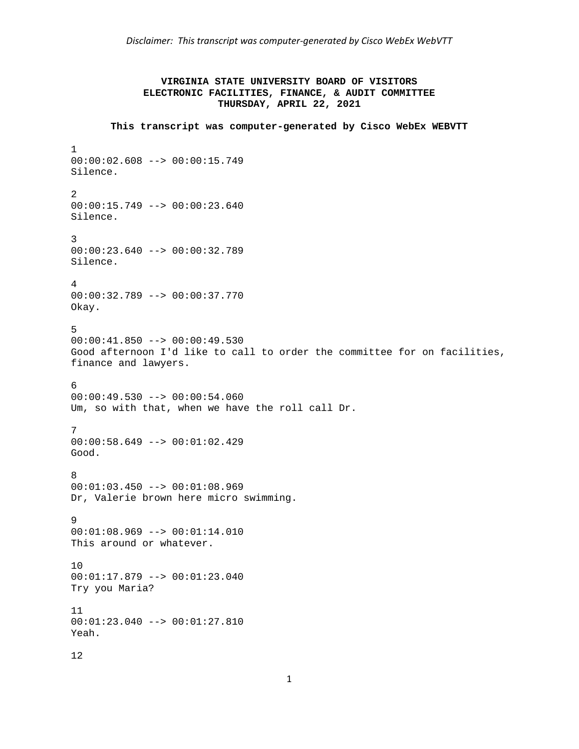# **VIRGINIA STATE UNIVERSITY BOARD OF VISITORS ELECTRONIC FACILITIES, FINANCE, & AUDIT COMMITTEE THURSDAY, APRIL 22, 2021**

```
This transcript was computer-generated by Cisco WebEx WEBVTT 
1 
00:00:02.608 --> 00:00:15.749 
Silence. 
2 
00:00:15.749 --> 00:00:23.640Silence. 
3 
00:00:23.640 --> 00:00:32.789 
Silence. 
4 
00:00:32.789 --> 00:00:37.770 
Okay. 
5 
00:00:41.850 --> 00:00:49.530 
Good afternoon I'd like to call to order the committee for on facilities, 
finance and lawyers. 
6 
00:00:49.530 --> 00:00:54.060Um, so with that, when we have the roll call Dr. 
7 
00:00:58.649 --> 00:01:02.429 
Good. 
8 
00:01:03.450 --> 00:01:08.969Dr, Valerie brown here micro swimming. 
9 
00:01:08.969 --> 00:01:14.010 
This around or whatever. 
10 
00:01:17.879 --> 00:01:23.040 
Try you Maria? 
11 
00:01:23.040 --> 00:01:27.810 
Yeah.
```

```
12
```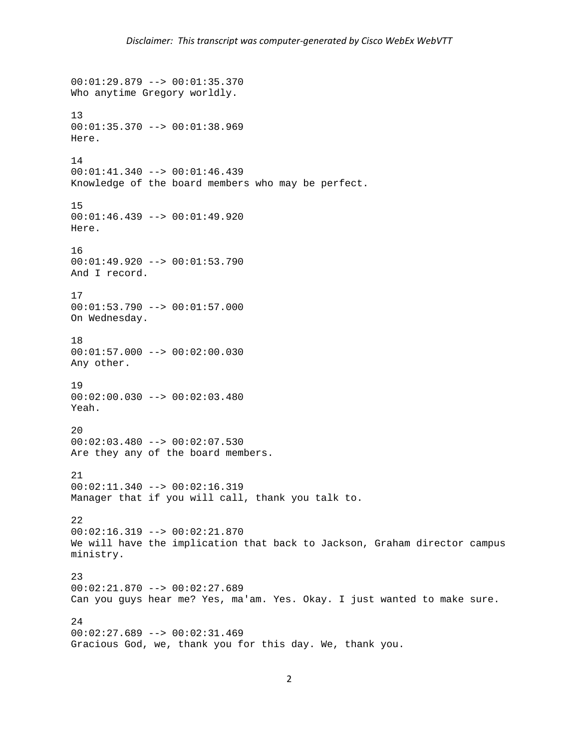```
00:01:29.879 --> 00:01:35.370 
Who anytime Gregory worldly. 
13 
00:01:35.370 --> 00:01:38.969 
Here. 
14 
00:01:41.340 --> 00:01:46.439 
Knowledge of the board members who may be perfect. 
15 
00:01:46.439 --> 00:01:49.920 
Here. 
16 
00:01:49.920 --> 00:01:53.790 
And I record. 
17 
00:01:53.790 --> 00:01:57.000 
On Wednesday. 
18 
00:01:57.000 --> 00:02:00.030 
Any other. 
19 
00:02:00.030 --> 00:02:03.480 
Yeah. 
20 
00:02:03.480 --> 00:02:07.530Are they any of the board members.
21 
00:02:11.340 --> 00:02:16.319Manager that if you will call, thank you talk to. 
22 
00:02:16.319 --> 00:02:21.870 
We will have the implication that back to Jackson, Graham director campus 
ministry. 
23 
00:02:21.870 --> 00:02:27.689 
Can you guys hear me? Yes, ma'am. Yes. Okay. I just wanted to make sure. 
24 
00:02:27.689 --> 00:02:31.469 
Gracious God, we, thank you for this day. We, thank you.
```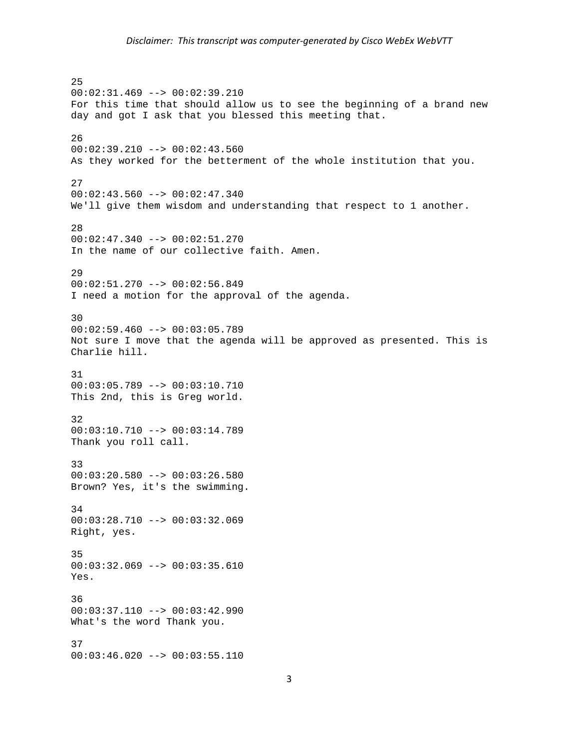25 00:02:31.469 --> 00:02:39.210 For this time that should allow us to see the beginning of a brand new day and got I ask that you blessed this meeting that. 26  $00:02:39.210$  -->  $00:02:43.560$ As they worked for the betterment of the whole institution that you. 27  $00:02:43.560$  -->  $00:02:47.340$ We'll give them wisdom and understanding that respect to 1 another. 28 00:02:47.340 --> 00:02:51.270 In the name of our collective faith. Amen. 29 00:02:51.270 --> 00:02:56.849 I need a motion for the approval of the agenda. 30  $00:02:59.460$  -->  $00:03:05.789$ Not sure I move that the agenda will be approved as presented. This is Charlie hill. 31 00:03:05.789 --> 00:03:10.710 This 2nd, this is Greg world. 32 00:03:10.710 --> 00:03:14.789 Thank you roll call. 33 00:03:20.580 --> 00:03:26.580 Brown? Yes, it's the swimming. 34 00:03:28.710 --> 00:03:32.069 Right, yes. 35 00:03:32.069 --> 00:03:35.610 Yes. 36 00:03:37.110 --> 00:03:42.990 What's the word Thank you. 37 00:03:46.020 --> 00:03:55.110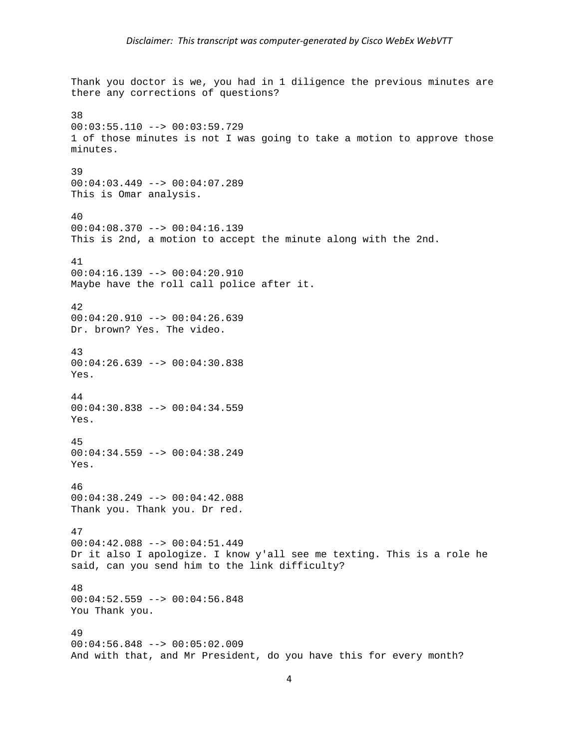Thank you doctor is we, you had in 1 diligence the previous minutes are there any corrections of questions? 38  $00:03:55.110$  -->  $00:03:59.729$ 1 of those minutes is not I was going to take a motion to approve those minutes. 39 00:04:03.449 --> 00:04:07.289 This is Omar analysis. 40 00:04:08.370 --> 00:04:16.139 This is 2nd, a motion to accept the minute along with the 2nd. 41 00:04:16.139 --> 00:04:20.910 Maybe have the roll call police after it. 42 00:04:20.910 --> 00:04:26.639 Dr. brown? Yes. The video. 43  $00:04:26.639$  -->  $00:04:30.838$ Yes. 44 00:04:30.838 --> 00:04:34.559 Yes. 45  $00:04:34.559$  -->  $00:04:38.249$ Yes. 46 00:04:38.249 --> 00:04:42.088 Thank you. Thank you. Dr red. 47 00:04:42.088 --> 00:04:51.449 Dr it also I apologize. I know y'all see me texting. This is a role he said, can you send him to the link difficulty? 48 00:04:52.559 --> 00:04:56.848 You Thank you. 49 00:04:56.848 --> 00:05:02.009 And with that, and Mr President, do you have this for every month?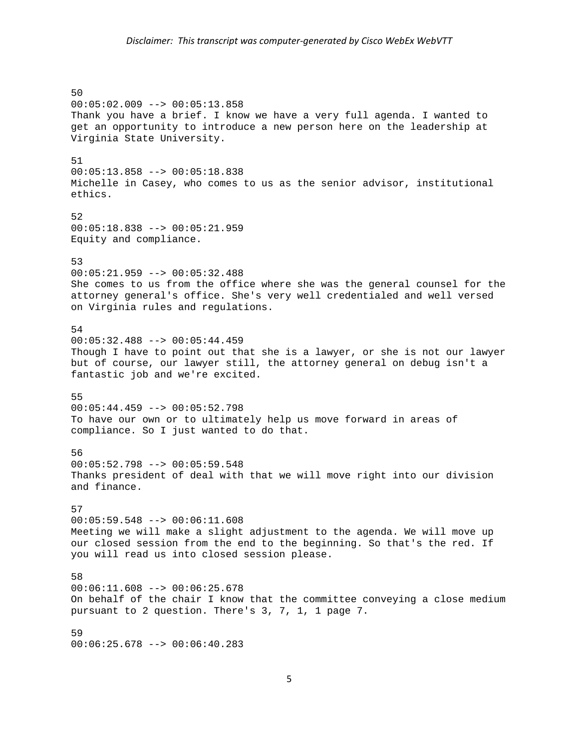## *Disclaimer: This transcript was computer‐generated by Cisco WebEx WebVTT*

50 00:05:02.009 --> 00:05:13.858 Thank you have a brief. I know we have a very full agenda. I wanted to get an opportunity to introduce a new person here on the leadership at Virginia State University. 51 00:05:13.858 --> 00:05:18.838 Michelle in Casey, who comes to us as the senior advisor, institutional ethics. 52 00:05:18.838 --> 00:05:21.959 Equity and compliance. 53 00:05:21.959 --> 00:05:32.488 She comes to us from the office where she was the general counsel for the attorney general's office. She's very well credentialed and well versed on Virginia rules and regulations. 54 00:05:32.488 --> 00:05:44.459 Though I have to point out that she is a lawyer, or she is not our lawyer but of course, our lawyer still, the attorney general on debug isn't a fantastic job and we're excited. 55 00:05:44.459 --> 00:05:52.798 To have our own or to ultimately help us move forward in areas of compliance. So I just wanted to do that. 56 00:05:52.798 --> 00:05:59.548 Thanks president of deal with that we will move right into our division and finance. 57 00:05:59.548 --> 00:06:11.608 Meeting we will make a slight adjustment to the agenda. We will move up our closed session from the end to the beginning. So that's the red. If you will read us into closed session please. 58 00:06:11.608 --> 00:06:25.678 On behalf of the chair I know that the committee conveying a close medium pursuant to 2 question. There's 3, 7, 1, 1 page 7. 59 00:06:25.678 --> 00:06:40.283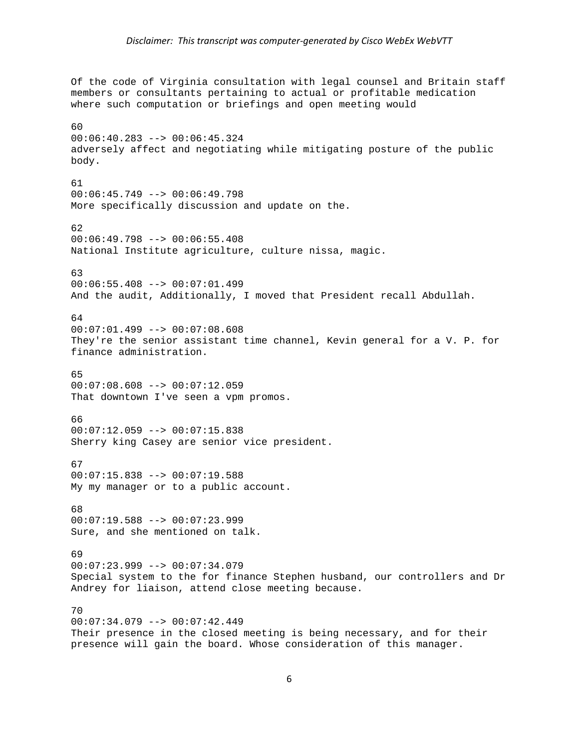Of the code of Virginia consultation with legal counsel and Britain staff members or consultants pertaining to actual or profitable medication where such computation or briefings and open meeting would 60 00:06:40.283 --> 00:06:45.324 adversely affect and negotiating while mitigating posture of the public body. 61 00:06:45.749 --> 00:06:49.798 More specifically discussion and update on the. 62 00:06:49.798 --> 00:06:55.408 National Institute agriculture, culture nissa, magic. 63 00:06:55.408 --> 00:07:01.499 And the audit, Additionally, I moved that President recall Abdullah. 64  $00:07:01.499$  -->  $00:07:08.608$ They're the senior assistant time channel, Kevin general for a V. P. for finance administration. 65 00:07:08.608 --> 00:07:12.059 That downtown I've seen a vpm promos. 66 00:07:12.059 --> 00:07:15.838 Sherry king Casey are senior vice president. 67 00:07:15.838 --> 00:07:19.588 My my manager or to a public account. 68 00:07:19.588 --> 00:07:23.999 Sure, and she mentioned on talk. 69 00:07:23.999 --> 00:07:34.079 Special system to the for finance Stephen husband, our controllers and Dr Andrey for liaison, attend close meeting because. 70  $00:07:34.079$  -->  $00:07:42.449$ Their presence in the closed meeting is being necessary, and for their

presence will gain the board. Whose consideration of this manager.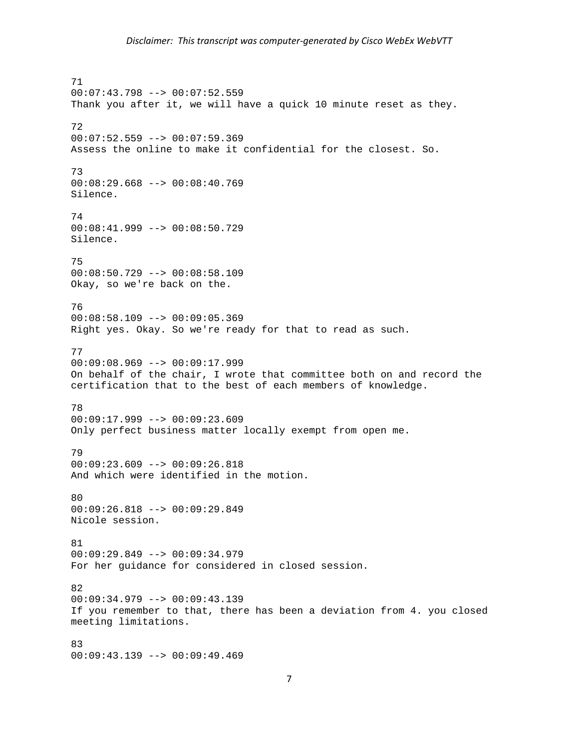71 00:07:43.798 --> 00:07:52.559 Thank you after it, we will have a quick 10 minute reset as they. 72  $00:07:52.559$  -->  $00:07:59.369$ Assess the online to make it confidential for the closest. So. 73 00:08:29.668 --> 00:08:40.769 Silence. 74 00:08:41.999 --> 00:08:50.729 Silence. 75 00:08:50.729 --> 00:08:58.109 Okay, so we're back on the. 76 00:08:58.109 --> 00:09:05.369 Right yes. Okay. So we're ready for that to read as such. 77 00:09:08.969 --> 00:09:17.999 On behalf of the chair, I wrote that committee both on and record the certification that to the best of each members of knowledge. 78 00:09:17.999 --> 00:09:23.609 Only perfect business matter locally exempt from open me. 79 00:09:23.609 --> 00:09:26.818 And which were identified in the motion. 80 00:09:26.818 --> 00:09:29.849 Nicole session. 81 00:09:29.849 --> 00:09:34.979 For her guidance for considered in closed session. 82 00:09:34.979 --> 00:09:43.139 If you remember to that, there has been a deviation from 4. you closed meeting limitations. 83 00:09:43.139 --> 00:09:49.469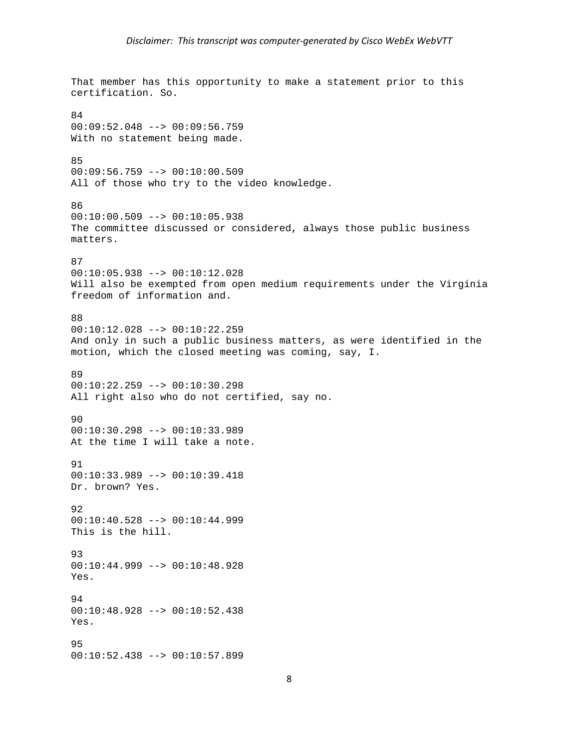That member has this opportunity to make a statement prior to this certification. So. 84 00:09:52.048 --> 00:09:56.759 With no statement being made. 85 00:09:56.759 --> 00:10:00.509 All of those who try to the video knowledge. 86 00:10:00.509 --> 00:10:05.938 The committee discussed or considered, always those public business matters. 87 00:10:05.938 --> 00:10:12.028 Will also be exempted from open medium requirements under the Virginia freedom of information and. 88 00:10:12.028 --> 00:10:22.259 And only in such a public business matters, as were identified in the motion, which the closed meeting was coming, say, I. 89 00:10:22.259 --> 00:10:30.298 All right also who do not certified, say no. 90 00:10:30.298 --> 00:10:33.989 At the time I will take a note. 91 00:10:33.989 --> 00:10:39.418 Dr. brown? Yes. 92 00:10:40.528 --> 00:10:44.999 This is the hill. 93 00:10:44.999 --> 00:10:48.928 Yes. 94 00:10:48.928 --> 00:10:52.438 Yes. 95 00:10:52.438 --> 00:10:57.899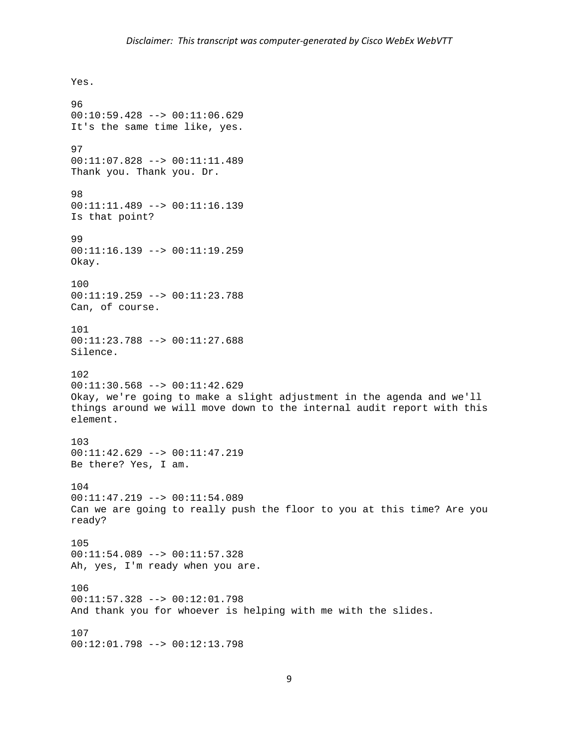Yes. 96 00:10:59.428 --> 00:11:06.629 It's the same time like, yes. 97 00:11:07.828 --> 00:11:11.489 Thank you. Thank you. Dr. 98 00:11:11.489 --> 00:11:16.139 Is that point? 99 00:11:16.139 --> 00:11:19.259 Okay. 100 00:11:19.259 --> 00:11:23.788 Can, of course. 101 00:11:23.788 --> 00:11:27.688 Silence. 102 00:11:30.568 --> 00:11:42.629 Okay, we're going to make a slight adjustment in the agenda and we'll things around we will move down to the internal audit report with this element. 103 00:11:42.629 --> 00:11:47.219 Be there? Yes, I am. 104 00:11:47.219 --> 00:11:54.089 Can we are going to really push the floor to you at this time? Are you ready? 105 00:11:54.089 --> 00:11:57.328 Ah, yes, I'm ready when you are. 106 00:11:57.328 --> 00:12:01.798 And thank you for whoever is helping with me with the slides. 107 00:12:01.798 --> 00:12:13.798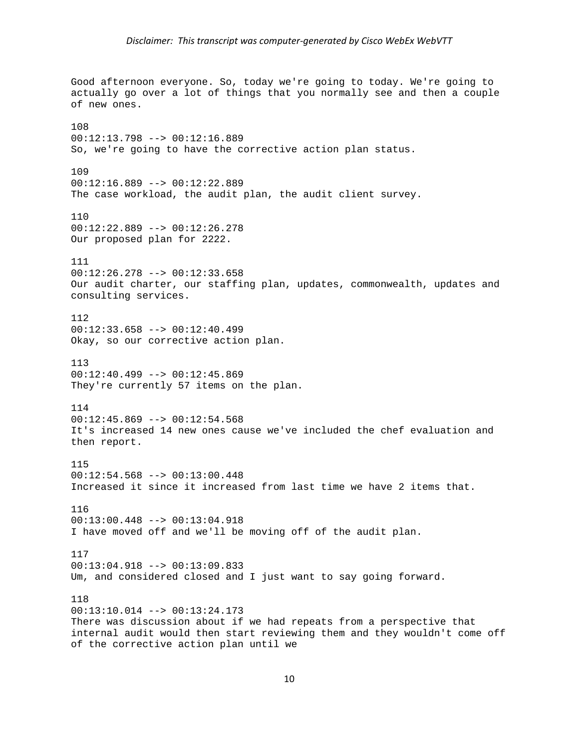Good afternoon everyone. So, today we're going to today. We're going to actually go over a lot of things that you normally see and then a couple of new ones. 108 00:12:13.798 --> 00:12:16.889 So, we're going to have the corrective action plan status. 109 00:12:16.889 --> 00:12:22.889 The case workload, the audit plan, the audit client survey. 110 00:12:22.889 --> 00:12:26.278 Our proposed plan for 2222. 111 00:12:26.278 --> 00:12:33.658 Our audit charter, our staffing plan, updates, commonwealth, updates and consulting services. 112  $00:12:33.658$  -->  $00:12:40.499$ Okay, so our corrective action plan. 113 00:12:40.499 --> 00:12:45.869 They're currently 57 items on the plan. 114 00:12:45.869 --> 00:12:54.568 It's increased 14 new ones cause we've included the chef evaluation and then report. 115 00:12:54.568 --> 00:13:00.448 Increased it since it increased from last time we have 2 items that. 116 00:13:00.448 --> 00:13:04.918 I have moved off and we'll be moving off of the audit plan. 117 00:13:04.918 --> 00:13:09.833 Um, and considered closed and I just want to say going forward. 118 00:13:10.014 --> 00:13:24.173 There was discussion about if we had repeats from a perspective that internal audit would then start reviewing them and they wouldn't come off of the corrective action plan until we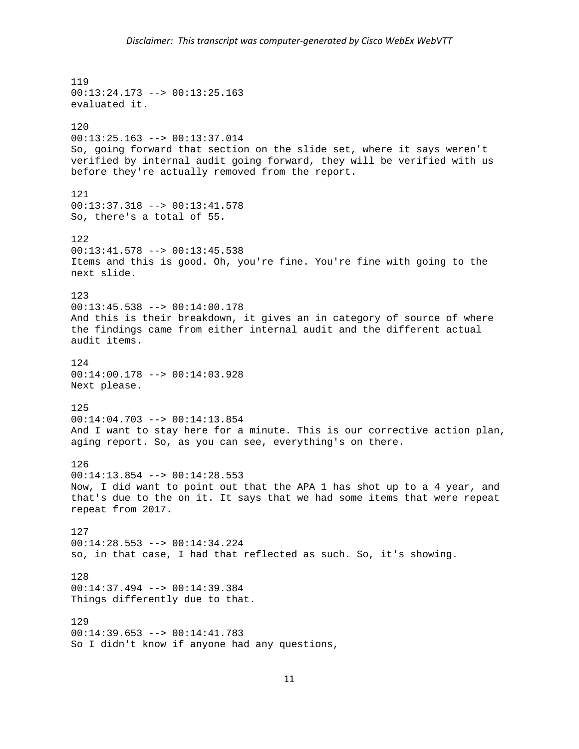119 00:13:24.173 --> 00:13:25.163 evaluated it. 120 00:13:25.163 --> 00:13:37.014 So, going forward that section on the slide set, where it says weren't verified by internal audit going forward, they will be verified with us before they're actually removed from the report. 121 00:13:37.318 --> 00:13:41.578 So, there's a total of 55. 122 00:13:41.578 --> 00:13:45.538 Items and this is good. Oh, you're fine. You're fine with going to the next slide. 123 00:13:45.538 --> 00:14:00.178 And this is their breakdown, it gives an in category of source of where the findings came from either internal audit and the different actual audit items. 124 00:14:00.178 --> 00:14:03.928 Next please. 125 00:14:04.703 --> 00:14:13.854 And I want to stay here for a minute. This is our corrective action plan, aging report. So, as you can see, everything's on there. 126 00:14:13.854 --> 00:14:28.553 Now, I did want to point out that the APA 1 has shot up to a 4 year, and that's due to the on it. It says that we had some items that were repeat repeat from 2017. 127 00:14:28.553 --> 00:14:34.224 so, in that case, I had that reflected as such. So, it's showing. 128 00:14:37.494 --> 00:14:39.384 Things differently due to that. 129 00:14:39.653 --> 00:14:41.783 So I didn't know if anyone had any questions,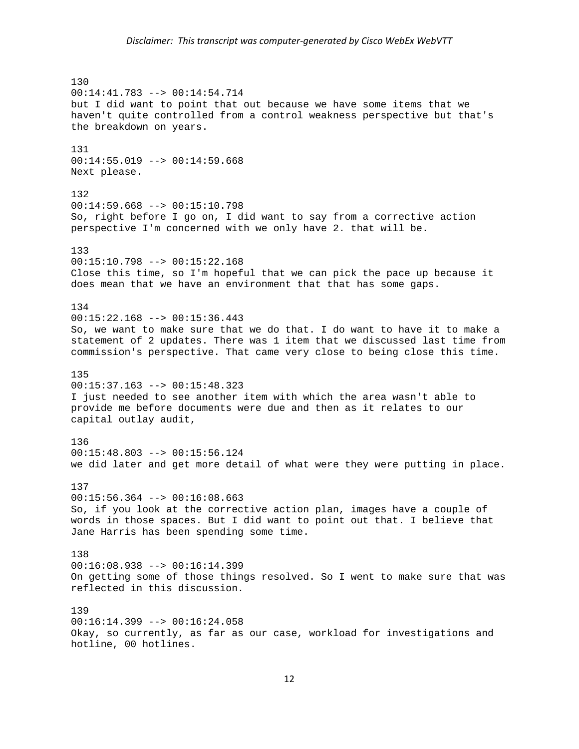## *Disclaimer: This transcript was computer‐generated by Cisco WebEx WebVTT*

130 00:14:41.783 --> 00:14:54.714 but I did want to point that out because we have some items that we haven't quite controlled from a control weakness perspective but that's the breakdown on years. 131 00:14:55.019 --> 00:14:59.668 Next please. 132  $00:14:59.668$  -->  $00:15:10.798$ So, right before I go on, I did want to say from a corrective action perspective I'm concerned with we only have 2. that will be. 133  $00:15:10.798$  -->  $00:15:22.168$ Close this time, so I'm hopeful that we can pick the pace up because it does mean that we have an environment that that has some gaps. 134 00:15:22.168 --> 00:15:36.443 So, we want to make sure that we do that. I do want to have it to make a statement of 2 updates. There was 1 item that we discussed last time from commission's perspective. That came very close to being close this time. 135 00:15:37.163 --> 00:15:48.323 I just needed to see another item with which the area wasn't able to provide me before documents were due and then as it relates to our capital outlay audit, 136 00:15:48.803 --> 00:15:56.124 we did later and get more detail of what were they were putting in place. 137 00:15:56.364 --> 00:16:08.663 So, if you look at the corrective action plan, images have a couple of words in those spaces. But I did want to point out that. I believe that Jane Harris has been spending some time. 138 00:16:08.938 --> 00:16:14.399 On getting some of those things resolved. So I went to make sure that was reflected in this discussion. 139  $00:16:14.399$  -->  $00:16:24.058$ Okay, so currently, as far as our case, workload for investigations and hotline, 00 hotlines.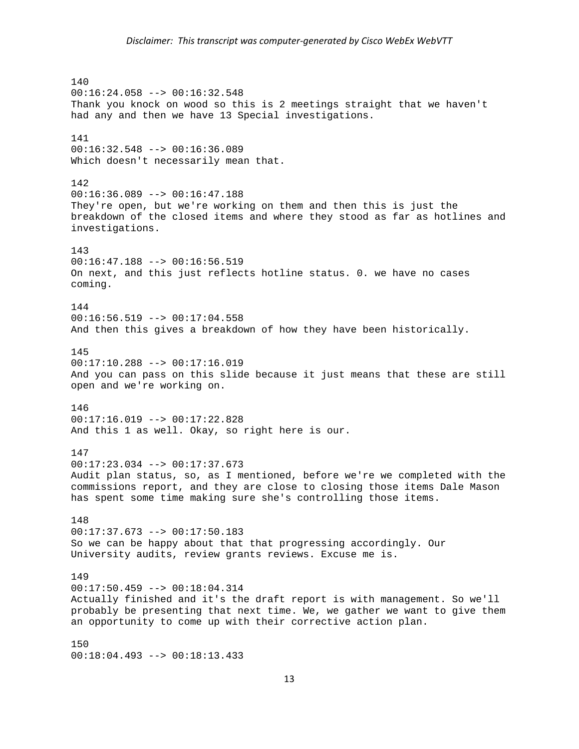140 00:16:24.058 --> 00:16:32.548 Thank you knock on wood so this is 2 meetings straight that we haven't had any and then we have 13 Special investigations. 141 00:16:32.548 --> 00:16:36.089 Which doesn't necessarily mean that. 142 00:16:36.089 --> 00:16:47.188 They're open, but we're working on them and then this is just the breakdown of the closed items and where they stood as far as hotlines and investigations. 143 00:16:47.188 --> 00:16:56.519 On next, and this just reflects hotline status. 0. we have no cases coming. 144  $00:16:56.519$  -->  $00:17:04.558$ And then this gives a breakdown of how they have been historically. 145 00:17:10.288 --> 00:17:16.019 And you can pass on this slide because it just means that these are still open and we're working on. 146 00:17:16.019 --> 00:17:22.828 And this 1 as well. Okay, so right here is our. 147  $00:17:23.034$  -->  $00:17:37.673$ Audit plan status, so, as I mentioned, before we're we completed with the commissions report, and they are close to closing those items Dale Mason has spent some time making sure she's controlling those items. 148 00:17:37.673 --> 00:17:50.183 So we can be happy about that that progressing accordingly. Our University audits, review grants reviews. Excuse me is. 149 00:17:50.459 --> 00:18:04.314 Actually finished and it's the draft report is with management. So we'll probably be presenting that next time. We, we gather we want to give them an opportunity to come up with their corrective action plan. 150 00:18:04.493 --> 00:18:13.433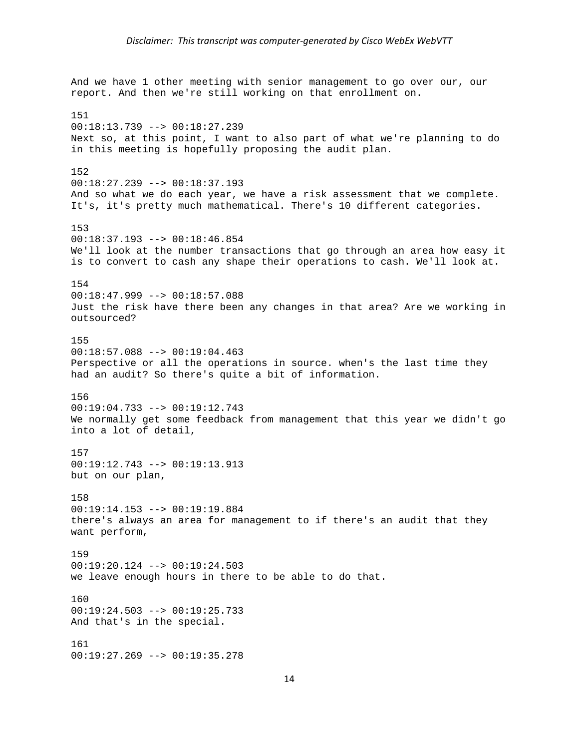And we have 1 other meeting with senior management to go over our, our report. And then we're still working on that enrollment on. 151 00:18:13.739 --> 00:18:27.239 Next so, at this point, I want to also part of what we're planning to do in this meeting is hopefully proposing the audit plan. 152 00:18:27.239 --> 00:18:37.193 And so what we do each year, we have a risk assessment that we complete. It's, it's pretty much mathematical. There's 10 different categories. 153 00:18:37.193 --> 00:18:46.854 We'll look at the number transactions that go through an area how easy it is to convert to cash any shape their operations to cash. We'll look at. 154 00:18:47.999 --> 00:18:57.088 Just the risk have there been any changes in that area? Are we working in outsourced? 155 00:18:57.088 --> 00:19:04.463 Perspective or all the operations in source. when's the last time they had an audit? So there's quite a bit of information. 156  $00:19:04.733$  -->  $00:19:12.743$ We normally get some feedback from management that this year we didn't go into a lot of detail, 157 00:19:12.743 --> 00:19:13.913 but on our plan, 158 00:19:14.153 --> 00:19:19.884 there's always an area for management to if there's an audit that they want perform, 159 00:19:20.124 --> 00:19:24.503 we leave enough hours in there to be able to do that. 160 00:19:24.503 --> 00:19:25.733 And that's in the special. 161 00:19:27.269 --> 00:19:35.278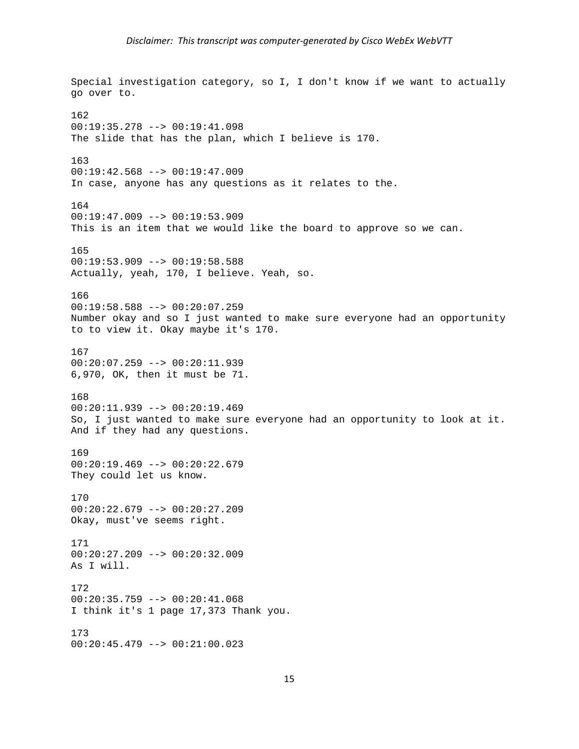Special investigation category, so I, I don't know if we want to actually go over to. 162 00:19:35.278 --> 00:19:41.098 The slide that has the plan, which I believe is 170. 163 00:19:42.568 --> 00:19:47.009 In case, anyone has any questions as it relates to the. 164 00:19:47.009 --> 00:19:53.909 This is an item that we would like the board to approve so we can. 165  $00:19:53.909$  -->  $00:19:58.588$ Actually, yeah, 170, I believe. Yeah, so. 166 00:19:58.588 --> 00:20:07.259 Number okay and so I just wanted to make sure everyone had an opportunity to to view it. Okay maybe it's 170. 167 00:20:07.259 --> 00:20:11.939 6,970, OK, then it must be 71. 168 00:20:11.939 --> 00:20:19.469 So, I just wanted to make sure everyone had an opportunity to look at it. And if they had any questions. 169  $00:20:19.469$  -->  $00:20:22.679$ They could let us know. 170 00:20:22.679 --> 00:20:27.209 Okay, must've seems right. 171  $00:20:27.209$  -->  $00:20:32.009$ As I will. 172 00:20:35.759 --> 00:20:41.068 I think it's 1 page 17,373 Thank you. 173 00:20:45.479 --> 00:21:00.023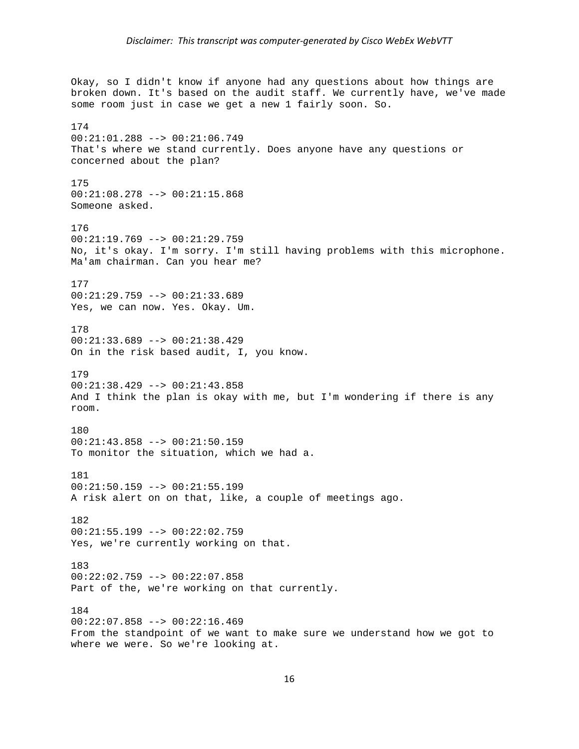Okay, so I didn't know if anyone had any questions about how things are broken down. It's based on the audit staff. We currently have, we've made some room just in case we get a new 1 fairly soon. So. 174 00:21:01.288 --> 00:21:06.749 That's where we stand currently. Does anyone have any questions or concerned about the plan? 175 00:21:08.278 --> 00:21:15.868 Someone asked. 176 00:21:19.769 --> 00:21:29.759 No, it's okay. I'm sorry. I'm still having problems with this microphone. Ma'am chairman. Can you hear me? 177 00:21:29.759 --> 00:21:33.689 Yes, we can now. Yes. Okay. Um. 178 00:21:33.689 --> 00:21:38.429 On in the risk based audit, I, you know. 179 00:21:38.429 --> 00:21:43.858 And I think the plan is okay with me, but I'm wondering if there is any room. 180 00:21:43.858 --> 00:21:50.159 To monitor the situation, which we had a. 181  $00:21:50.159$  -->  $00:21:55.199$ A risk alert on on that, like, a couple of meetings ago. 182 00:21:55.199 --> 00:22:02.759 Yes, we're currently working on that. 183 00:22:02.759 --> 00:22:07.858 Part of the, we're working on that currently. 184  $00:22:07.858$  -->  $00:22:16.469$ From the standpoint of we want to make sure we understand how we got to where we were. So we're looking at.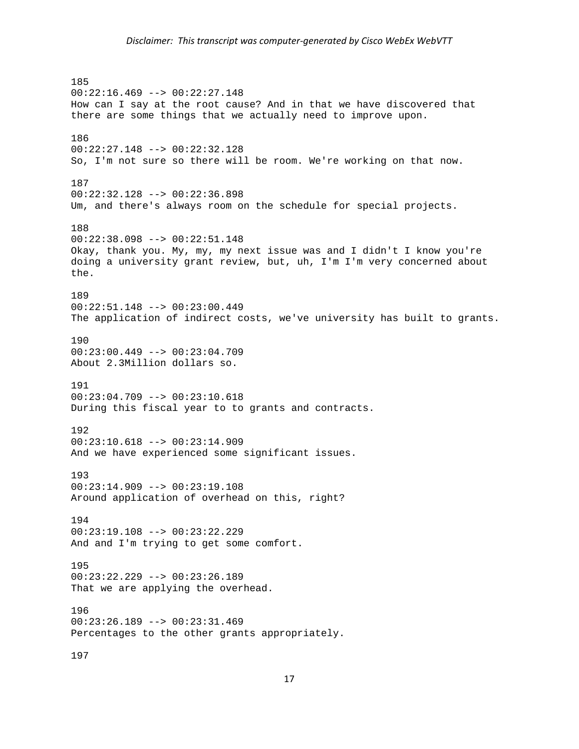185 00:22:16.469 --> 00:22:27.148 How can I say at the root cause? And in that we have discovered that there are some things that we actually need to improve upon. 186 00:22:27.148 --> 00:22:32.128 So, I'm not sure so there will be room. We're working on that now. 187 00:22:32.128 --> 00:22:36.898 Um, and there's always room on the schedule for special projects. 188 00:22:38.098 --> 00:22:51.148 Okay, thank you. My, my, my next issue was and I didn't I know you're doing a university grant review, but, uh, I'm I'm very concerned about the. 189 00:22:51.148 --> 00:23:00.449 The application of indirect costs, we've university has built to grants. 190 00:23:00.449 --> 00:23:04.709 About 2.3Million dollars so. 191  $00:23:04.709$  -->  $00:23:10.618$ During this fiscal year to to grants and contracts. 192 00:23:10.618 --> 00:23:14.909 And we have experienced some significant issues. 193  $00:23:14.909$  -->  $00:23:19.108$ Around application of overhead on this, right? 194 00:23:19.108 --> 00:23:22.229 And and I'm trying to get some comfort. 195 00:23:22.229 --> 00:23:26.189 That we are applying the overhead. 196  $00:23:26.189$  -->  $00:23:31.469$ Percentages to the other grants appropriately. 197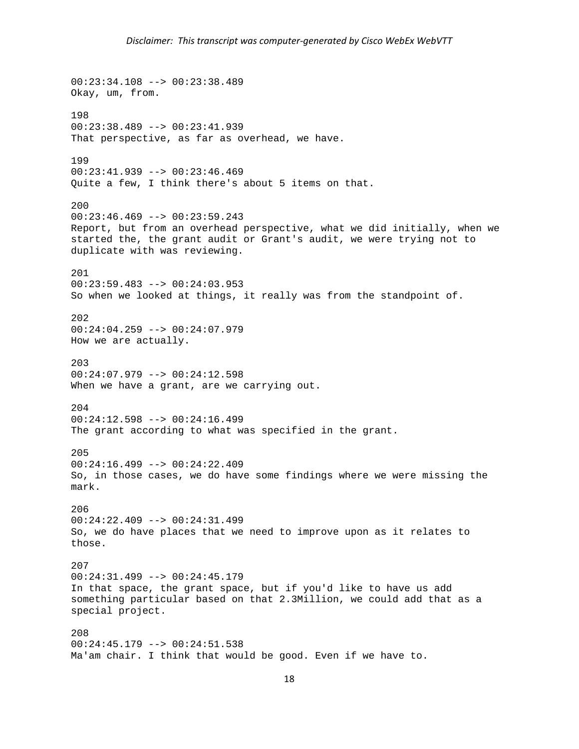00:23:34.108 --> 00:23:38.489 Okay, um, from. 198 00:23:38.489 --> 00:23:41.939 That perspective, as far as overhead, we have. 199 00:23:41.939 --> 00:23:46.469 Quite a few, I think there's about 5 items on that. 200  $00:23:46.469$  -->  $00:23:59.243$ Report, but from an overhead perspective, what we did initially, when we started the, the grant audit or Grant's audit, we were trying not to duplicate with was reviewing. 201  $00:23:59.483$  -->  $00:24:03.953$ So when we looked at things, it really was from the standpoint of. 202 00:24:04.259 --> 00:24:07.979 How we are actually. 203 00:24:07.979 --> 00:24:12.598 When we have a grant, are we carrying out. 204 00:24:12.598 --> 00:24:16.499 The grant according to what was specified in the grant. 205 00:24:16.499 --> 00:24:22.409 So, in those cases, we do have some findings where we were missing the mark. 206 00:24:22.409 --> 00:24:31.499 So, we do have places that we need to improve upon as it relates to those. 207 00:24:31.499 --> 00:24:45.179 In that space, the grant space, but if you'd like to have us add something particular based on that 2.3Million, we could add that as a special project. 208 00:24:45.179 --> 00:24:51.538 Ma'am chair. I think that would be good. Even if we have to.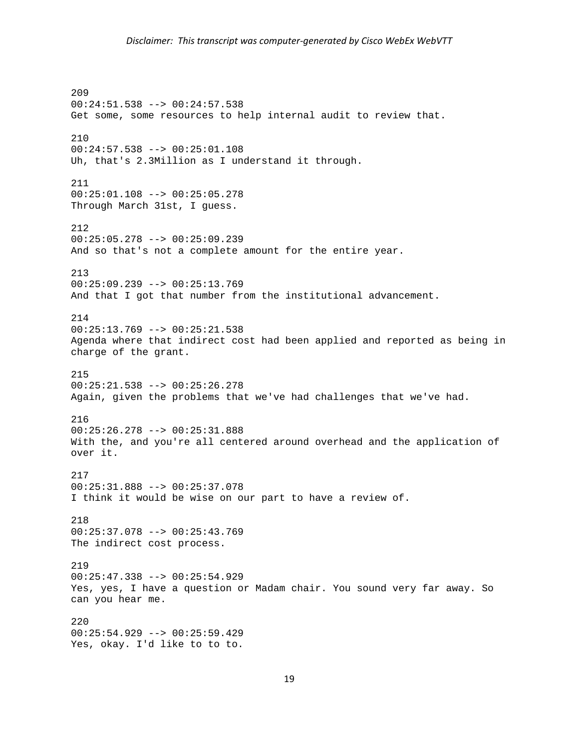209 00:24:51.538 --> 00:24:57.538 Get some, some resources to help internal audit to review that. 210 00:24:57.538 --> 00:25:01.108 Uh, that's 2.3Million as I understand it through. 211 00:25:01.108 --> 00:25:05.278 Through March 31st, I guess. 212 00:25:05.278 --> 00:25:09.239 And so that's not a complete amount for the entire year. 213 00:25:09.239 --> 00:25:13.769 And that I got that number from the institutional advancement. 214  $00:25:13.769$  -->  $00:25:21.538$ Agenda where that indirect cost had been applied and reported as being in charge of the grant. 215 00:25:21.538 --> 00:25:26.278 Again, given the problems that we've had challenges that we've had. 216 00:25:26.278 --> 00:25:31.888 With the, and you're all centered around overhead and the application of over it. 217 00:25:31.888 --> 00:25:37.078 I think it would be wise on our part to have a review of. 218 00:25:37.078 --> 00:25:43.769 The indirect cost process. 219 00:25:47.338 --> 00:25:54.929 Yes, yes, I have a question or Madam chair. You sound very far away. So can you hear me. 220 00:25:54.929 --> 00:25:59.429 Yes, okay. I'd like to to to.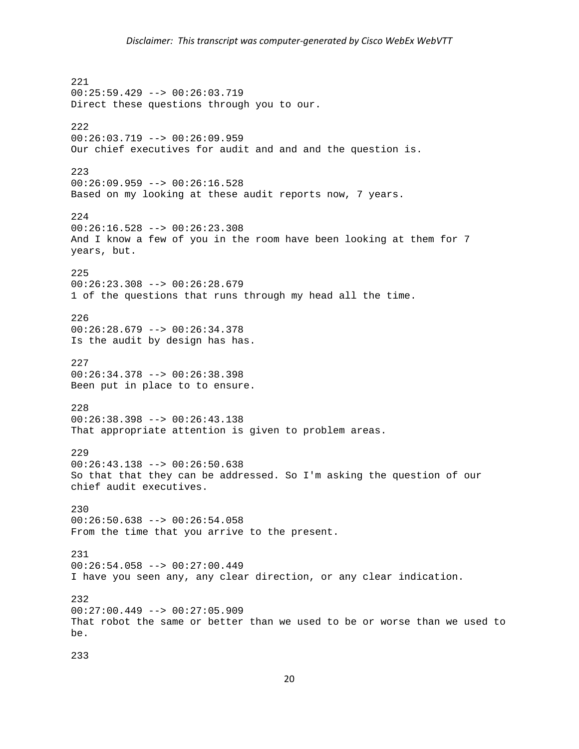221 00:25:59.429 --> 00:26:03.719 Direct these questions through you to our. 222  $00:26:03.719$  -->  $00:26:09.959$ Our chief executives for audit and and and the question is. 223 00:26:09.959 --> 00:26:16.528 Based on my looking at these audit reports now, 7 years. 224 00:26:16.528 --> 00:26:23.308 And I know a few of you in the room have been looking at them for 7 years, but. 225 00:26:23.308 --> 00:26:28.679 1 of the questions that runs through my head all the time. 226  $00:26:28.679$  -->  $00:26:34.378$ Is the audit by design has has. 227 00:26:34.378 --> 00:26:38.398 Been put in place to to ensure. 228 00:26:38.398 --> 00:26:43.138 That appropriate attention is given to problem areas. 229  $00:26:43.138$  -->  $00:26:50.638$ So that that they can be addressed. So I'm asking the question of our chief audit executives. 230 00:26:50.638 --> 00:26:54.058 From the time that you arrive to the present. 231 00:26:54.058 --> 00:27:00.449 I have you seen any, any clear direction, or any clear indication. 232 00:27:00.449 --> 00:27:05.909 That robot the same or better than we used to be or worse than we used to be.

233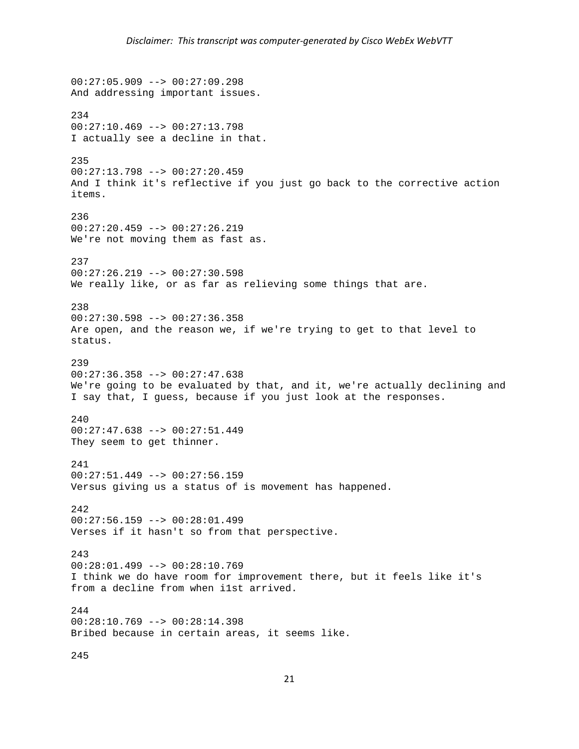00:27:05.909 --> 00:27:09.298 And addressing important issues. 234  $00:27:10.469$  -->  $00:27:13.798$ I actually see a decline in that. 235 00:27:13.798 --> 00:27:20.459 And I think it's reflective if you just go back to the corrective action items. 236 00:27:20.459 --> 00:27:26.219 We're not moving them as fast as. 237 00:27:26.219 --> 00:27:30.598 We really like, or as far as relieving some things that are. 238 00:27:30.598 --> 00:27:36.358 Are open, and the reason we, if we're trying to get to that level to status. 239  $00:27:36.358$  -->  $00:27:47.638$ We're going to be evaluated by that, and it, we're actually declining and I say that, I guess, because if you just look at the responses. 240 00:27:47.638 --> 00:27:51.449 They seem to get thinner. 241 00:27:51.449 --> 00:27:56.159 Versus giving us a status of is movement has happened. 242 00:27:56.159 --> 00:28:01.499 Verses if it hasn't so from that perspective. 243 00:28:01.499 --> 00:28:10.769 I think we do have room for improvement there, but it feels like it's from a decline from when i1st arrived. 244  $00:28:10.769$  -->  $00:28:14.398$ Bribed because in certain areas, it seems like. 245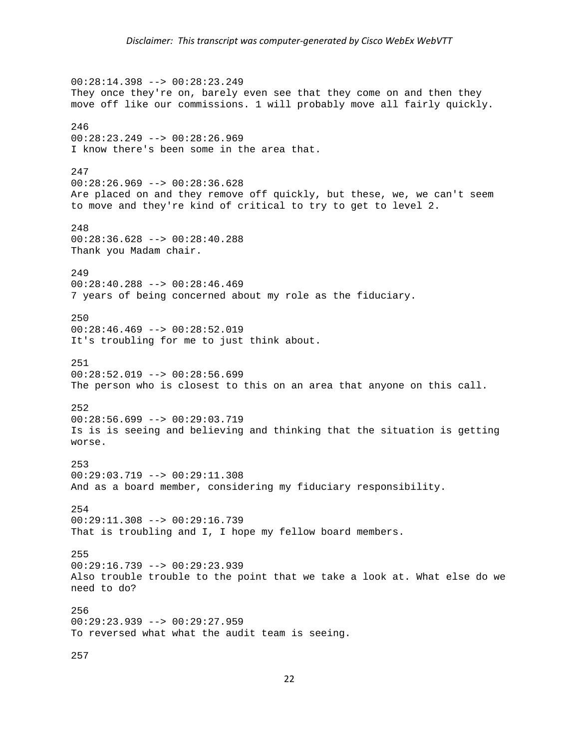00:28:14.398 --> 00:28:23.249 They once they're on, barely even see that they come on and then they move off like our commissions. 1 will probably move all fairly quickly. 246 00:28:23.249 --> 00:28:26.969 I know there's been some in the area that. 247 00:28:26.969 --> 00:28:36.628 Are placed on and they remove off quickly, but these, we, we can't seem to move and they're kind of critical to try to get to level 2. 248 00:28:36.628 --> 00:28:40.288 Thank you Madam chair. 249 00:28:40.288 --> 00:28:46.469 7 years of being concerned about my role as the fiduciary. 250  $00:28:46.469$  -->  $00:28:52.019$ It's troubling for me to just think about. 251  $00:28:52.019$  -->  $00:28:56.699$ The person who is closest to this on an area that anyone on this call. 252 00:28:56.699 --> 00:29:03.719 Is is is seeing and believing and thinking that the situation is getting worse. 253 00:29:03.719 --> 00:29:11.308 And as a board member, considering my fiduciary responsibility. 254 00:29:11.308 --> 00:29:16.739 That is troubling and I, I hope my fellow board members. 255 00:29:16.739 --> 00:29:23.939 Also trouble trouble to the point that we take a look at. What else do we need to do? 256  $00:29:23.939$  -->  $00:29:27.959$ To reversed what what the audit team is seeing. 257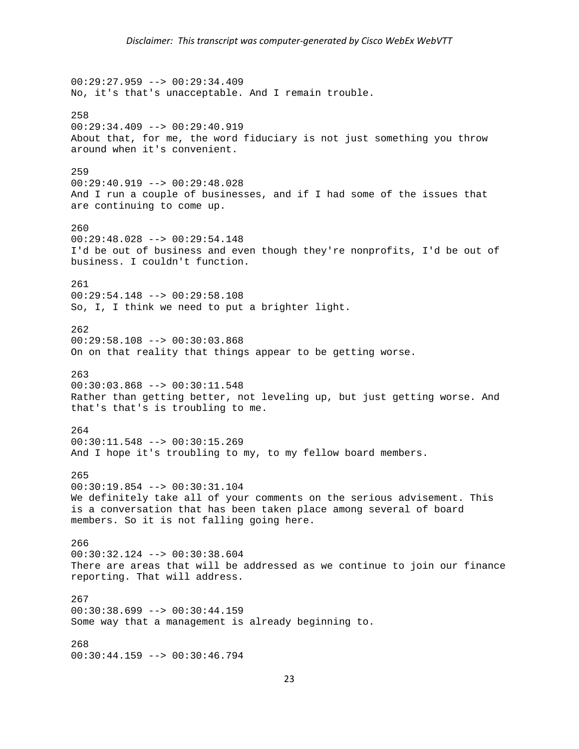00:29:27.959 --> 00:29:34.409 No, it's that's unacceptable. And I remain trouble. 258  $00:29:34.409$  -->  $00:29:40.919$ About that, for me, the word fiduciary is not just something you throw around when it's convenient. 259 00:29:40.919 --> 00:29:48.028 And I run a couple of businesses, and if I had some of the issues that are continuing to come up. 260 00:29:48.028 --> 00:29:54.148 I'd be out of business and even though they're nonprofits, I'd be out of business. I couldn't function. 261 00:29:54.148 --> 00:29:58.108 So, I, I think we need to put a brighter light. 262 00:29:58.108 --> 00:30:03.868 On on that reality that things appear to be getting worse. 263 00:30:03.868 --> 00:30:11.548 Rather than getting better, not leveling up, but just getting worse. And that's that's is troubling to me. 264 00:30:11.548 --> 00:30:15.269 And I hope it's troubling to my, to my fellow board members. 265 00:30:19.854 --> 00:30:31.104 We definitely take all of your comments on the serious advisement. This is a conversation that has been taken place among several of board members. So it is not falling going here. 266  $00:30:32.124$  -->  $00:30:38.604$ There are areas that will be addressed as we continue to join our finance reporting. That will address. 267 00:30:38.699 --> 00:30:44.159 Some way that a management is already beginning to. 268 00:30:44.159 --> 00:30:46.794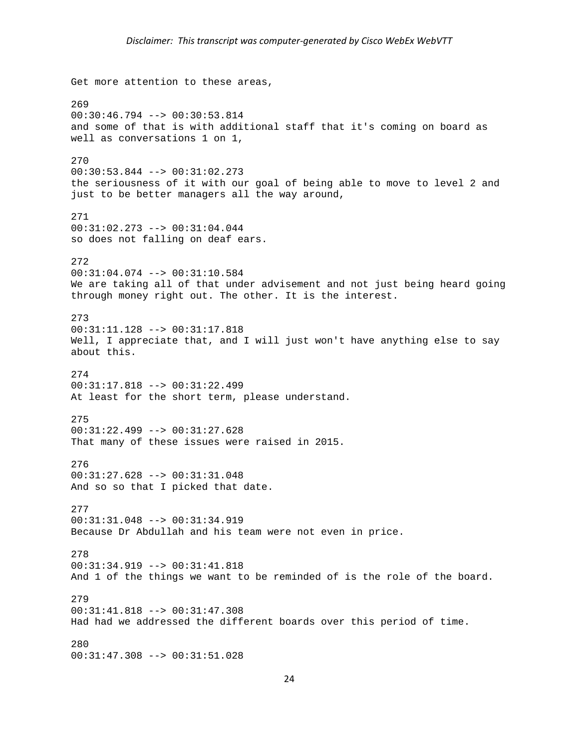Get more attention to these areas, 269 00:30:46.794 --> 00:30:53.814 and some of that is with additional staff that it's coming on board as well as conversations 1 on 1, 270 00:30:53.844 --> 00:31:02.273 the seriousness of it with our goal of being able to move to level 2 and just to be better managers all the way around, 271 00:31:02.273 --> 00:31:04.044 so does not falling on deaf ears. 272 00:31:04.074 --> 00:31:10.584 We are taking all of that under advisement and not just being heard going through money right out. The other. It is the interest. 273 00:31:11.128 --> 00:31:17.818 Well, I appreciate that, and I will just won't have anything else to say about this. 274 00:31:17.818 --> 00:31:22.499 At least for the short term, please understand. 275 00:31:22.499 --> 00:31:27.628 That many of these issues were raised in 2015. 276 00:31:27.628 --> 00:31:31.048 And so so that I picked that date. 277 00:31:31.048 --> 00:31:34.919 Because Dr Abdullah and his team were not even in price. 278 00:31:34.919 --> 00:31:41.818 And 1 of the things we want to be reminded of is the role of the board. 279 00:31:41.818 --> 00:31:47.308 Had had we addressed the different boards over this period of time. 280 00:31:47.308 --> 00:31:51.028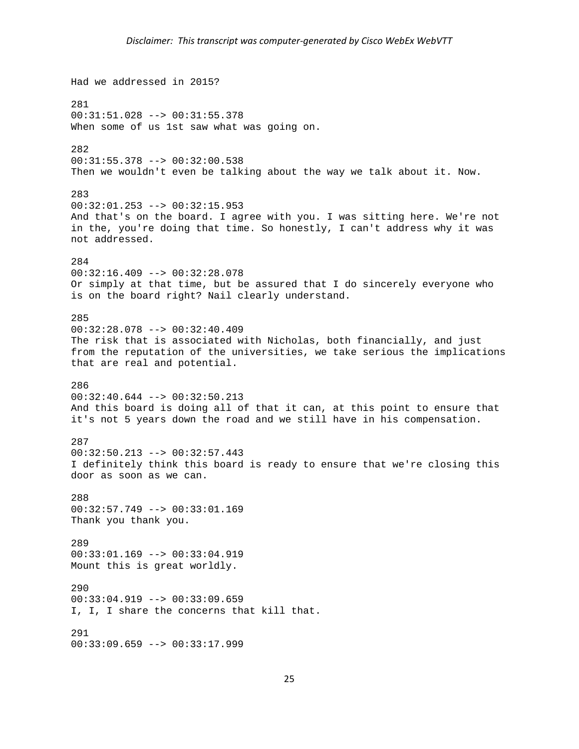```
Had we addressed in 2015? 
281 
00:31:51.028 --> 00:31:55.378 
When some of us 1st saw what was going on.
282 
00:31:55.378 --> 00:32:00.538 
Then we wouldn't even be talking about the way we talk about it. Now. 
283 
00:32:01.253 --> 00:32:15.953And that's on the board. I agree with you. I was sitting here. We're not 
in the, you're doing that time. So honestly, I can't address why it was 
not addressed. 
284 
00:32:16.409 --> 00:32:28.078 
Or simply at that time, but be assured that I do sincerely everyone who 
is on the board right? Nail clearly understand. 
285 
00:32:28.078 --> 00:32:40.409 
The risk that is associated with Nicholas, both financially, and just 
from the reputation of the universities, we take serious the implications 
that are real and potential. 
286 
00:32:40.644 --> 00:32:50.213And this board is doing all of that it can, at this point to ensure that 
it's not 5 years down the road and we still have in his compensation. 
287 
00:32:50.213 --> 00:32:57.443 
I definitely think this board is ready to ensure that we're closing this 
door as soon as we can. 
288 
00:32:57.749 --> 00:33:01.169 
Thank you thank you. 
289 
00:33:01.169 --> 00:33:04.919 
Mount this is great worldly. 
290 
00:33:04.919 --> 00:33:09.659 
I, I, I share the concerns that kill that. 
291 
00:33:09.659 --> 00:33:17.999
```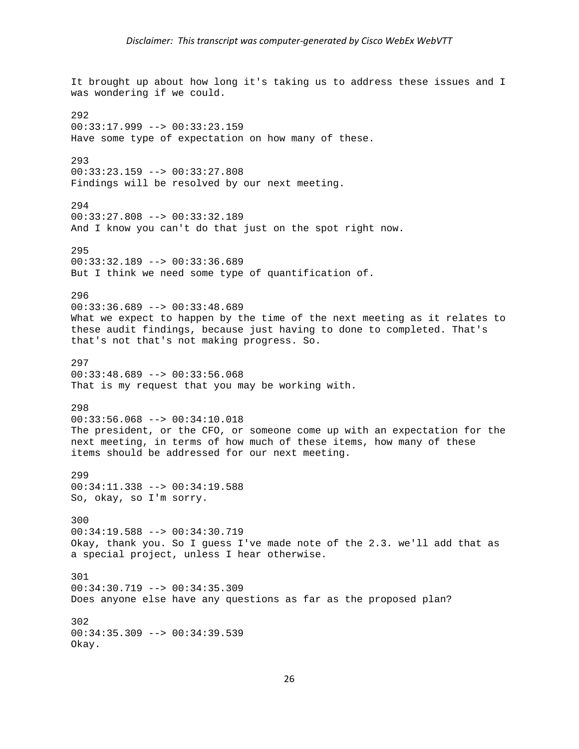It brought up about how long it's taking us to address these issues and I was wondering if we could. 292  $00:33:17.999$  -->  $00:33:23.159$ Have some type of expectation on how many of these. 293 00:33:23.159 --> 00:33:27.808 Findings will be resolved by our next meeting. 294 00:33:27.808 --> 00:33:32.189 And I know you can't do that just on the spot right now. 295 00:33:32.189 --> 00:33:36.689 But I think we need some type of quantification of. 296 00:33:36.689 --> 00:33:48.689 What we expect to happen by the time of the next meeting as it relates to these audit findings, because just having to done to completed. That's that's not that's not making progress. So. 297 00:33:48.689 --> 00:33:56.068 That is my request that you may be working with. 298 00:33:56.068 --> 00:34:10.018 The president, or the CFO, or someone come up with an expectation for the next meeting, in terms of how much of these items, how many of these items should be addressed for our next meeting. 299 00:34:11.338 --> 00:34:19.588 So, okay, so I'm sorry. 300 00:34:19.588 --> 00:34:30.719 Okay, thank you. So I guess I've made note of the 2.3. we'll add that as a special project, unless I hear otherwise. 301 00:34:30.719 --> 00:34:35.309 Does anyone else have any questions as far as the proposed plan? 302 00:34:35.309 --> 00:34:39.539 Okay.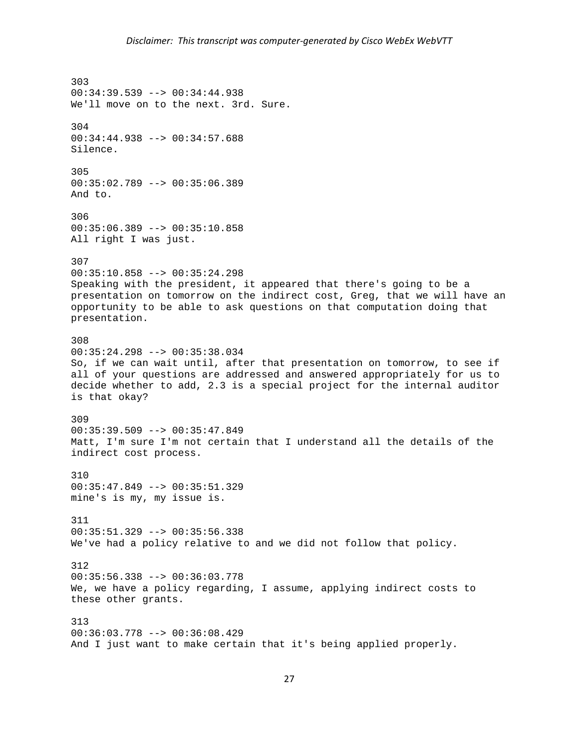303 00:34:39.539 --> 00:34:44.938 We'll move on to the next. 3rd. Sure. 304 00:34:44.938 --> 00:34:57.688 Silence. 305 00:35:02.789 --> 00:35:06.389 And to. 306 00:35:06.389 --> 00:35:10.858 All right I was just. 307 00:35:10.858 --> 00:35:24.298 Speaking with the president, it appeared that there's going to be a presentation on tomorrow on the indirect cost, Greg, that we will have an opportunity to be able to ask questions on that computation doing that presentation. 308 00:35:24.298 --> 00:35:38.034 So, if we can wait until, after that presentation on tomorrow, to see if all of your questions are addressed and answered appropriately for us to decide whether to add, 2.3 is a special project for the internal auditor is that okay? 309 00:35:39.509 --> 00:35:47.849 Matt, I'm sure I'm not certain that I understand all the details of the indirect cost process. 310 00:35:47.849 --> 00:35:51.329 mine's is my, my issue is. 311 00:35:51.329 --> 00:35:56.338 We've had a policy relative to and we did not follow that policy. 312 00:35:56.338 --> 00:36:03.778 We, we have a policy regarding, I assume, applying indirect costs to these other grants. 313 00:36:03.778 --> 00:36:08.429 And I just want to make certain that it's being applied properly.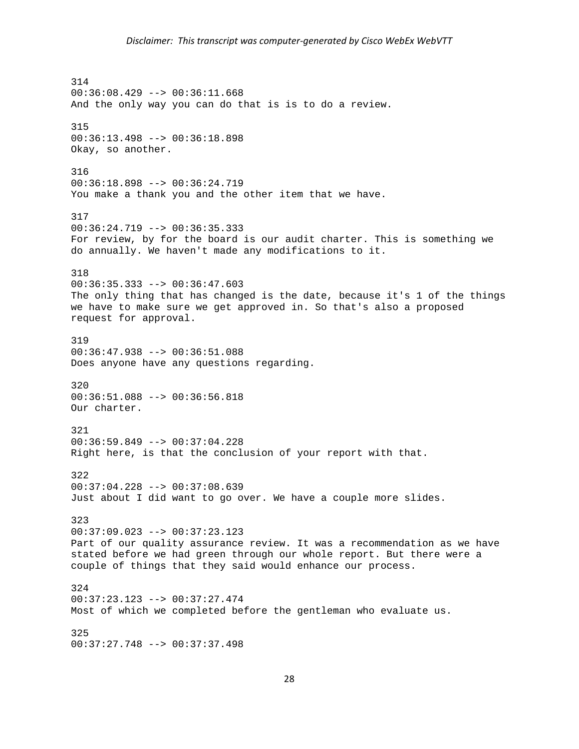## *Disclaimer: This transcript was computer‐generated by Cisco WebEx WebVTT*

314 00:36:08.429 --> 00:36:11.668 And the only way you can do that is is to do a review. 315 00:36:13.498 --> 00:36:18.898 Okay, so another. 316 00:36:18.898 --> 00:36:24.719 You make a thank you and the other item that we have. 317 00:36:24.719 --> 00:36:35.333 For review, by for the board is our audit charter. This is something we do annually. We haven't made any modifications to it. 318  $00:36:35.333$  -->  $00:36:47.603$ The only thing that has changed is the date, because it's 1 of the things we have to make sure we get approved in. So that's also a proposed request for approval. 319 00:36:47.938 --> 00:36:51.088 Does anyone have any questions regarding. 320 00:36:51.088 --> 00:36:56.818 Our charter. 321 00:36:59.849 --> 00:37:04.228 Right here, is that the conclusion of your report with that. 322  $00:37:04.228$  -->  $00:37:08.639$ Just about I did want to go over. We have a couple more slides. 323 00:37:09.023 --> 00:37:23.123 Part of our quality assurance review. It was a recommendation as we have stated before we had green through our whole report. But there were a couple of things that they said would enhance our process. 324 00:37:23.123 --> 00:37:27.474 Most of which we completed before the gentleman who evaluate us. 325 00:37:27.748 --> 00:37:37.498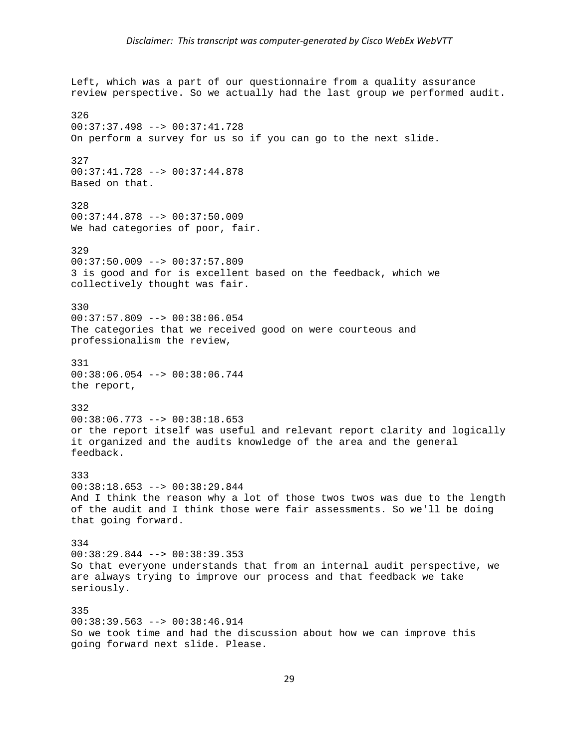Left, which was a part of our questionnaire from a quality assurance review perspective. So we actually had the last group we performed audit. 326 00:37:37.498 --> 00:37:41.728 On perform a survey for us so if you can go to the next slide. 327 00:37:41.728 --> 00:37:44.878 Based on that. 328 00:37:44.878 --> 00:37:50.009 We had categories of poor, fair. 329 00:37:50.009 --> 00:37:57.809 3 is good and for is excellent based on the feedback, which we collectively thought was fair. 330 00:37:57.809 --> 00:38:06.054 The categories that we received good on were courteous and professionalism the review, 331 00:38:06.054 --> 00:38:06.744 the report, 332 00:38:06.773 --> 00:38:18.653 or the report itself was useful and relevant report clarity and logically it organized and the audits knowledge of the area and the general feedback. 333  $00:38:18.653$  -->  $00:38:29.844$ And I think the reason why a lot of those twos twos was due to the length of the audit and I think those were fair assessments. So we'll be doing that going forward. 334 00:38:29.844 --> 00:38:39.353 So that everyone understands that from an internal audit perspective, we are always trying to improve our process and that feedback we take seriously. 335 00:38:39.563 --> 00:38:46.914 So we took time and had the discussion about how we can improve this going forward next slide. Please.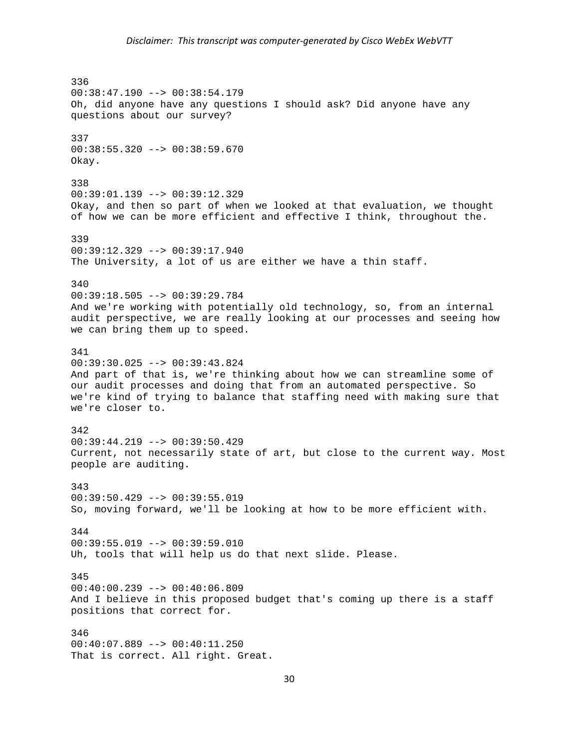## *Disclaimer: This transcript was computer‐generated by Cisco WebEx WebVTT*

336 00:38:47.190 --> 00:38:54.179 Oh, did anyone have any questions I should ask? Did anyone have any questions about our survey? 337 00:38:55.320 --> 00:38:59.670 Okay. 338 00:39:01.139 --> 00:39:12.329 Okay, and then so part of when we looked at that evaluation, we thought of how we can be more efficient and effective I think, throughout the. 339 00:39:12.329 --> 00:39:17.940 The University, a lot of us are either we have a thin staff. 340 00:39:18.505 --> 00:39:29.784 And we're working with potentially old technology, so, from an internal audit perspective, we are really looking at our processes and seeing how we can bring them up to speed. 341 00:39:30.025 --> 00:39:43.824 And part of that is, we're thinking about how we can streamline some of our audit processes and doing that from an automated perspective. So we're kind of trying to balance that staffing need with making sure that we're closer to. 342 00:39:44.219 --> 00:39:50.429 Current, not necessarily state of art, but close to the current way. Most people are auditing. 343 00:39:50.429 --> 00:39:55.019 So, moving forward, we'll be looking at how to be more efficient with. 344  $00:39:55.019$  -->  $00:39:59.010$ Uh, tools that will help us do that next slide. Please. 345 00:40:00.239 --> 00:40:06.809 And I believe in this proposed budget that's coming up there is a staff positions that correct for. 346 00:40:07.889 --> 00:40:11.250 That is correct. All right. Great.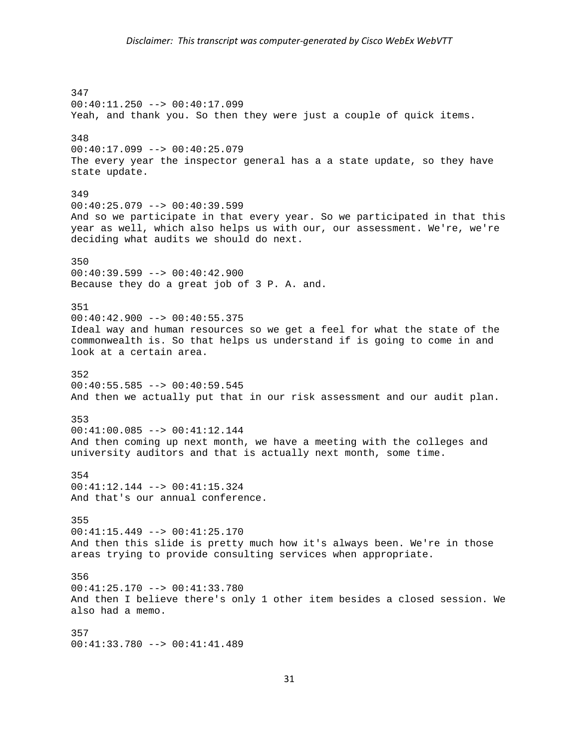347 00:40:11.250 --> 00:40:17.099 Yeah, and thank you. So then they were just a couple of quick items. 348  $00:40:17.099$  -->  $00:40:25.079$ The every year the inspector general has a a state update, so they have state update. 349  $00:40:25.079$  -->  $00:40:39.599$ And so we participate in that every year. So we participated in that this year as well, which also helps us with our, our assessment. We're, we're deciding what audits we should do next. 350 00:40:39.599 --> 00:40:42.900 Because they do a great job of 3 P. A. and. 351 00:40:42.900 --> 00:40:55.375 Ideal way and human resources so we get a feel for what the state of the commonwealth is. So that helps us understand if is going to come in and look at a certain area. 352 00:40:55.585 --> 00:40:59.545 And then we actually put that in our risk assessment and our audit plan. 353 00:41:00.085 --> 00:41:12.144 And then coming up next month, we have a meeting with the colleges and university auditors and that is actually next month, some time. 354 00:41:12.144 --> 00:41:15.324 And that's our annual conference. 355 00:41:15.449 --> 00:41:25.170 And then this slide is pretty much how it's always been. We're in those areas trying to provide consulting services when appropriate. 356 00:41:25.170 --> 00:41:33.780 And then I believe there's only 1 other item besides a closed session. We also had a memo. 357 00:41:33.780 --> 00:41:41.489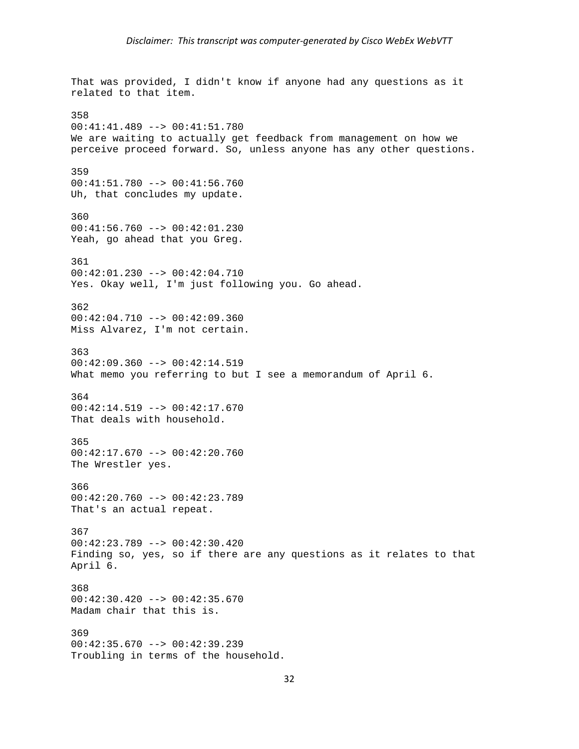That was provided, I didn't know if anyone had any questions as it related to that item. 358 00:41:41.489 --> 00:41:51.780 We are waiting to actually get feedback from management on how we perceive proceed forward. So, unless anyone has any other questions. 359 00:41:51.780 --> 00:41:56.760 Uh, that concludes my update. 360 00:41:56.760 --> 00:42:01.230 Yeah, go ahead that you Greg. 361 00:42:01.230 --> 00:42:04.710 Yes. Okay well, I'm just following you. Go ahead. 362 00:42:04.710 --> 00:42:09.360 Miss Alvarez, I'm not certain. 363  $00:42:09.360$  -->  $00:42:14.519$ What memo you referring to but I see a memorandum of April 6. 364 00:42:14.519 --> 00:42:17.670 That deals with household. 365 00:42:17.670 --> 00:42:20.760 The Wrestler yes. 366 00:42:20.760 --> 00:42:23.789 That's an actual repeat. 367 00:42:23.789 --> 00:42:30.420 Finding so, yes, so if there are any questions as it relates to that April 6. 368 00:42:30.420 --> 00:42:35.670 Madam chair that this is. 369 00:42:35.670 --> 00:42:39.239 Troubling in terms of the household.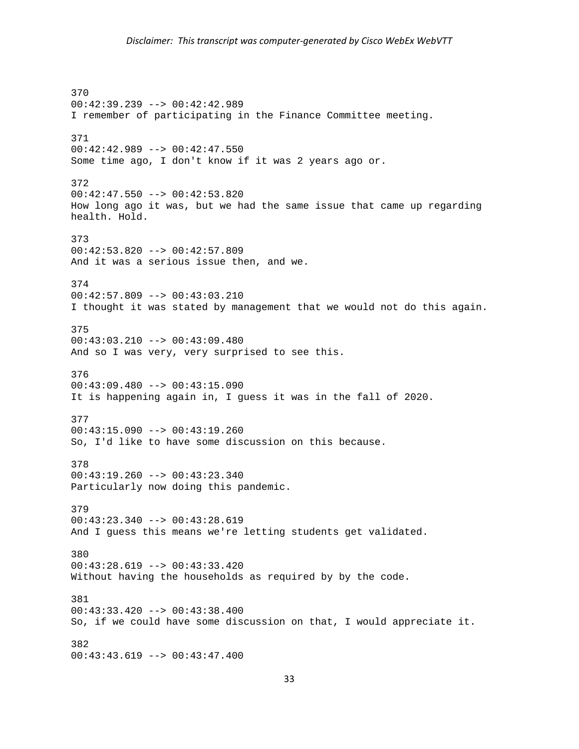370 00:42:39.239 --> 00:42:42.989 I remember of participating in the Finance Committee meeting. 371 00:42:42.989 --> 00:42:47.550 Some time ago, I don't know if it was 2 years ago or. 372 00:42:47.550 --> 00:42:53.820 How long ago it was, but we had the same issue that came up regarding health. Hold. 373 00:42:53.820 --> 00:42:57.809 And it was a serious issue then, and we. 374 00:42:57.809 --> 00:43:03.210 I thought it was stated by management that we would not do this again. 375 00:43:03.210 --> 00:43:09.480 And so I was very, very surprised to see this. 376 00:43:09.480 --> 00:43:15.090 It is happening again in, I guess it was in the fall of 2020. 377 00:43:15.090 --> 00:43:19.260 So, I'd like to have some discussion on this because. 378 00:43:19.260 --> 00:43:23.340 Particularly now doing this pandemic. 379 00:43:23.340 --> 00:43:28.619 And I guess this means we're letting students get validated. 380 00:43:28.619 --> 00:43:33.420 Without having the households as required by by the code. 381 00:43:33.420 --> 00:43:38.400 So, if we could have some discussion on that, I would appreciate it. 382 00:43:43.619 --> 00:43:47.400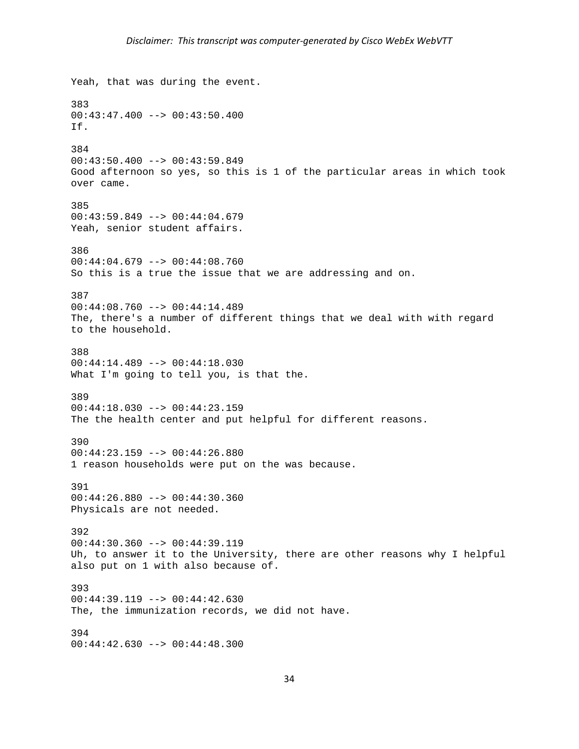```
Yeah, that was during the event. 
383 
00:43:47.400 --> 00:43:50.400 
If. 
384 
00:43:50.400 --> 00:43:59.849 
Good afternoon so yes, so this is 1 of the particular areas in which took 
over came. 
385 
00:43:59.849 --> 00:44:04.679 
Yeah, senior student affairs. 
386 
00:44:04.679 --> 00:44:08.760So this is a true the issue that we are addressing and on. 
387 
00:44:08.760 --> 00:44:14.489 
The, there's a number of different things that we deal with with regard 
to the household. 
388 
00:44:14.489 --> 00:44:18.030 
What I'm going to tell you, is that the.
389 
00:44:18.030 --> 00:44:23.159 
The the health center and put helpful for different reasons. 
390 
00:44:23.159 --> 00:44:26.880 
1 reason households were put on the was because. 
391 
00:44:26.880 --> 00:44:30.360 
Physicals are not needed. 
392 
00:44:30.360 --> 00:44:39.119 
Uh, to answer it to the University, there are other reasons why I helpful 
also put on 1 with also because of. 
393 
00:44:39.119 --> 00:44:42.630 
The, the immunization records, we did not have. 
394 
00:44:42.630 --> 00:44:48.300
```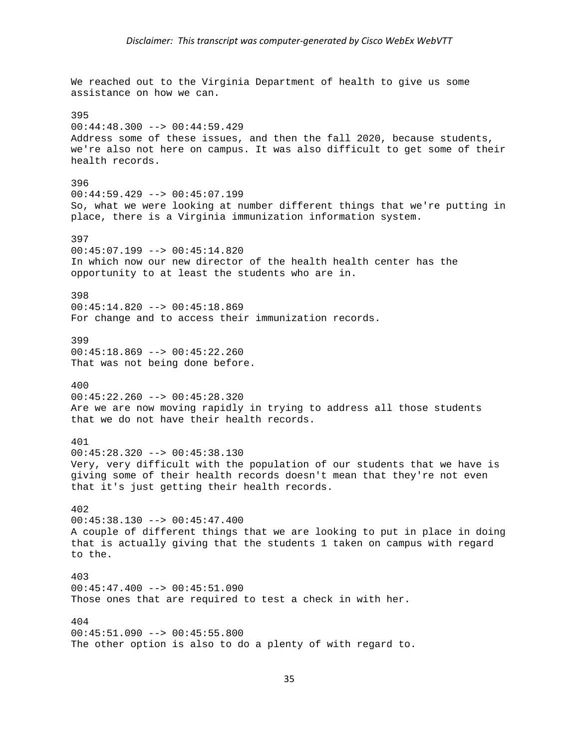We reached out to the Virginia Department of health to give us some assistance on how we can. 395  $00:44:48.300$  -->  $00:44:59.429$ Address some of these issues, and then the fall 2020, because students, we're also not here on campus. It was also difficult to get some of their health records. 396 00:44:59.429 --> 00:45:07.199 So, what we were looking at number different things that we're putting in place, there is a Virginia immunization information system. 397 00:45:07.199 --> 00:45:14.820 In which now our new director of the health health center has the opportunity to at least the students who are in. 398 00:45:14.820 --> 00:45:18.869 For change and to access their immunization records. 399 00:45:18.869 --> 00:45:22.260 That was not being done before. 400  $00:45:22.260$  -->  $00:45:28.320$ Are we are now moving rapidly in trying to address all those students that we do not have their health records. 401 00:45:28.320 --> 00:45:38.130 Very, very difficult with the population of our students that we have is giving some of their health records doesn't mean that they're not even that it's just getting their health records. 402 00:45:38.130 --> 00:45:47.400 A couple of different things that we are looking to put in place in doing that is actually giving that the students 1 taken on campus with regard to the. 403 00:45:47.400 --> 00:45:51.090 Those ones that are required to test a check in with her. 404 00:45:51.090 --> 00:45:55.800 The other option is also to do a plenty of with regard to.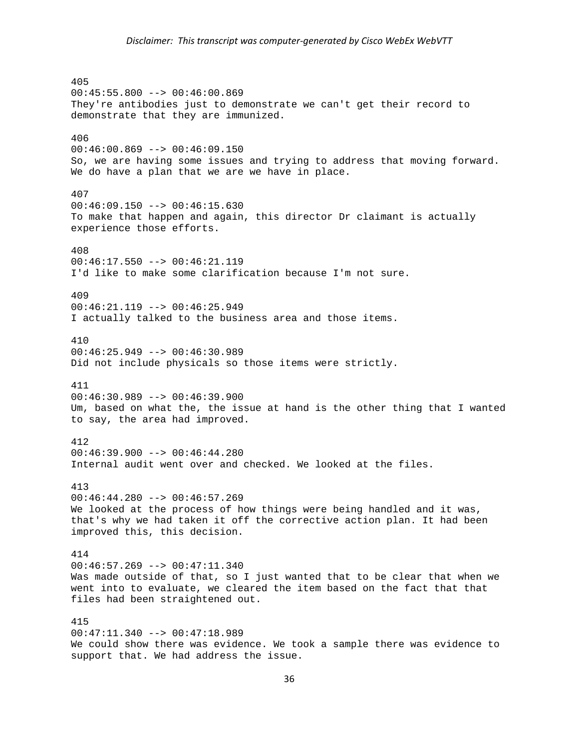405  $00:45:55.800$  -->  $00:46:00.869$ They're antibodies just to demonstrate we can't get their record to demonstrate that they are immunized. 406  $00:46:00.869$  -->  $00:46:09.150$ So, we are having some issues and trying to address that moving forward. We do have a plan that we are we have in place. 407  $00:46:09.150$  -->  $00:46:15.630$ To make that happen and again, this director Dr claimant is actually experience those efforts. 408  $00:46:17.550$  -->  $00:46:21.119$ I'd like to make some clarification because I'm not sure. 409 00:46:21.119 --> 00:46:25.949 I actually talked to the business area and those items. 410 00:46:25.949 --> 00:46:30.989 Did not include physicals so those items were strictly. 411  $00:46:30.989$  -->  $00:46:39.900$ Um, based on what the, the issue at hand is the other thing that I wanted to say, the area had improved. 412  $00:46:39.900$  -->  $00:46:44.280$ Internal audit went over and checked. We looked at the files. 413 00:46:44.280 --> 00:46:57.269 We looked at the process of how things were being handled and it was, that's why we had taken it off the corrective action plan. It had been improved this, this decision. 414 00:46:57.269 --> 00:47:11.340 Was made outside of that, so I just wanted that to be clear that when we went into to evaluate, we cleared the item based on the fact that that files had been straightened out. 415 00:47:11.340 --> 00:47:18.989 We could show there was evidence. We took a sample there was evidence to support that. We had address the issue.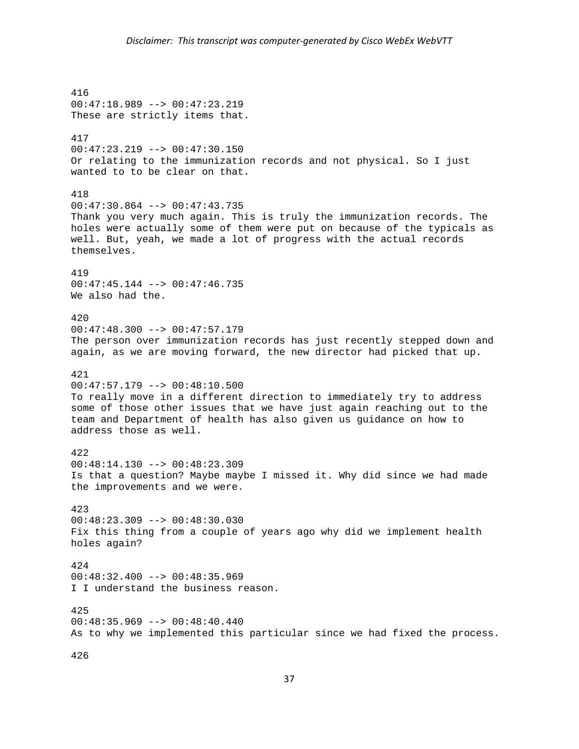416 00:47:18.989 --> 00:47:23.219 These are strictly items that. 417 00:47:23.219 --> 00:47:30.150 Or relating to the immunization records and not physical. So I just wanted to to be clear on that. 418 00:47:30.864 --> 00:47:43.735 Thank you very much again. This is truly the immunization records. The holes were actually some of them were put on because of the typicals as well. But, yeah, we made a lot of progress with the actual records themselves. 419 00:47:45.144 --> 00:47:46.735 We also had the. 420  $00:47:48.300$  -->  $00:47:57.179$ The person over immunization records has just recently stepped down and again, as we are moving forward, the new director had picked that up. 421 00:47:57.179 --> 00:48:10.500 To really move in a different direction to immediately try to address some of those other issues that we have just again reaching out to the team and Department of health has also given us guidance on how to address those as well. 422 00:48:14.130 --> 00:48:23.309 Is that a question? Maybe maybe I missed it. Why did since we had made the improvements and we were. 423 00:48:23.309 --> 00:48:30.030 Fix this thing from a couple of years ago why did we implement health holes again? 424  $00:48:32.400$  -->  $00:48:35.969$ I I understand the business reason. 425  $00:48:35.969$  -->  $00:48:40.440$ As to why we implemented this particular since we had fixed the process. 426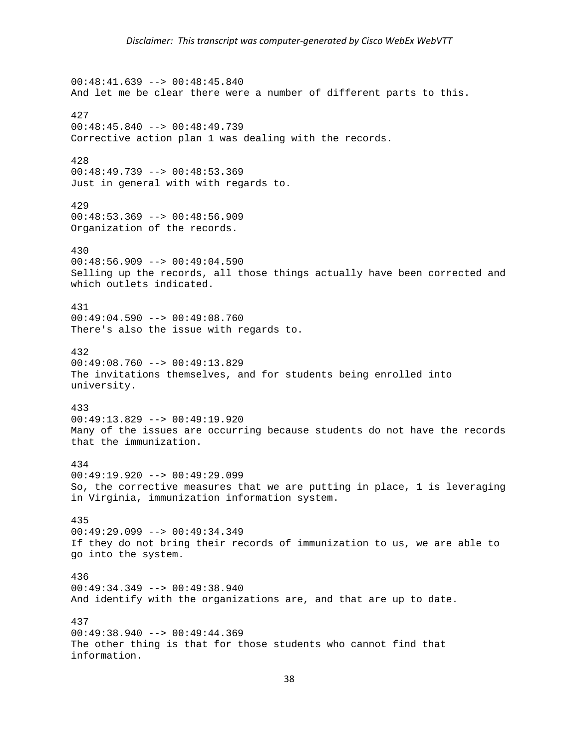$00:48:41.639$  -->  $00:48:45.840$ And let me be clear there were a number of different parts to this. 427 00:48:45.840 --> 00:48:49.739 Corrective action plan 1 was dealing with the records. 428 00:48:49.739 --> 00:48:53.369 Just in general with with regards to. 429 00:48:53.369 --> 00:48:56.909 Organization of the records. 430  $00:48:56.909$  -->  $00:49:04.590$ Selling up the records, all those things actually have been corrected and which outlets indicated. 431 00:49:04.590 --> 00:49:08.760 There's also the issue with regards to. 432 00:49:08.760 --> 00:49:13.829 The invitations themselves, and for students being enrolled into university. 433 00:49:13.829 --> 00:49:19.920 Many of the issues are occurring because students do not have the records that the immunization. 434 00:49:19.920 --> 00:49:29.099 So, the corrective measures that we are putting in place, 1 is leveraging in Virginia, immunization information system. 435 00:49:29.099 --> 00:49:34.349 If they do not bring their records of immunization to us, we are able to go into the system. 436 00:49:34.349 --> 00:49:38.940 And identify with the organizations are, and that are up to date. 437 00:49:38.940 --> 00:49:44.369 The other thing is that for those students who cannot find that information.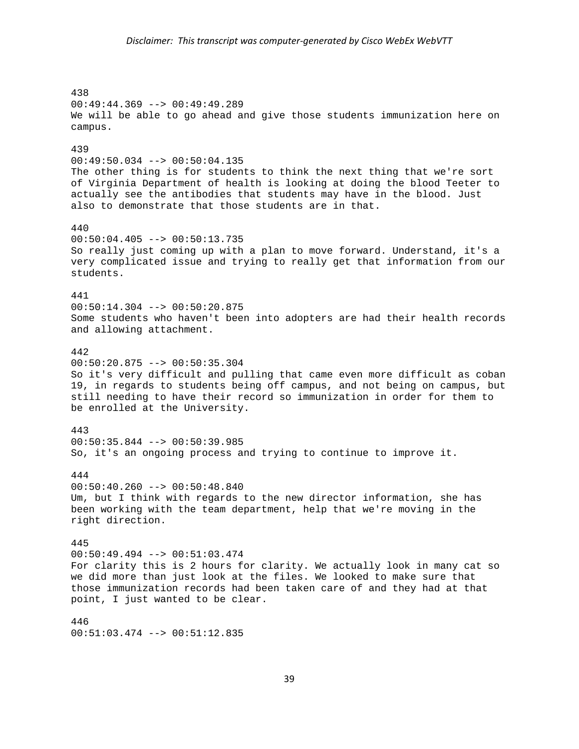438 00:49:44.369 --> 00:49:49.289 We will be able to go ahead and give those students immunization here on campus. 439 00:49:50.034 --> 00:50:04.135 The other thing is for students to think the next thing that we're sort of Virginia Department of health is looking at doing the blood Teeter to actually see the antibodies that students may have in the blood. Just also to demonstrate that those students are in that. 440 00:50:04.405 --> 00:50:13.735 So really just coming up with a plan to move forward. Understand, it's a very complicated issue and trying to really get that information from our students. 441 00:50:14.304 --> 00:50:20.875 Some students who haven't been into adopters are had their health records and allowing attachment. 442 00:50:20.875 --> 00:50:35.304 So it's very difficult and pulling that came even more difficult as coban 19, in regards to students being off campus, and not being on campus, but still needing to have their record so immunization in order for them to be enrolled at the University. 443 00:50:35.844 --> 00:50:39.985 So, it's an ongoing process and trying to continue to improve it. 444  $00:50:40.260$  -->  $00:50:48.840$ Um, but I think with regards to the new director information, she has been working with the team department, help that we're moving in the right direction. 445  $00:50:49.494$  -->  $00:51:03.474$ For clarity this is 2 hours for clarity. We actually look in many cat so we did more than just look at the files. We looked to make sure that those immunization records had been taken care of and they had at that point, I just wanted to be clear. 446

00:51:03.474 --> 00:51:12.835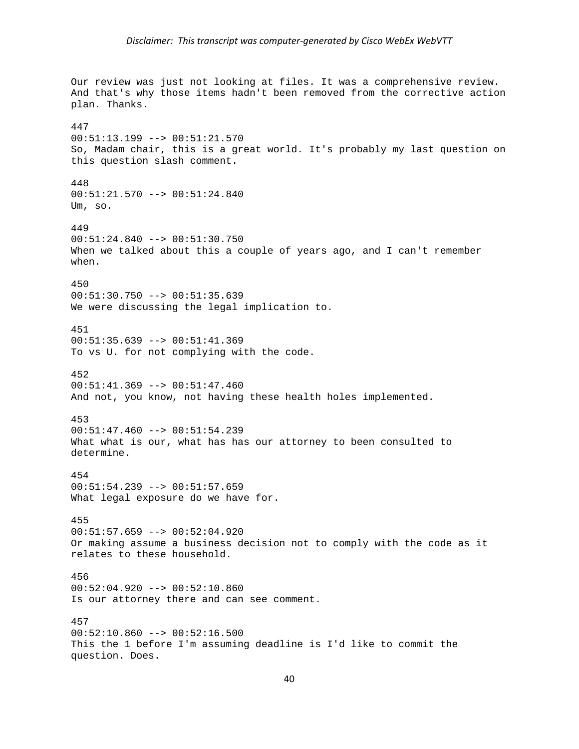Our review was just not looking at files. It was a comprehensive review. And that's why those items hadn't been removed from the corrective action plan. Thanks. 447 00:51:13.199 --> 00:51:21.570 So, Madam chair, this is a great world. It's probably my last question on this question slash comment. 448 00:51:21.570 --> 00:51:24.840 Um, so. 449 00:51:24.840 --> 00:51:30.750 When we talked about this a couple of years ago, and I can't remember when. 450 00:51:30.750 --> 00:51:35.639 We were discussing the legal implication to. 451 00:51:35.639 --> 00:51:41.369 To vs U. for not complying with the code. 452 00:51:41.369 --> 00:51:47.460 And not, you know, not having these health holes implemented. 453 00:51:47.460 --> 00:51:54.239 What what is our, what has has our attorney to been consulted to determine. 454  $00:51:54.239$  -->  $00:51:57.659$ What legal exposure do we have for. 455  $00:51:57.659$  -->  $00:52:04.920$ Or making assume a business decision not to comply with the code as it relates to these household. 456 00:52:04.920 --> 00:52:10.860 Is our attorney there and can see comment. 457 00:52:10.860 --> 00:52:16.500 This the 1 before I'm assuming deadline is I'd like to commit the question. Does.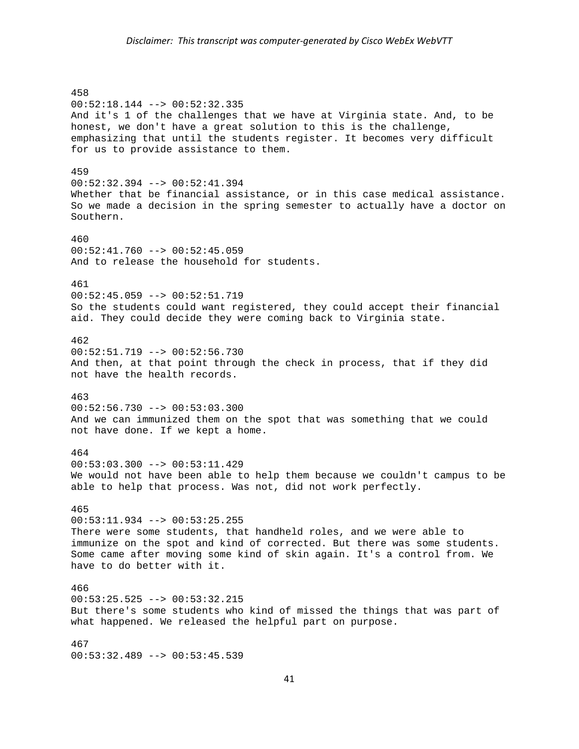458 00:52:18.144 --> 00:52:32.335 And it's 1 of the challenges that we have at Virginia state. And, to be honest, we don't have a great solution to this is the challenge, emphasizing that until the students register. It becomes very difficult for us to provide assistance to them. 459 00:52:32.394 --> 00:52:41.394 Whether that be financial assistance, or in this case medical assistance. So we made a decision in the spring semester to actually have a doctor on Southern. 460  $00:52:41.760$  -->  $00:52:45.059$ And to release the household for students. 461 00:52:45.059 --> 00:52:51.719 So the students could want registered, they could accept their financial aid. They could decide they were coming back to Virginia state. 462 00:52:51.719 --> 00:52:56.730 And then, at that point through the check in process, that if they did not have the health records. 463 00:52:56.730 --> 00:53:03.300 And we can immunized them on the spot that was something that we could not have done. If we kept a home. 464 00:53:03.300 --> 00:53:11.429 We would not have been able to help them because we couldn't campus to be able to help that process. Was not, did not work perfectly. 465  $00:53:11.934$  -->  $00:53:25.255$ There were some students, that handheld roles, and we were able to immunize on the spot and kind of corrected. But there was some students. Some came after moving some kind of skin again. It's a control from. We have to do better with it. 466 00:53:25.525 --> 00:53:32.215 But there's some students who kind of missed the things that was part of what happened. We released the helpful part on purpose. 467 00:53:32.489 --> 00:53:45.539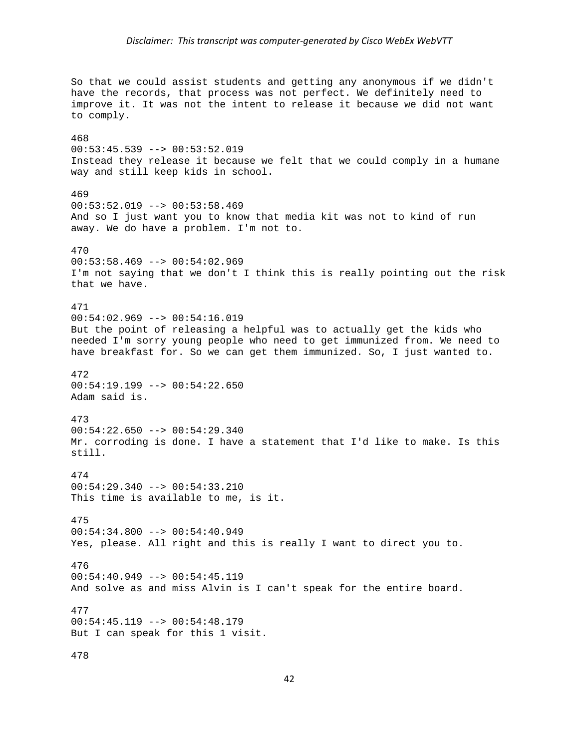So that we could assist students and getting any anonymous if we didn't have the records, that process was not perfect. We definitely need to improve it. It was not the intent to release it because we did not want to comply. 468 00:53:45.539 --> 00:53:52.019 Instead they release it because we felt that we could comply in a humane way and still keep kids in school. 469  $00:53:52.019$  -->  $00:53:58.469$ And so I just want you to know that media kit was not to kind of run away. We do have a problem. I'm not to. 470  $00:53:58.469$  -->  $00:54:02.969$ I'm not saying that we don't I think this is really pointing out the risk that we have. 471 00:54:02.969 --> 00:54:16.019 But the point of releasing a helpful was to actually get the kids who needed I'm sorry young people who need to get immunized from. We need to have breakfast for. So we can get them immunized. So, I just wanted to. 472 00:54:19.199 --> 00:54:22.650 Adam said is. 473 00:54:22.650 --> 00:54:29.340 Mr. corroding is done. I have a statement that I'd like to make. Is this still. 474  $00:54:29.340$  -->  $00:54:33.210$ This time is available to me, is it. 475  $00:54:34.800$  -->  $00:54:40.949$ Yes, please. All right and this is really I want to direct you to. 476  $00:54:40.949$  -->  $00:54:45.119$ And solve as and miss Alvin is I can't speak for the entire board. 477  $00:54:45.119$  -->  $00:54:48.179$ But I can speak for this 1 visit. 478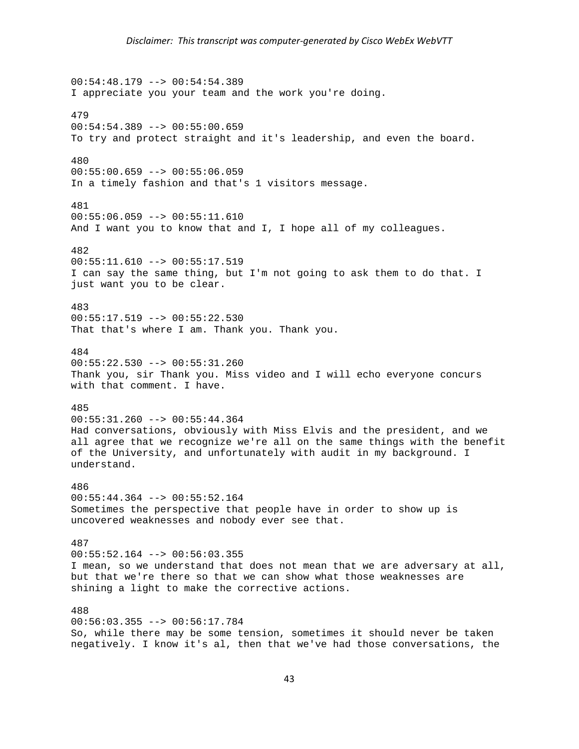00:54:48.179 --> 00:54:54.389 I appreciate you your team and the work you're doing. 479  $00:54:54.389$  -->  $00:55:00.659$ To try and protect straight and it's leadership, and even the board. 480 00:55:00.659 --> 00:55:06.059 In a timely fashion and that's 1 visitors message. 481 00:55:06.059 --> 00:55:11.610 And I want you to know that and I, I hope all of my colleagues. 482  $00:55:11.610$  -->  $00:55:17.519$ I can say the same thing, but I'm not going to ask them to do that. I just want you to be clear. 483 00:55:17.519 --> 00:55:22.530 That that's where I am. Thank you. Thank you. 484 00:55:22.530 --> 00:55:31.260 Thank you, sir Thank you. Miss video and I will echo everyone concurs with that comment. I have. 485 00:55:31.260 --> 00:55:44.364 Had conversations, obviously with Miss Elvis and the president, and we all agree that we recognize we're all on the same things with the benefit of the University, and unfortunately with audit in my background. I understand. 486 00:55:44.364 --> 00:55:52.164 Sometimes the perspective that people have in order to show up is uncovered weaknesses and nobody ever see that. 487  $00:55:52.164$  -->  $00:56:03.355$ I mean, so we understand that does not mean that we are adversary at all, but that we're there so that we can show what those weaknesses are shining a light to make the corrective actions. 488 00:56:03.355 --> 00:56:17.784 So, while there may be some tension, sometimes it should never be taken negatively. I know it's al, then that we've had those conversations, the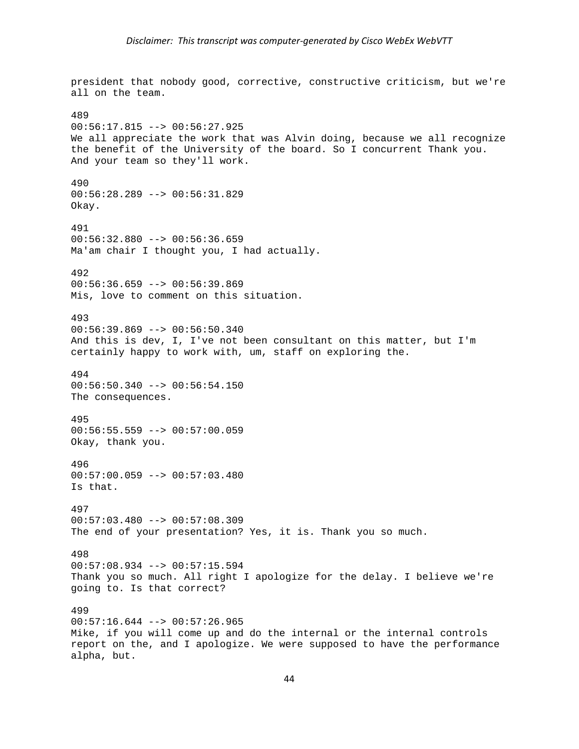president that nobody good, corrective, constructive criticism, but we're all on the team. 489  $00:56:17.815$  -->  $00:56:27.925$ We all appreciate the work that was Alvin doing, because we all recognize the benefit of the University of the board. So I concurrent Thank you. And your team so they'll work. 490 00:56:28.289 --> 00:56:31.829 Okay. 491 00:56:32.880 --> 00:56:36.659 Ma'am chair I thought you, I had actually. 492 00:56:36.659 --> 00:56:39.869 Mis, love to comment on this situation. 493  $00:56:39.869$  -->  $00:56:50.340$ And this is dev, I, I've not been consultant on this matter, but I'm certainly happy to work with, um, staff on exploring the. 494  $00:56:50.340$  -->  $00:56:54.150$ The consequences. 495 00:56:55.559 --> 00:57:00.059 Okay, thank you. 496 00:57:00.059 --> 00:57:03.480 Is that. 497 00:57:03.480 --> 00:57:08.309 The end of your presentation? Yes, it is. Thank you so much. 498 00:57:08.934 --> 00:57:15.594 Thank you so much. All right I apologize for the delay. I believe we're going to. Is that correct? 499  $00:57:16.644$  -->  $00:57:26.965$ Mike, if you will come up and do the internal or the internal controls report on the, and I apologize. We were supposed to have the performance alpha, but.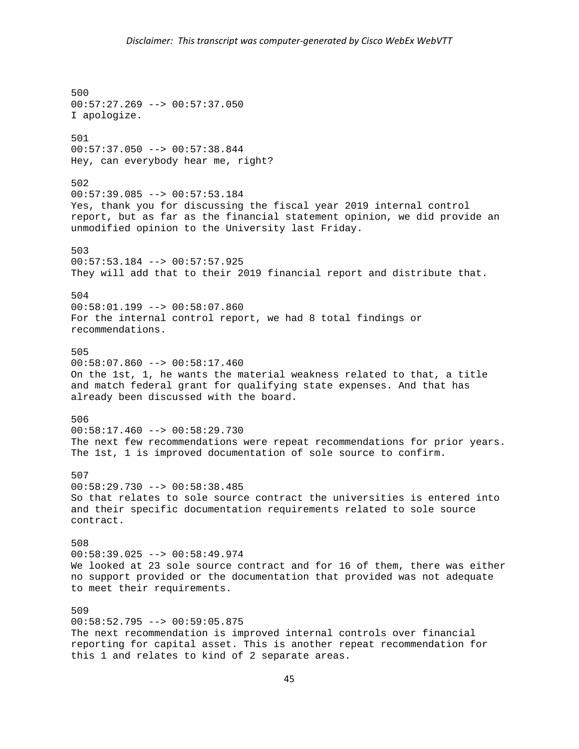500 00:57:27.269 --> 00:57:37.050 I apologize. 501  $00:57:37.050$  -->  $00:57:38.844$ Hey, can everybody hear me, right? 502 00:57:39.085 --> 00:57:53.184 Yes, thank you for discussing the fiscal year 2019 internal control report, but as far as the financial statement opinion, we did provide an unmodified opinion to the University last Friday. 503  $00:57:53.184$  -->  $00:57:57.925$ They will add that to their 2019 financial report and distribute that. 504 00:58:01.199 --> 00:58:07.860 For the internal control report, we had 8 total findings or recommendations. 505  $00:58:07.860$  -->  $00:58:17.460$ On the 1st, 1, he wants the material weakness related to that, a title and match federal grant for qualifying state expenses. And that has already been discussed with the board. 506 00:58:17.460 --> 00:58:29.730 The next few recommendations were repeat recommendations for prior years. The 1st, 1 is improved documentation of sole source to confirm. 507  $00:58:29.730$  -->  $00:58:38.485$ So that relates to sole source contract the universities is entered into and their specific documentation requirements related to sole source contract. 508  $00:58:39.025$  -->  $00:58:49.974$ We looked at 23 sole source contract and for 16 of them, there was either no support provided or the documentation that provided was not adequate to meet their requirements. 509  $00:58:52.795$  -->  $00:59:05.875$ The next recommendation is improved internal controls over financial reporting for capital asset. This is another repeat recommendation for this 1 and relates to kind of 2 separate areas.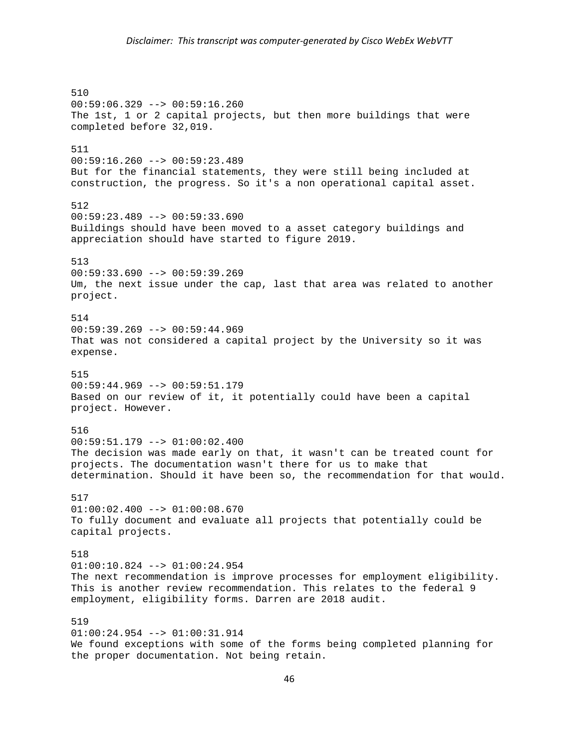510 00:59:06.329 --> 00:59:16.260 The 1st, 1 or 2 capital projects, but then more buildings that were completed before 32,019. 511 00:59:16.260 --> 00:59:23.489 But for the financial statements, they were still being included at construction, the progress. So it's a non operational capital asset. 512  $00:59:23.489$  -->  $00:59:33.690$ Buildings should have been moved to a asset category buildings and appreciation should have started to figure 2019. 513  $00:59:33.690$  -->  $00:59:39.269$ Um, the next issue under the cap, last that area was related to another project. 514  $00:59:39.269 --> 00:59:44.969$ That was not considered a capital project by the University so it was expense. 515 00:59:44.969 --> 00:59:51.179 Based on our review of it, it potentially could have been a capital project. However. 516 00:59:51.179 --> 01:00:02.400 The decision was made early on that, it wasn't can be treated count for projects. The documentation wasn't there for us to make that determination. Should it have been so, the recommendation for that would. 517  $01:00:02.400$  -->  $01:00:08.670$ To fully document and evaluate all projects that potentially could be capital projects. 518 01:00:10.824 --> 01:00:24.954 The next recommendation is improve processes for employment eligibility. This is another review recommendation. This relates to the federal 9 employment, eligibility forms. Darren are 2018 audit. 519 01:00:24.954 --> 01:00:31.914 We found exceptions with some of the forms being completed planning for the proper documentation. Not being retain.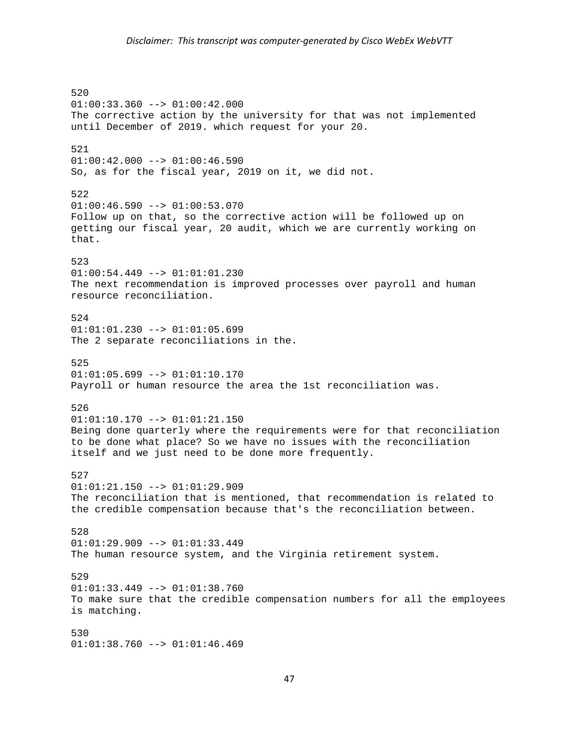520 01:00:33.360 --> 01:00:42.000 The corrective action by the university for that was not implemented until December of 2019. which request for your 20. 521 01:00:42.000 --> 01:00:46.590 So, as for the fiscal year, 2019 on it, we did not. 522  $01:00:46.590$  -->  $01:00:53.070$ Follow up on that, so the corrective action will be followed up on getting our fiscal year, 20 audit, which we are currently working on that. 523 01:00:54.449 --> 01:01:01.230 The next recommendation is improved processes over payroll and human resource reconciliation. 524  $01:01:01.230$  -->  $01:01:05.699$ The 2 separate reconciliations in the. 525  $01:01:05.699$  -->  $01:01:10.170$ Payroll or human resource the area the 1st reconciliation was. 526 01:01:10.170 --> 01:01:21.150 Being done quarterly where the requirements were for that reconciliation to be done what place? So we have no issues with the reconciliation itself and we just need to be done more frequently. 527  $01:01:21.150$  -->  $01:01:29.909$ The reconciliation that is mentioned, that recommendation is related to the credible compensation because that's the reconciliation between. 528 01:01:29.909 --> 01:01:33.449 The human resource system, and the Virginia retirement system. 529 01:01:33.449 --> 01:01:38.760 To make sure that the credible compensation numbers for all the employees is matching. 530  $01:01:38.760$  -->  $01:01:46.469$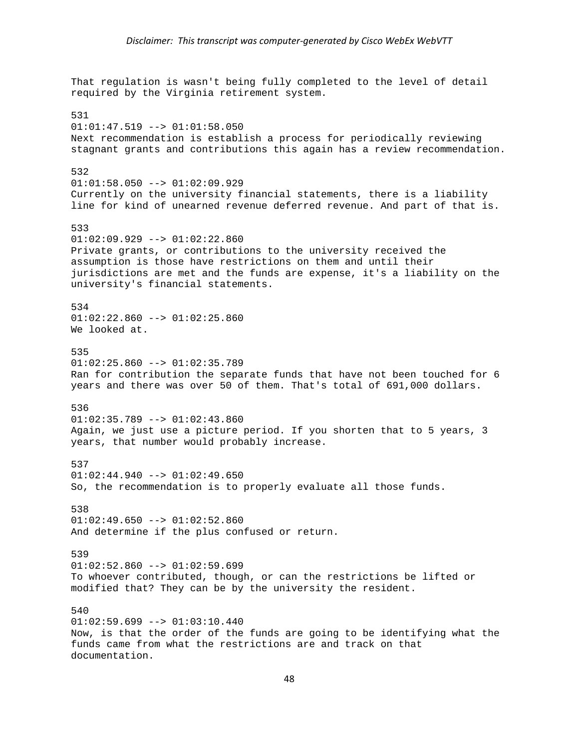That regulation is wasn't being fully completed to the level of detail required by the Virginia retirement system. 531  $01:01:47.519$  -->  $01:01:58.050$ Next recommendation is establish a process for periodically reviewing stagnant grants and contributions this again has a review recommendation. 532 01:01:58.050 --> 01:02:09.929 Currently on the university financial statements, there is a liability line for kind of unearned revenue deferred revenue. And part of that is. 533 01:02:09.929 --> 01:02:22.860 Private grants, or contributions to the university received the assumption is those have restrictions on them and until their jurisdictions are met and the funds are expense, it's a liability on the university's financial statements. 534  $01:02:22.860$  -->  $01:02:25.860$ We looked at. 535  $01:02:25.860$  -->  $01:02:35.789$ Ran for contribution the separate funds that have not been touched for 6 years and there was over 50 of them. That's total of 691,000 dollars. 536 01:02:35.789 --> 01:02:43.860 Again, we just use a picture period. If you shorten that to 5 years, 3 years, that number would probably increase. 537  $01:02:44.940$  -->  $01:02:49.650$ So, the recommendation is to properly evaluate all those funds. 538  $01:02:49.650$  -->  $01:02:52.860$ And determine if the plus confused or return. 539  $01:02:52.860$  -->  $01:02:59.699$ To whoever contributed, though, or can the restrictions be lifted or modified that? They can be by the university the resident. 540  $01:02:59.699$  -->  $01:03:10.440$ Now, is that the order of the funds are going to be identifying what the funds came from what the restrictions are and track on that documentation.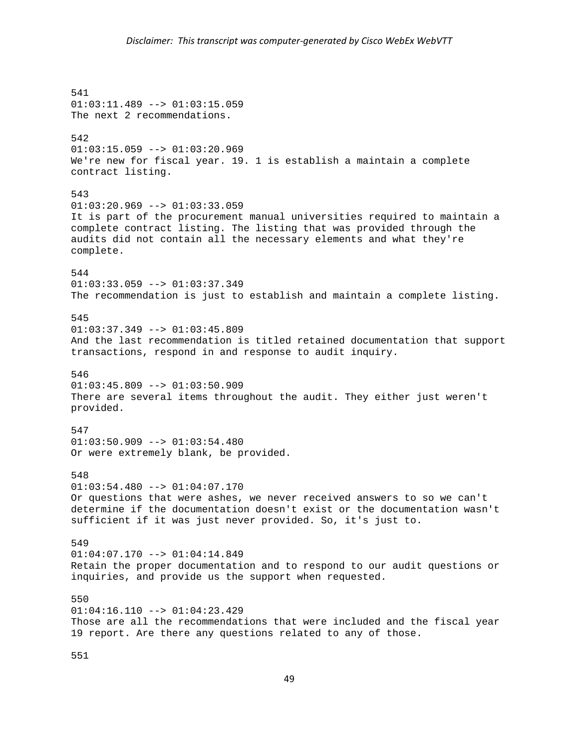541 01:03:11.489 --> 01:03:15.059 The next 2 recommendations. 542 01:03:15.059 --> 01:03:20.969 We're new for fiscal year. 19. 1 is establish a maintain a complete contract listing. 543  $01:03:20.969$  -->  $01:03:33.059$ It is part of the procurement manual universities required to maintain a complete contract listing. The listing that was provided through the audits did not contain all the necessary elements and what they're complete. 544  $01:03:33.059$  -->  $01:03:37.349$ The recommendation is just to establish and maintain a complete listing. 545  $01:03:37.349$  -->  $01:03:45.809$ And the last recommendation is titled retained documentation that support transactions, respond in and response to audit inquiry. 546  $01:03:45.809$  -->  $01:03:50.909$ There are several items throughout the audit. They either just weren't provided. 547  $01:03:50.909$  -->  $01:03:54.480$ Or were extremely blank, be provided. 548  $01:03:54.480$  -->  $01:04:07.170$ Or questions that were ashes, we never received answers to so we can't determine if the documentation doesn't exist or the documentation wasn't sufficient if it was just never provided. So, it's just to. 549  $01:04:07.170$  -->  $01:04:14.849$ Retain the proper documentation and to respond to our audit questions or inquiries, and provide us the support when requested. 550  $01:04:16.110$  -->  $01:04:23.429$ Those are all the recommendations that were included and the fiscal year 19 report. Are there any questions related to any of those.

551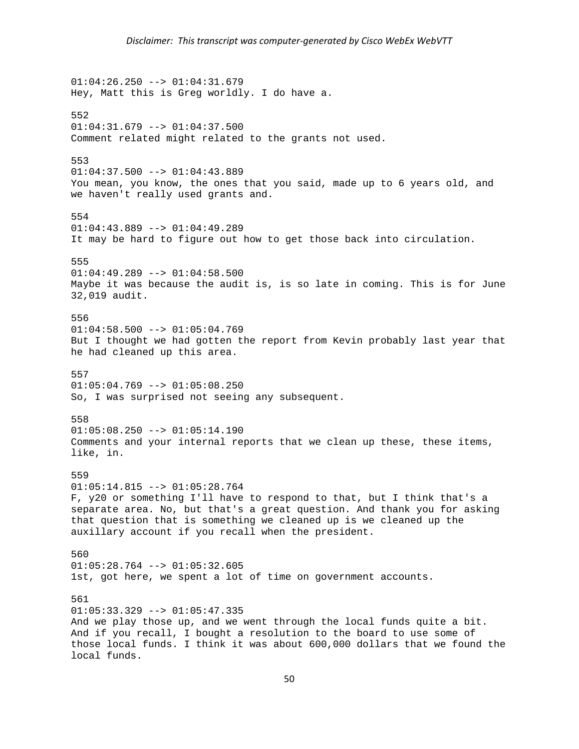$01:04:26.250$  -->  $01:04:31.679$ Hey, Matt this is Greg worldly. I do have a. 552  $01:04:31.679$  -->  $01:04:37.500$ Comment related might related to the grants not used. 553  $01:04:37.500$  -->  $01:04:43.889$ You mean, you know, the ones that you said, made up to 6 years old, and we haven't really used grants and. 554 01:04:43.889 --> 01:04:49.289 It may be hard to figure out how to get those back into circulation. 555  $01:04:49.289$  -->  $01:04:58.500$ Maybe it was because the audit is, is so late in coming. This is for June 32,019 audit. 556  $01:04:58.500$  -->  $01:05:04.769$ But I thought we had gotten the report from Kevin probably last year that he had cleaned up this area. 557  $01:05:04.769$  -->  $01:05:08.250$ So, I was surprised not seeing any subsequent. 558 01:05:08.250 --> 01:05:14.190 Comments and your internal reports that we clean up these, these items, like, in. 559  $01:05:14.815$  -->  $01:05:28.764$ F, y20 or something I'll have to respond to that, but I think that's a separate area. No, but that's a great question. And thank you for asking that question that is something we cleaned up is we cleaned up the auxillary account if you recall when the president. 560  $01:05:28.764$  -->  $01:05:32.605$ 1st, got here, we spent a lot of time on government accounts. 561  $01:05:33.329$  -->  $01:05:47.335$ And we play those up, and we went through the local funds quite a bit. And if you recall, I bought a resolution to the board to use some of those local funds. I think it was about 600,000 dollars that we found the local funds.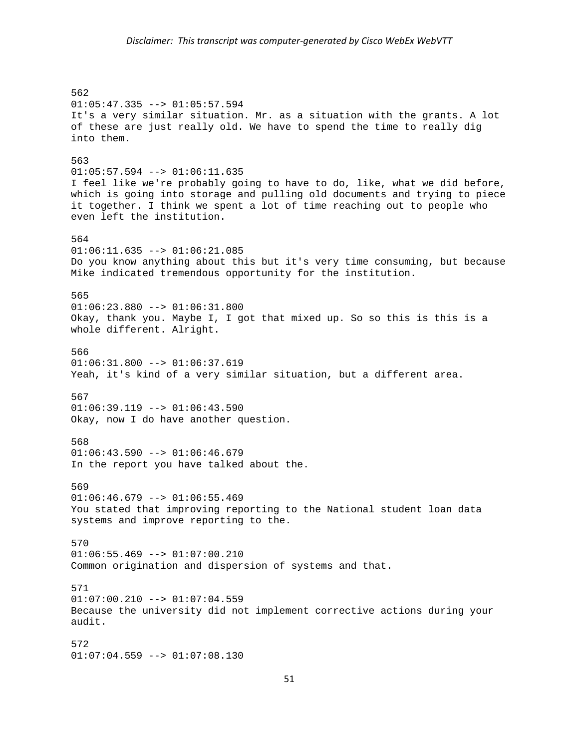562 01:05:47.335 --> 01:05:57.594 It's a very similar situation. Mr. as a situation with the grants. A lot of these are just really old. We have to spend the time to really dig into them. 563  $01:05:57.594$  -->  $01:06:11.635$ I feel like we're probably going to have to do, like, what we did before, which is going into storage and pulling old documents and trying to piece it together. I think we spent a lot of time reaching out to people who even left the institution. 564 01:06:11.635 --> 01:06:21.085 Do you know anything about this but it's very time consuming, but because Mike indicated tremendous opportunity for the institution. 565 01:06:23.880 --> 01:06:31.800 Okay, thank you. Maybe I, I got that mixed up. So so this is this is a whole different. Alright. 566  $01:06:31.800$  -->  $01:06:37.619$ Yeah, it's kind of a very similar situation, but a different area. 567 01:06:39.119 --> 01:06:43.590 Okay, now I do have another question. 568  $01:06:43.590$  -->  $01:06:46.679$ In the report you have talked about the. 569  $01:06:46.679$  -->  $01:06:55.469$ You stated that improving reporting to the National student loan data systems and improve reporting to the. 570  $01:06:55.469$  -->  $01:07:00.210$ Common origination and dispersion of systems and that. 571  $01:07:00.210$  -->  $01:07:04.559$ Because the university did not implement corrective actions during your audit. 572  $01:07:04.559$  -->  $01:07:08.130$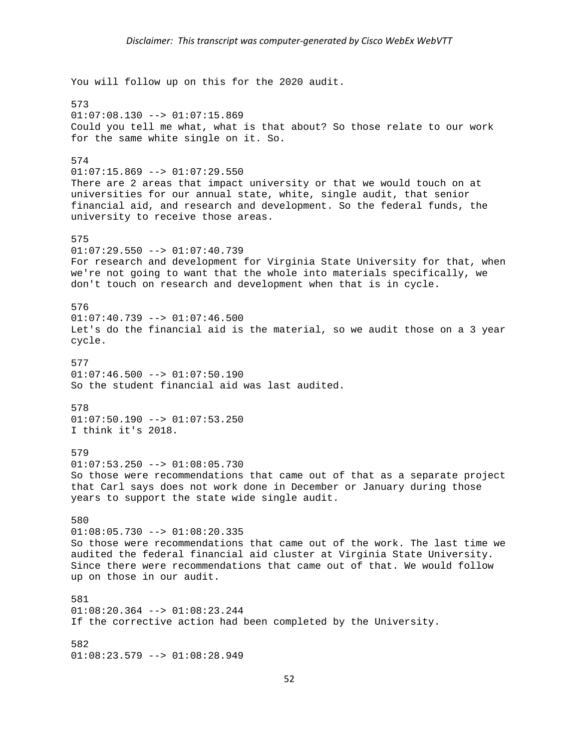You will follow up on this for the 2020 audit. 573 01:07:08.130 --> 01:07:15.869 Could you tell me what, what is that about? So those relate to our work for the same white single on it. So. 574  $01:07:15.869$  -->  $01:07:29.550$ There are 2 areas that impact university or that we would touch on at universities for our annual state, white, single audit, that senior financial aid, and research and development. So the federal funds, the university to receive those areas. 575 01:07:29.550 --> 01:07:40.739 For research and development for Virginia State University for that, when we're not going to want that the whole into materials specifically, we don't touch on research and development when that is in cycle. 576  $01:07:40.739$  -->  $01:07:46.500$ Let's do the financial aid is the material, so we audit those on a 3 year cycle. 577  $01:07:46.500$  -->  $01:07:50.190$ So the student financial aid was last audited. 578  $01:07:50.190$  -->  $01:07:53.250$ I think it's 2018. 579  $01:07:53.250$  -->  $01:08:05.730$ So those were recommendations that came out of that as a separate project that Carl says does not work done in December or January during those years to support the state wide single audit. 580  $01:08:05.730$  -->  $01:08:20.335$ So those were recommendations that came out of the work. The last time we audited the federal financial aid cluster at Virginia State University. Since there were recommendations that came out of that. We would follow up on those in our audit. 581  $01:08:20.364$  -->  $01:08:23.244$ If the corrective action had been completed by the University. 582 01:08:23.579 --> 01:08:28.949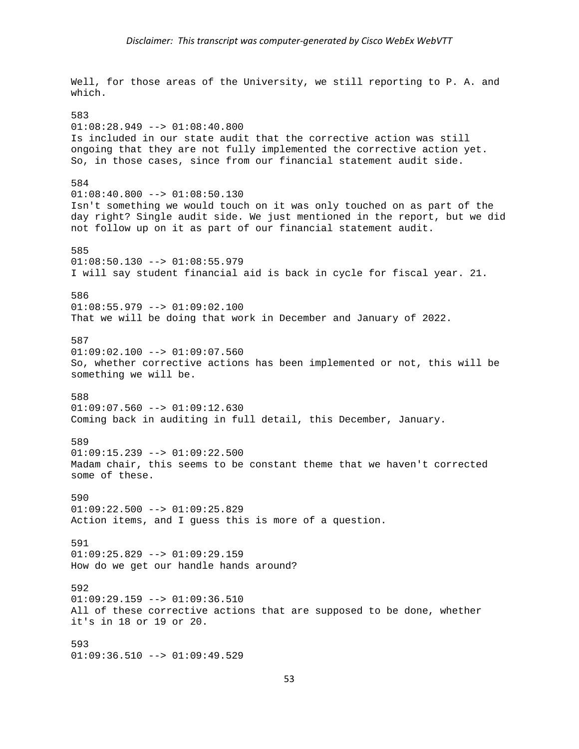Well, for those areas of the University, we still reporting to P. A. and which. 583  $01:08:28.949$  -->  $01:08:40.800$ Is included in our state audit that the corrective action was still ongoing that they are not fully implemented the corrective action yet. So, in those cases, since from our financial statement audit side. 584  $01:08:40.800$  -->  $01:08:50.130$ Isn't something we would touch on it was only touched on as part of the day right? Single audit side. We just mentioned in the report, but we did not follow up on it as part of our financial statement audit. 585  $01:08:50.130$  -->  $01:08:55.979$ I will say student financial aid is back in cycle for fiscal year. 21. 586 01:08:55.979 --> 01:09:02.100 That we will be doing that work in December and January of 2022. 587  $01:09:02.100$  -->  $01:09:07.560$ So, whether corrective actions has been implemented or not, this will be something we will be. 588 01:09:07.560 --> 01:09:12.630 Coming back in auditing in full detail, this December, January. 589  $01:09:15.239$  -->  $01:09:22.500$ Madam chair, this seems to be constant theme that we haven't corrected some of these. 590 01:09:22.500 --> 01:09:25.829 Action items, and I guess this is more of a question. 591  $01:09:25.829$  -->  $01:09:29.159$ How do we get our handle hands around? 592  $01:09:29.159$  -->  $01:09:36.510$ All of these corrective actions that are supposed to be done, whether it's in 18 or 19 or 20. 593  $01:09:36.510$  -->  $01:09:49.529$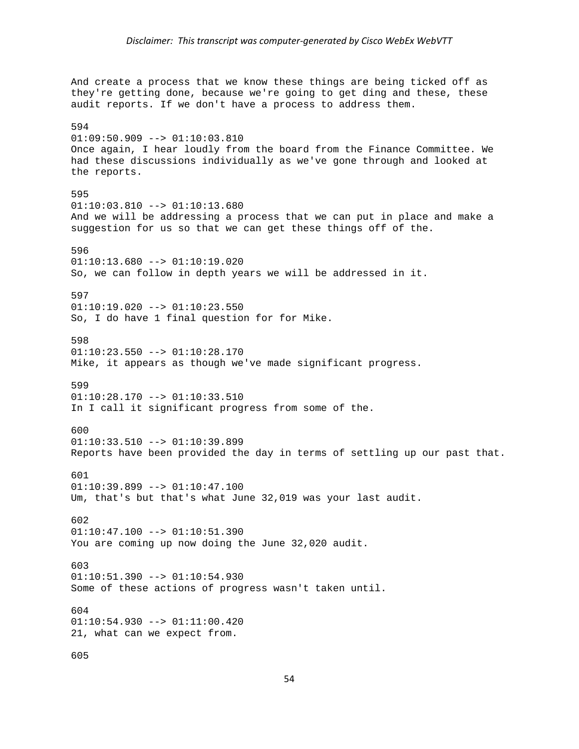And create a process that we know these things are being ticked off as they're getting done, because we're going to get ding and these, these audit reports. If we don't have a process to address them. 594 01:09:50.909 --> 01:10:03.810 Once again, I hear loudly from the board from the Finance Committee. We had these discussions individually as we've gone through and looked at the reports. 595  $01:10:03.810$  -->  $01:10:13.680$ And we will be addressing a process that we can put in place and make a suggestion for us so that we can get these things off of the. 596  $01:10:13.680$  -->  $01:10:19.020$ So, we can follow in depth years we will be addressed in it. 597  $01:10:19.020$  -->  $01:10:23.550$ So, I do have 1 final question for for Mike. 598  $01:10:23.550$  -->  $01:10:28.170$ Mike, it appears as though we've made significant progress. 599  $01:10:28.170$  -->  $01:10:33.510$ In I call it significant progress from some of the. 600  $01:10:33.510$  -->  $01:10:39.899$ Reports have been provided the day in terms of settling up our past that. 601  $01:10:39.899$  -->  $01:10:47.100$ Um, that's but that's what June 32,019 was your last audit. 602  $01:10:47.100$  -->  $01:10:51.390$ You are coming up now doing the June 32,020 audit. 603 01:10:51.390 --> 01:10:54.930 Some of these actions of progress wasn't taken until. 604  $01:10:54.930$  -->  $01:11:00.420$ 21, what can we expect from. 605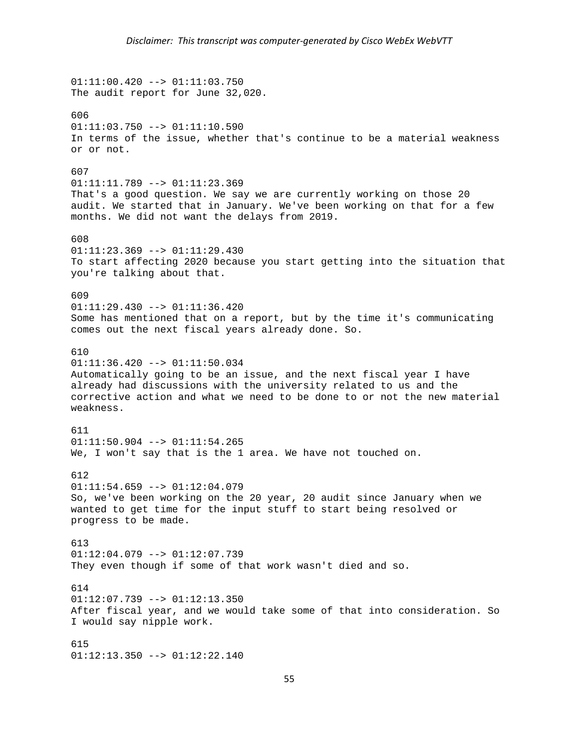01:11:00.420 --> 01:11:03.750 The audit report for June 32,020. 606  $01:11:03.750$  -->  $01:11:10.590$ In terms of the issue, whether that's continue to be a material weakness or or not. 607 01:11:11.789 --> 01:11:23.369 That's a good question. We say we are currently working on those 20 audit. We started that in January. We've been working on that for a few months. We did not want the delays from 2019. 608 01:11:23.369 --> 01:11:29.430 To start affecting 2020 because you start getting into the situation that you're talking about that. 609 01:11:29.430 --> 01:11:36.420 Some has mentioned that on a report, but by the time it's communicating comes out the next fiscal years already done. So. 610 01:11:36.420 --> 01:11:50.034 Automatically going to be an issue, and the next fiscal year I have already had discussions with the university related to us and the corrective action and what we need to be done to or not the new material weakness. 611 01:11:50.904 --> 01:11:54.265 We, I won't say that is the 1 area. We have not touched on. 612  $01:11:54.659$  -->  $01:12:04.079$ So, we've been working on the 20 year, 20 audit since January when we wanted to get time for the input stuff to start being resolved or progress to be made. 613  $01:12:04.079$  -->  $01:12:07.739$ They even though if some of that work wasn't died and so. 614  $01:12:07.739$  -->  $01:12:13.350$ After fiscal year, and we would take some of that into consideration. So I would say nipple work. 615 01:12:13.350 --> 01:12:22.140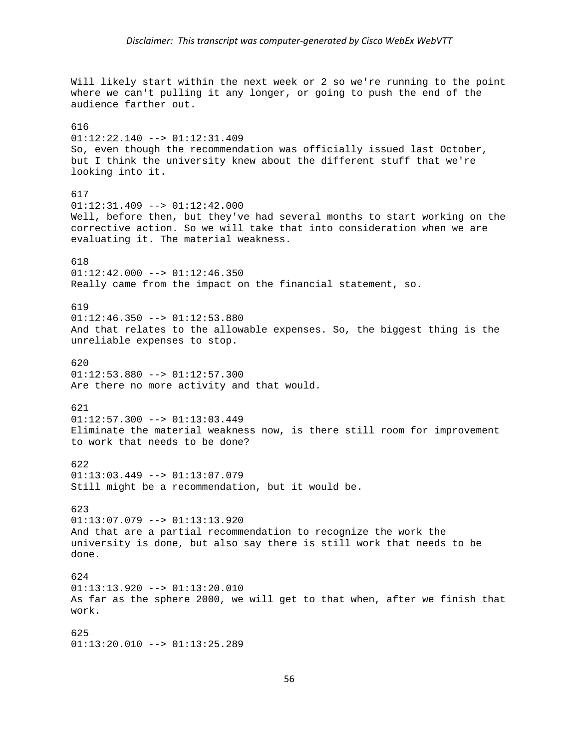Will likely start within the next week or 2 so we're running to the point where we can't pulling it any longer, or going to push the end of the audience farther out. 616 01:12:22.140 --> 01:12:31.409 So, even though the recommendation was officially issued last October, but I think the university knew about the different stuff that we're looking into it. 617  $01:12:31.409$  -->  $01:12:42.000$ Well, before then, but they've had several months to start working on the corrective action. So we will take that into consideration when we are evaluating it. The material weakness. 618 01:12:42.000 --> 01:12:46.350 Really came from the impact on the financial statement, so. 619  $01:12:46.350$  -->  $01:12:53.880$ And that relates to the allowable expenses. So, the biggest thing is the unreliable expenses to stop. 620 01:12:53.880 --> 01:12:57.300 Are there no more activity and that would. 621 01:12:57.300 --> 01:13:03.449 Eliminate the material weakness now, is there still room for improvement to work that needs to be done? 622 01:13:03.449 --> 01:13:07.079 Still might be a recommendation, but it would be. 623  $01:13:07.079$  -->  $01:13:13.920$ And that are a partial recommendation to recognize the work the university is done, but also say there is still work that needs to be done. 624 01:13:13.920 --> 01:13:20.010 As far as the sphere 2000, we will get to that when, after we finish that work. 625 01:13:20.010 --> 01:13:25.289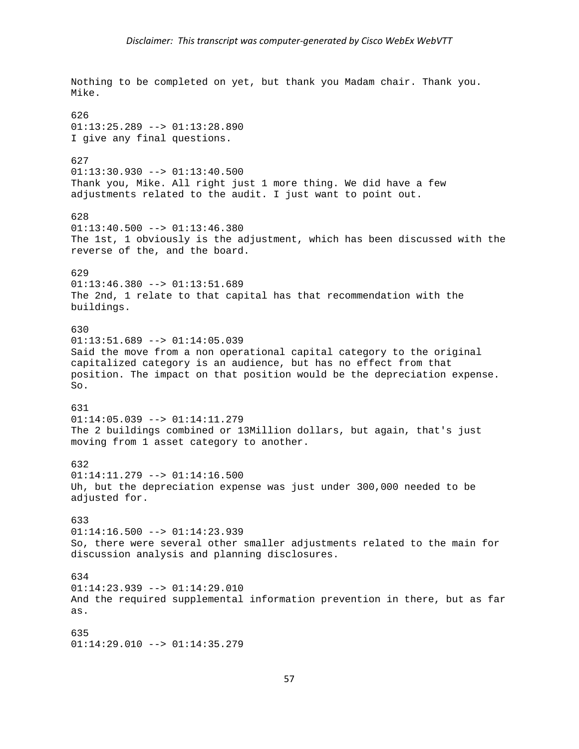Nothing to be completed on yet, but thank you Madam chair. Thank you. Mike. 626  $01:13:25.289$  -->  $01:13:28.890$ I give any final questions. 627  $01:13:30.930$  -->  $01:13:40.500$ Thank you, Mike. All right just 1 more thing. We did have a few adjustments related to the audit. I just want to point out. 628  $01:13:40.500$  -->  $01:13:46.380$ The 1st, 1 obviously is the adjustment, which has been discussed with the reverse of the, and the board. 629 01:13:46.380 --> 01:13:51.689 The 2nd, 1 relate to that capital has that recommendation with the buildings. 630 01:13:51.689 --> 01:14:05.039 Said the move from a non operational capital category to the original capitalized category is an audience, but has no effect from that position. The impact on that position would be the depreciation expense. So. 631 01:14:05.039 --> 01:14:11.279 The 2 buildings combined or 13Million dollars, but again, that's just moving from 1 asset category to another. 632 01:14:11.279 --> 01:14:16.500 Uh, but the depreciation expense was just under 300,000 needed to be adjusted for. 633  $01:14:16.500$  -->  $01:14:23.939$ So, there were several other smaller adjustments related to the main for discussion analysis and planning disclosures. 634 01:14:23.939 --> 01:14:29.010 And the required supplemental information prevention in there, but as far as. 635  $01:14:29.010$  -->  $01:14:35.279$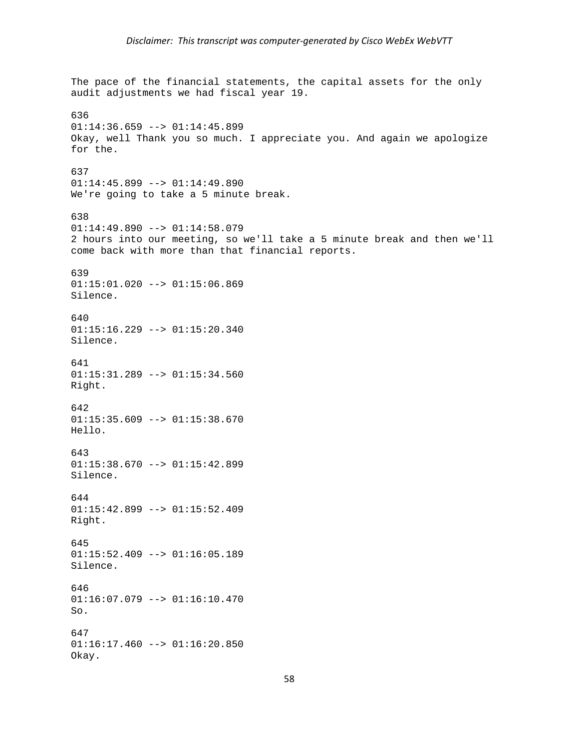The pace of the financial statements, the capital assets for the only audit adjustments we had fiscal year 19. 636  $01:14:36.659$  -->  $01:14:45.899$ Okay, well Thank you so much. I appreciate you. And again we apologize for the. 637 01:14:45.899 --> 01:14:49.890 We're going to take a 5 minute break. 638 01:14:49.890 --> 01:14:58.079 2 hours into our meeting, so we'll take a 5 minute break and then we'll come back with more than that financial reports. 639  $01:15:01.020$  -->  $01:15:06.869$ Silence. 640  $01:15:16.229$  -->  $01:15:20.340$ Silence. 641  $01:15:31.289$  -->  $01:15:34.560$ Right. 642 01:15:35.609 --> 01:15:38.670 Hello. 643  $01:15:38.670$  -->  $01:15:42.899$ Silence. 644 01:15:42.899 --> 01:15:52.409 Right. 645 01:15:52.409 --> 01:16:05.189 Silence. 646  $01:16:07.079$  -->  $01:16:10.470$ So. 647  $01:16:17.460$  -->  $01:16:20.850$ Okay.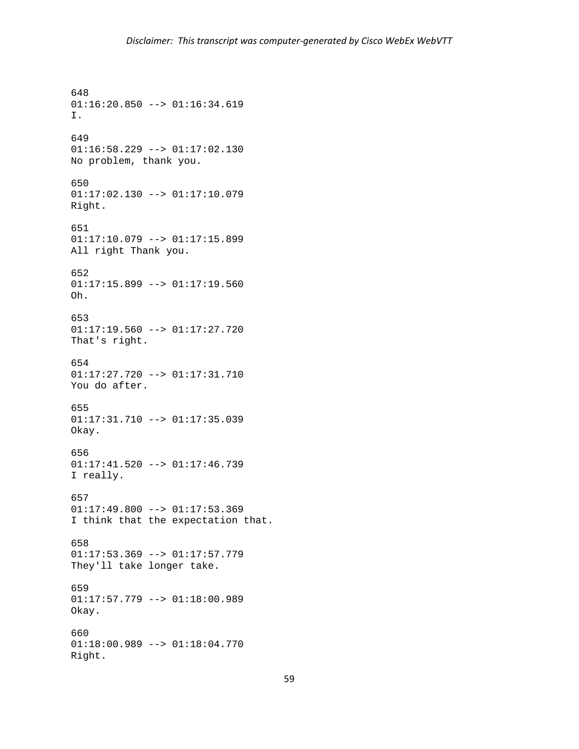648 01:16:20.850 --> 01:16:34.619 I. 649 01:16:58.229 --> 01:17:02.130 No problem, thank you. 650 01:17:02.130 --> 01:17:10.079 Right. 651 01:17:10.079 --> 01:17:15.899 All right Thank you. 652  $01:17:15.899$  -->  $01:17:19.560$ Oh. 653  $01:17:19.560$  -->  $01:17:27.720$ That's right. 654 01:17:27.720 --> 01:17:31.710 You do after. 655 01:17:31.710 --> 01:17:35.039 Okay. 656 01:17:41.520 --> 01:17:46.739 I really. 657 01:17:49.800 --> 01:17:53.369 I think that the expectation that. 658 01:17:53.369 --> 01:17:57.779 They'll take longer take. 659 01:17:57.779 --> 01:18:00.989 Okay. 660 01:18:00.989 --> 01:18:04.770 Right.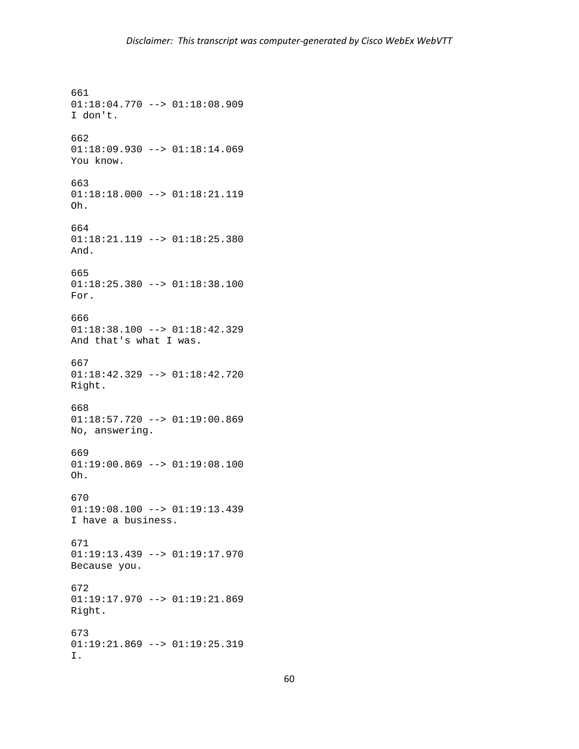661 01:18:04.770 --> 01:18:08.909 I don't. 662 01:18:09.930 --> 01:18:14.069 You know. 663 01:18:18.000 --> 01:18:21.119 Oh. 664 01:18:21.119 --> 01:18:25.380 And. 665 01:18:25.380 --> 01:18:38.100 For. 666 01:18:38.100 --> 01:18:42.329 And that's what I was. 667 01:18:42.329 --> 01:18:42.720 Right. 668 01:18:57.720 --> 01:19:00.869 No, answering. 669  $01:19:00.869$  -->  $01:19:08.100$ Oh. 670 01:19:08.100 --> 01:19:13.439 I have a business. 671 01:19:13.439 --> 01:19:17.970 Because you. 672 01:19:17.970 --> 01:19:21.869 Right. 673 01:19:21.869 --> 01:19:25.319 I.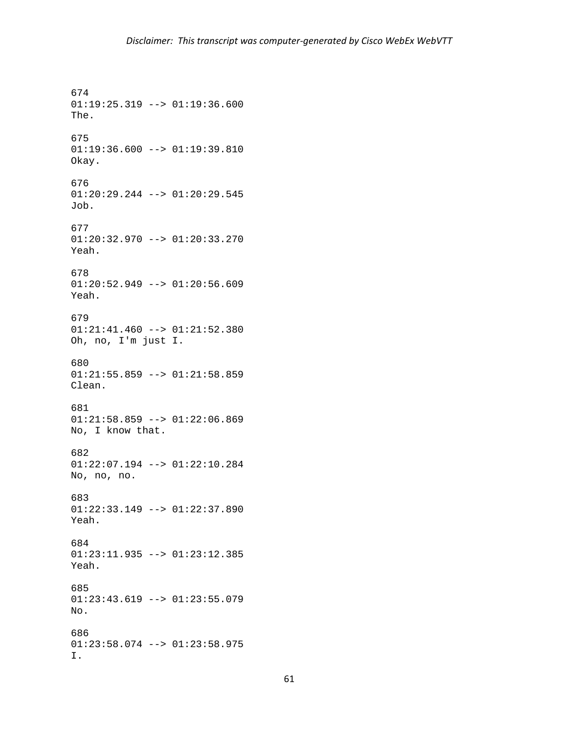674 01:19:25.319 --> 01:19:36.600 The. 675 01:19:36.600 --> 01:19:39.810 Okay. 676 01:20:29.244 --> 01:20:29.545 Job. 677 01:20:32.970 --> 01:20:33.270 Yeah. 678  $01:20:52.949$  -->  $01:20:56.609$ Yeah. 679 01:21:41.460 --> 01:21:52.380 Oh, no, I'm just I. 680  $01:21:55.859$  -->  $01:21:58.859$ Clean. 681 01:21:58.859 --> 01:22:06.869 No, I know that. 682 01:22:07.194 --> 01:22:10.284 No, no, no. 683 01:22:33.149 --> 01:22:37.890 Yeah. 684 01:23:11.935 --> 01:23:12.385 Yeah. 685  $01:23:43.619$  -->  $01:23:55.079$ No. 686 01:23:58.074 --> 01:23:58.975 I.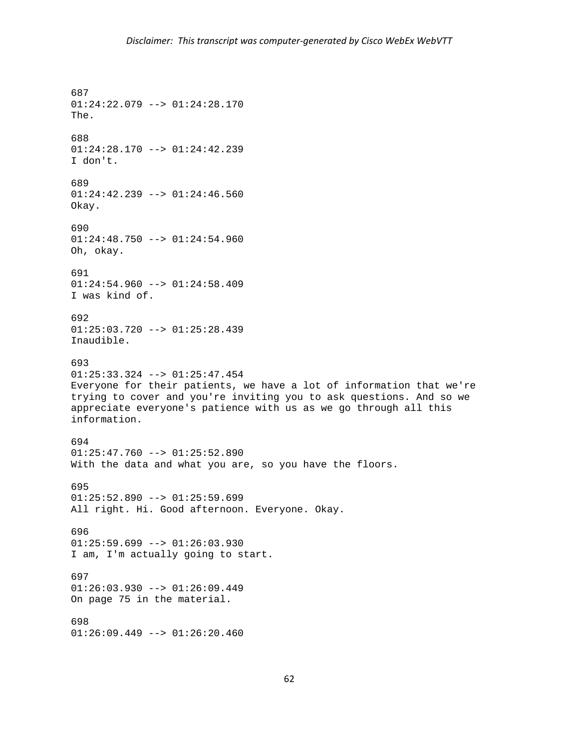687 01:24:22.079 --> 01:24:28.170 The. 688 01:24:28.170 --> 01:24:42.239 I don't. 689  $01:24:42.239$  -->  $01:24:46.560$ Okay. 690 01:24:48.750 --> 01:24:54.960 Oh, okay. 691  $01:24:54.960$  -->  $01:24:58.409$ I was kind of. 692  $01:25:03.720$  -->  $01:25:28.439$ Inaudible. 693 01:25:33.324 --> 01:25:47.454 Everyone for their patients, we have a lot of information that we're trying to cover and you're inviting you to ask questions. And so we appreciate everyone's patience with us as we go through all this information. 694  $01:25:47.760$  -->  $01:25:52.890$ With the data and what you are, so you have the floors. 695  $01:25:52.890$  -->  $01:25:59.699$ All right. Hi. Good afternoon. Everyone. Okay. 696  $01:25:59.699$  -->  $01:26:03.930$ I am, I'm actually going to start. 697 01:26:03.930 --> 01:26:09.449 On page 75 in the material. 698  $01:26:09.449$  -->  $01:26:20.460$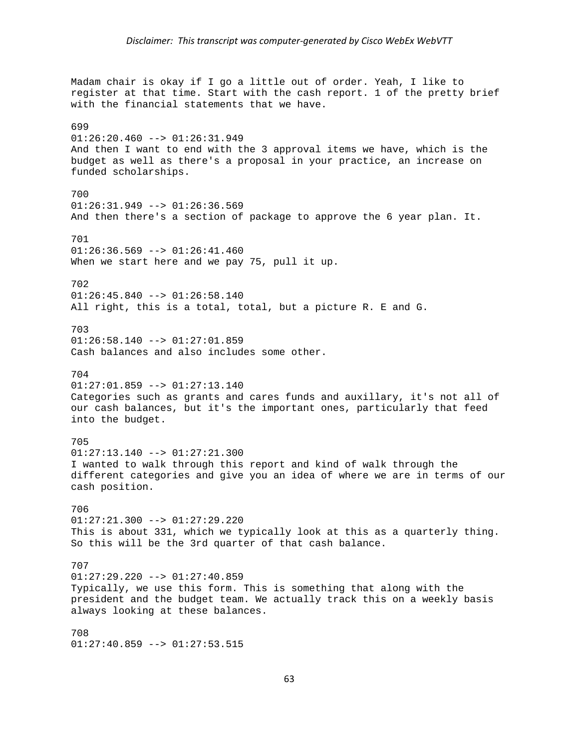Madam chair is okay if I go a little out of order. Yeah, I like to register at that time. Start with the cash report. 1 of the pretty brief with the financial statements that we have. 699  $01:26:20.460$  -->  $01:26:31.949$ And then I want to end with the 3 approval items we have, which is the budget as well as there's a proposal in your practice, an increase on funded scholarships. 700  $01:26:31.949$  -->  $01:26:36.569$ And then there's a section of package to approve the 6 year plan. It. 701  $01:26:36.569$  -->  $01:26:41.460$ When we start here and we pay 75, pull it up. 702  $01:26:45.840$  -->  $01:26:58.140$ All right, this is a total, total, but a picture R. E and G. 703 01:26:58.140 --> 01:27:01.859 Cash balances and also includes some other. 704 01:27:01.859 --> 01:27:13.140 Categories such as grants and cares funds and auxillary, it's not all of our cash balances, but it's the important ones, particularly that feed into the budget. 705 01:27:13.140 --> 01:27:21.300 I wanted to walk through this report and kind of walk through the different categories and give you an idea of where we are in terms of our cash position. 706  $01:27:21.300$  -->  $01:27:29.220$ This is about 331, which we typically look at this as a quarterly thing. So this will be the 3rd quarter of that cash balance. 707 01:27:29.220 --> 01:27:40.859 Typically, we use this form. This is something that along with the president and the budget team. We actually track this on a weekly basis always looking at these balances. 708  $01:27:40.859$  -->  $01:27:53.515$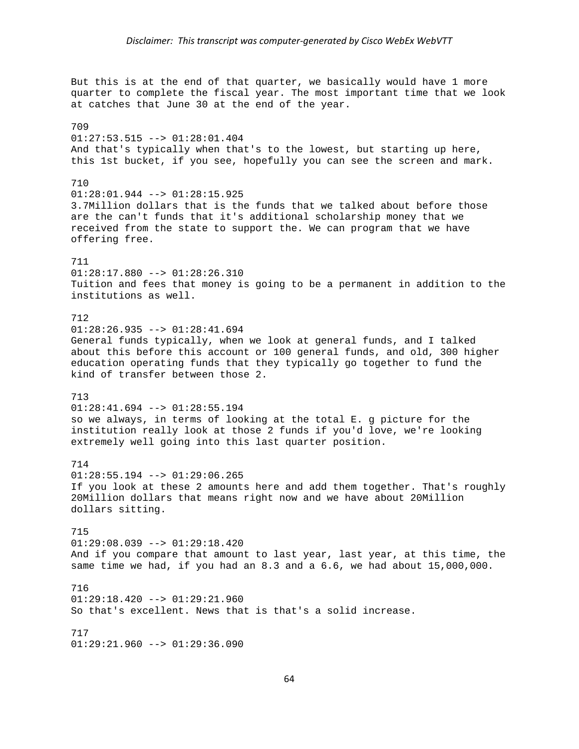But this is at the end of that quarter, we basically would have 1 more quarter to complete the fiscal year. The most important time that we look at catches that June 30 at the end of the year. 709  $01:27:53.515$  -->  $01:28:01.404$ And that's typically when that's to the lowest, but starting up here, this 1st bucket, if you see, hopefully you can see the screen and mark. 710 01:28:01.944 --> 01:28:15.925 3.7Million dollars that is the funds that we talked about before those are the can't funds that it's additional scholarship money that we received from the state to support the. We can program that we have offering free. 711 01:28:17.880 --> 01:28:26.310 Tuition and fees that money is going to be a permanent in addition to the institutions as well. 712  $01:28:26.935$  -->  $01:28:41.694$ General funds typically, when we look at general funds, and I talked about this before this account or 100 general funds, and old, 300 higher education operating funds that they typically go together to fund the kind of transfer between those 2. 713 01:28:41.694 --> 01:28:55.194 so we always, in terms of looking at the total E. g picture for the institution really look at those 2 funds if you'd love, we're looking extremely well going into this last quarter position. 714  $01:28:55.194$  -->  $01:29:06.265$ If you look at these 2 amounts here and add them together. That's roughly 20Million dollars that means right now and we have about 20Million dollars sitting. 715 01:29:08.039 --> 01:29:18.420 And if you compare that amount to last year, last year, at this time, the same time we had, if you had an 8.3 and a 6.6, we had about 15,000,000. 716  $01:29:18.420$  -->  $01:29:21.960$ So that's excellent. News that is that's a solid increase. 717 01:29:21.960 --> 01:29:36.090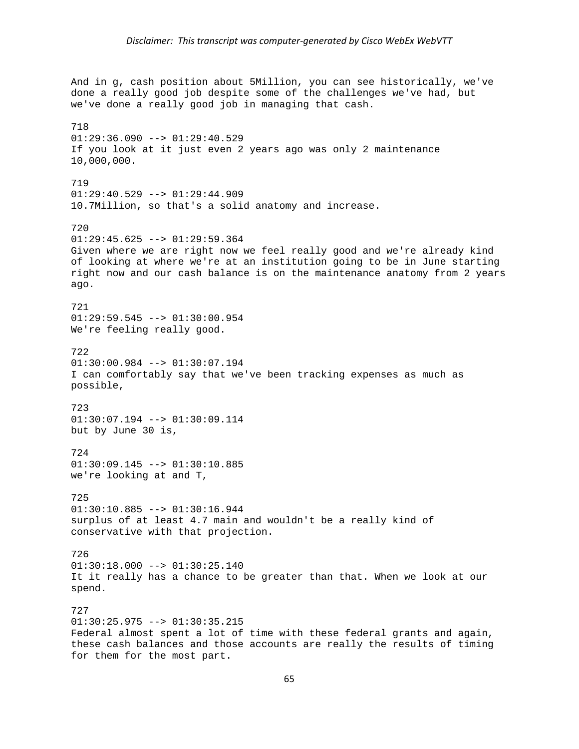And in g, cash position about 5Million, you can see historically, we've done a really good job despite some of the challenges we've had, but we've done a really good job in managing that cash. 718  $01:29:36.090$  -->  $01:29:40.529$ If you look at it just even 2 years ago was only 2 maintenance 10,000,000. 719  $01:29:40.529 --> 01:29:44.909$ 10.7Million, so that's a solid anatomy and increase. 720 01:29:45.625 --> 01:29:59.364 Given where we are right now we feel really good and we're already kind of looking at where we're at an institution going to be in June starting right now and our cash balance is on the maintenance anatomy from 2 years ago. 721 01:29:59.545 --> 01:30:00.954 We're feeling really good. 722 01:30:00.984 --> 01:30:07.194 I can comfortably say that we've been tracking expenses as much as possible, 723 01:30:07.194 --> 01:30:09.114 but by June 30 is, 724 01:30:09.145 --> 01:30:10.885 we're looking at and T, 725 01:30:10.885 --> 01:30:16.944 surplus of at least 4.7 main and wouldn't be a really kind of conservative with that projection. 726  $01:30:18.000$  -->  $01:30:25.140$ It it really has a chance to be greater than that. When we look at our spend. 727  $01:30:25.975$  -->  $01:30:35.215$ Federal almost spent a lot of time with these federal grants and again, these cash balances and those accounts are really the results of timing for them for the most part.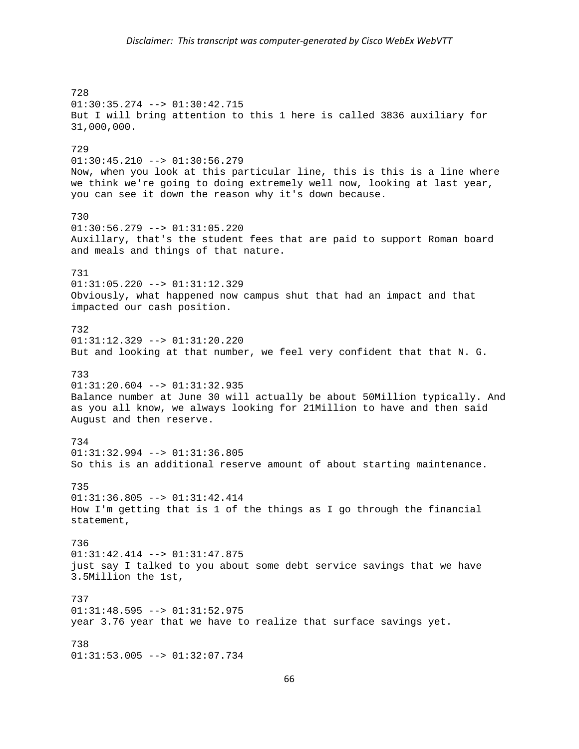728 01:30:35.274 --> 01:30:42.715 But I will bring attention to this 1 here is called 3836 auxiliary for 31,000,000. 729 01:30:45.210 --> 01:30:56.279 Now, when you look at this particular line, this is this is a line where we think we're going to doing extremely well now, looking at last year, you can see it down the reason why it's down because. 730 01:30:56.279 --> 01:31:05.220 Auxillary, that's the student fees that are paid to support Roman board and meals and things of that nature. 731 01:31:05.220 --> 01:31:12.329 Obviously, what happened now campus shut that had an impact and that impacted our cash position. 732 01:31:12.329 --> 01:31:20.220 But and looking at that number, we feel very confident that that N. G. 733 01:31:20.604 --> 01:31:32.935 Balance number at June 30 will actually be about 50Million typically. And as you all know, we always looking for 21Million to have and then said August and then reserve. 734 01:31:32.994 --> 01:31:36.805 So this is an additional reserve amount of about starting maintenance. 735 01:31:36.805 --> 01:31:42.414 How I'm getting that is 1 of the things as I go through the financial statement, 736 01:31:42.414 --> 01:31:47.875 just say I talked to you about some debt service savings that we have 3.5Million the 1st, 737  $01:31:48.595$  -->  $01:31:52.975$ year 3.76 year that we have to realize that surface savings yet. 738 01:31:53.005 --> 01:32:07.734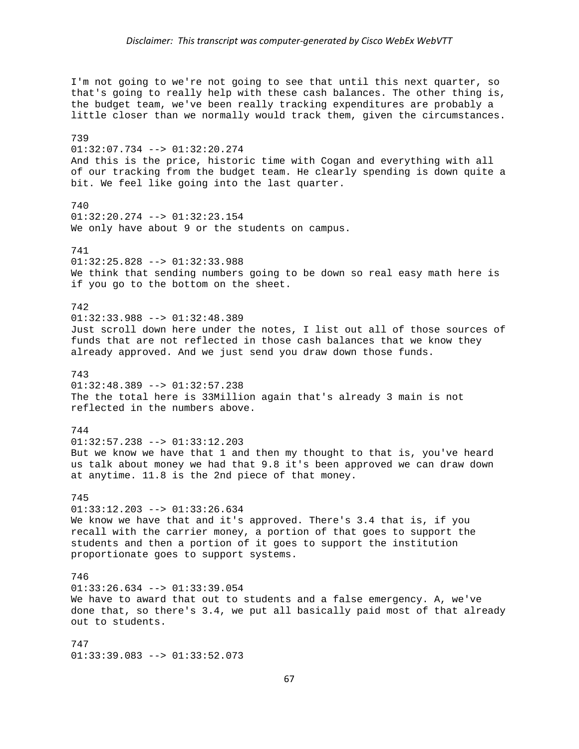I'm not going to we're not going to see that until this next quarter, so that's going to really help with these cash balances. The other thing is, the budget team, we've been really tracking expenditures are probably a little closer than we normally would track them, given the circumstances. 739 01:32:07.734 --> 01:32:20.274 And this is the price, historic time with Cogan and everything with all of our tracking from the budget team. He clearly spending is down quite a bit. We feel like going into the last quarter. 740 01:32:20.274 --> 01:32:23.154 We only have about 9 or the students on campus. 741  $01:32:25.828$  -->  $01:32:33.988$ We think that sending numbers going to be down so real easy math here is if you go to the bottom on the sheet. 742 01:32:33.988 --> 01:32:48.389 Just scroll down here under the notes, I list out all of those sources of funds that are not reflected in those cash balances that we know they already approved. And we just send you draw down those funds. 743 01:32:48.389 --> 01:32:57.238 The the total here is 33Million again that's already 3 main is not reflected in the numbers above. 744  $01:32:57.238$  -->  $01:33:12.203$ But we know we have that 1 and then my thought to that is, you've heard us talk about money we had that 9.8 it's been approved we can draw down at anytime. 11.8 is the 2nd piece of that money. 745 01:33:12.203 --> 01:33:26.634 We know we have that and it's approved. There's 3.4 that is, if you recall with the carrier money, a portion of that goes to support the students and then a portion of it goes to support the institution proportionate goes to support systems. 746 01:33:26.634 --> 01:33:39.054 We have to award that out to students and a false emergency. A, we've done that, so there's 3.4, we put all basically paid most of that already out to students. 747 01:33:39.083 --> 01:33:52.073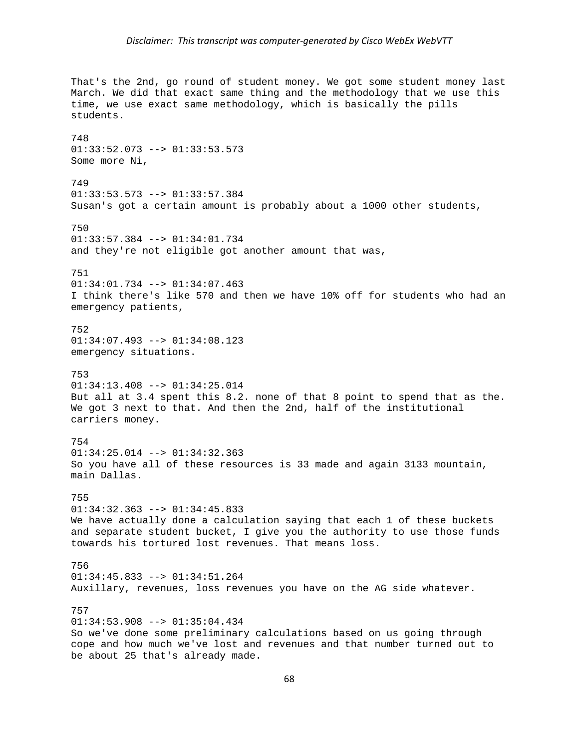## *Disclaimer: This transcript was computer‐generated by Cisco WebEx WebVTT*

That's the 2nd, go round of student money. We got some student money last March. We did that exact same thing and the methodology that we use this time, we use exact same methodology, which is basically the pills students. 748 01:33:52.073 --> 01:33:53.573 Some more Ni, 749 01:33:53.573 --> 01:33:57.384 Susan's got a certain amount is probably about a 1000 other students, 750 01:33:57.384 --> 01:34:01.734 and they're not eligible got another amount that was, 751 01:34:01.734 --> 01:34:07.463 I think there's like 570 and then we have 10% off for students who had an emergency patients, 752 01:34:07.493 --> 01:34:08.123 emergency situations. 753 01:34:13.408 --> 01:34:25.014 But all at 3.4 spent this 8.2. none of that 8 point to spend that as the. We got 3 next to that. And then the 2nd, half of the institutional carriers money. 754 01:34:25.014 --> 01:34:32.363 So you have all of these resources is 33 made and again 3133 mountain, main Dallas. 755 01:34:32.363 --> 01:34:45.833 We have actually done a calculation saying that each 1 of these buckets and separate student bucket, I give you the authority to use those funds towards his tortured lost revenues. That means loss. 756 01:34:45.833 --> 01:34:51.264 Auxillary, revenues, loss revenues you have on the AG side whatever. 757  $01:34:53.908$  -->  $01:35:04.434$ So we've done some preliminary calculations based on us going through cope and how much we've lost and revenues and that number turned out to be about 25 that's already made.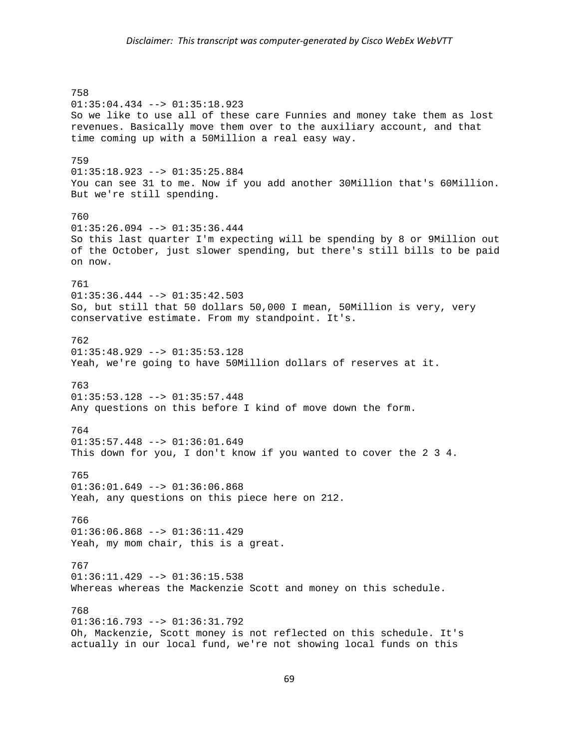758 01:35:04.434 --> 01:35:18.923 So we like to use all of these care Funnies and money take them as lost revenues. Basically move them over to the auxiliary account, and that time coming up with a 50Million a real easy way. 759 01:35:18.923 --> 01:35:25.884 You can see 31 to me. Now if you add another 30Million that's 60Million. But we're still spending. 760 01:35:26.094 --> 01:35:36.444 So this last quarter I'm expecting will be spending by 8 or 9Million out of the October, just slower spending, but there's still bills to be paid on now. 761  $01:35:36.444$  -->  $01:35:42.503$ So, but still that 50 dollars 50,000 I mean, 50Million is very, very conservative estimate. From my standpoint. It's. 762 01:35:48.929 --> 01:35:53.128 Yeah, we're going to have 50Million dollars of reserves at it. 763  $01:35:53.128$  -->  $01:35:57.448$ Any questions on this before I kind of move down the form. 764  $01:35:57.448$  -->  $01:36:01.649$ This down for you, I don't know if you wanted to cover the 2 3 4. 765  $01:36:01.649$  -->  $01:36:06.868$ Yeah, any questions on this piece here on 212. 766 01:36:06.868 --> 01:36:11.429 Yeah, my mom chair, this is a great. 767 01:36:11.429 --> 01:36:15.538 Whereas whereas the Mackenzie Scott and money on this schedule. 768  $01:36:16.793$  -->  $01:36:31.792$ Oh, Mackenzie, Scott money is not reflected on this schedule. It's actually in our local fund, we're not showing local funds on this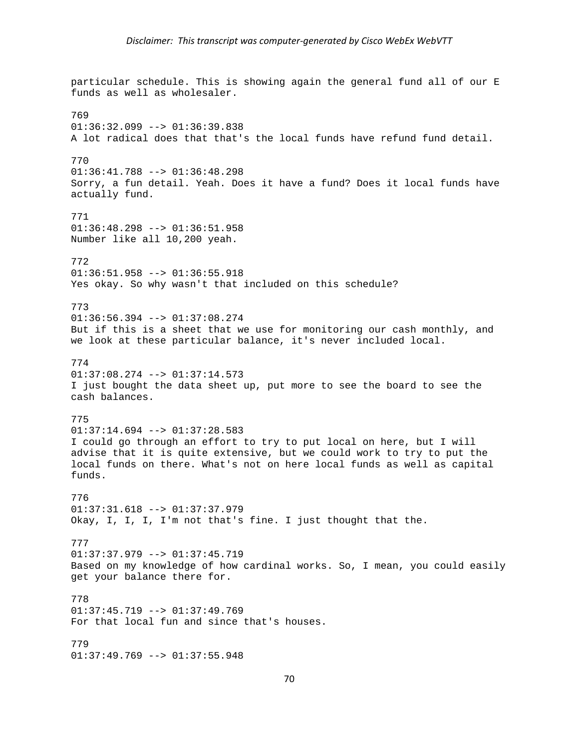particular schedule. This is showing again the general fund all of our E funds as well as wholesaler. 769  $01:36:32.099$  -->  $01:36:39.838$ A lot radical does that that's the local funds have refund fund detail. 770 01:36:41.788 --> 01:36:48.298 Sorry, a fun detail. Yeah. Does it have a fund? Does it local funds have actually fund. 771 01:36:48.298 --> 01:36:51.958 Number like all 10,200 yeah. 772 01:36:51.958 --> 01:36:55.918 Yes okay. So why wasn't that included on this schedule? 773 01:36:56.394 --> 01:37:08.274 But if this is a sheet that we use for monitoring our cash monthly, and we look at these particular balance, it's never included local. 774 01:37:08.274 --> 01:37:14.573 I just bought the data sheet up, put more to see the board to see the cash balances. 775 01:37:14.694 --> 01:37:28.583 I could go through an effort to try to put local on here, but I will advise that it is quite extensive, but we could work to try to put the local funds on there. What's not on here local funds as well as capital funds. 776 01:37:31.618 --> 01:37:37.979 Okay, I, I, I, I'm not that's fine. I just thought that the. 777  $01:37:37.979$  -->  $01:37:45.719$ Based on my knowledge of how cardinal works. So, I mean, you could easily get your balance there for. 778  $01:37:45.719$  -->  $01:37:49.769$ For that local fun and since that's houses. 779 01:37:49.769 --> 01:37:55.948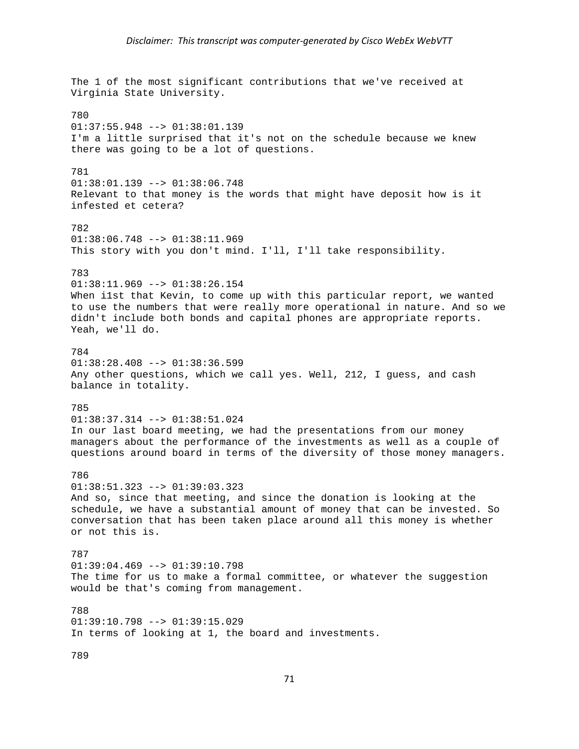The 1 of the most significant contributions that we've received at Virginia State University. 780 01:37:55.948 --> 01:38:01.139 I'm a little surprised that it's not on the schedule because we knew there was going to be a lot of questions. 781 01:38:01.139 --> 01:38:06.748 Relevant to that money is the words that might have deposit how is it infested et cetera? 782 01:38:06.748 --> 01:38:11.969 This story with you don't mind. I'll, I'll take responsibility. 783 01:38:11.969 --> 01:38:26.154 When i1st that Kevin, to come up with this particular report, we wanted to use the numbers that were really more operational in nature. And so we didn't include both bonds and capital phones are appropriate reports. Yeah, we'll do. 784  $01:38:28.408$  -->  $01:38:36.599$ Any other questions, which we call yes. Well, 212, I guess, and cash balance in totality. 785 01:38:37.314 --> 01:38:51.024 In our last board meeting, we had the presentations from our money managers about the performance of the investments as well as a couple of questions around board in terms of the diversity of those money managers. 786  $01:38:51.323$  -->  $01:39:03.323$ And so, since that meeting, and since the donation is looking at the schedule, we have a substantial amount of money that can be invested. So conversation that has been taken place around all this money is whether or not this is. 787 01:39:04.469 --> 01:39:10.798 The time for us to make a formal committee, or whatever the suggestion would be that's coming from management. 788  $01:39:10.798$  -->  $01:39:15.029$ In terms of looking at 1, the board and investments. 789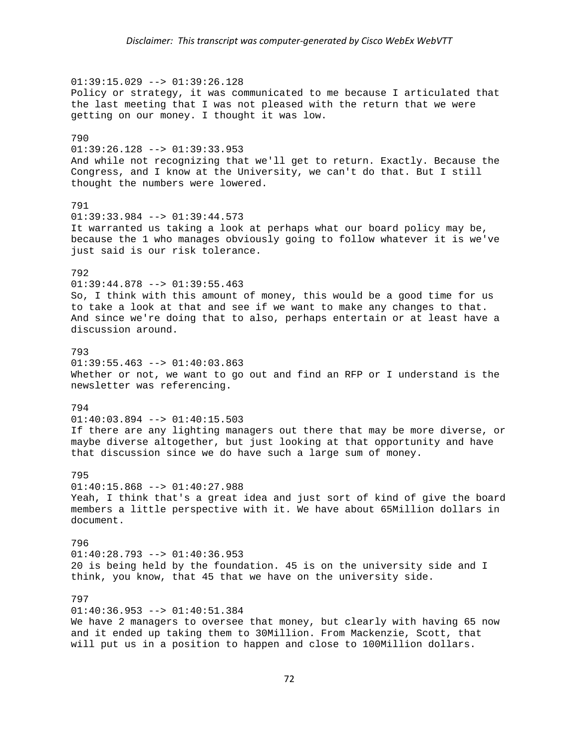01:39:15.029 --> 01:39:26.128 Policy or strategy, it was communicated to me because I articulated that the last meeting that I was not pleased with the return that we were getting on our money. I thought it was low. 790 01:39:26.128 --> 01:39:33.953 And while not recognizing that we'll get to return. Exactly. Because the Congress, and I know at the University, we can't do that. But I still thought the numbers were lowered. 791  $01:39:33.984$  -->  $01:39:44.573$ It warranted us taking a look at perhaps what our board policy may be, because the 1 who manages obviously going to follow whatever it is we've just said is our risk tolerance. 792  $01:39:44.878$  -->  $01:39:55.463$ So, I think with this amount of money, this would be a good time for us to take a look at that and see if we want to make any changes to that. And since we're doing that to also, perhaps entertain or at least have a discussion around. 793  $01:39:55.463$  -->  $01:40:03.863$ Whether or not, we want to go out and find an RFP or I understand is the newsletter was referencing. 794 01:40:03.894 --> 01:40:15.503 If there are any lighting managers out there that may be more diverse, or maybe diverse altogether, but just looking at that opportunity and have that discussion since we do have such a large sum of money. 795  $01:40:15.868$  -->  $01:40:27.988$ Yeah, I think that's a great idea and just sort of kind of give the board members a little perspective with it. We have about 65Million dollars in document. 796  $01:40:28.793$  -->  $01:40:36.953$ 20 is being held by the foundation. 45 is on the university side and I think, you know, that 45 that we have on the university side. 797 01:40:36.953 --> 01:40:51.384 We have 2 managers to oversee that money, but clearly with having 65 now and it ended up taking them to 30Million. From Mackenzie, Scott, that

will put us in a position to happen and close to 100Million dollars.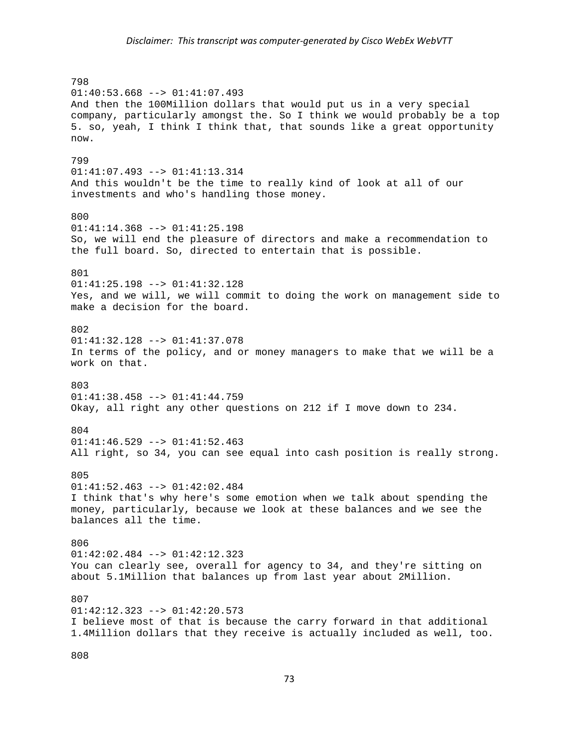798  $01:40:53.668$  -->  $01:41:07.493$ And then the 100Million dollars that would put us in a very special company, particularly amongst the. So I think we would probably be a top 5. so, yeah, I think I think that, that sounds like a great opportunity now. 799 01:41:07.493 --> 01:41:13.314 And this wouldn't be the time to really kind of look at all of our investments and who's handling those money. 800 01:41:14.368 --> 01:41:25.198 So, we will end the pleasure of directors and make a recommendation to the full board. So, directed to entertain that is possible. 801 01:41:25.198 --> 01:41:32.128 Yes, and we will, we will commit to doing the work on management side to make a decision for the board. 802 01:41:32.128 --> 01:41:37.078 In terms of the policy, and or money managers to make that we will be a work on that. 803 01:41:38.458 --> 01:41:44.759 Okay, all right any other questions on 212 if I move down to 234. 804  $01:41:46.529$  -->  $01:41:52.463$ All right, so 34, you can see equal into cash position is really strong. 805  $01:41:52.463$  -->  $01:42:02.484$ I think that's why here's some emotion when we talk about spending the money, particularly, because we look at these balances and we see the balances all the time. 806  $01:42:02.484$  -->  $01:42:12.323$ You can clearly see, overall for agency to 34, and they're sitting on about 5.1Million that balances up from last year about 2Million. 807  $01:42:12.323$  -->  $01:42:20.573$ I believe most of that is because the carry forward in that additional 1.4Million dollars that they receive is actually included as well, too.

808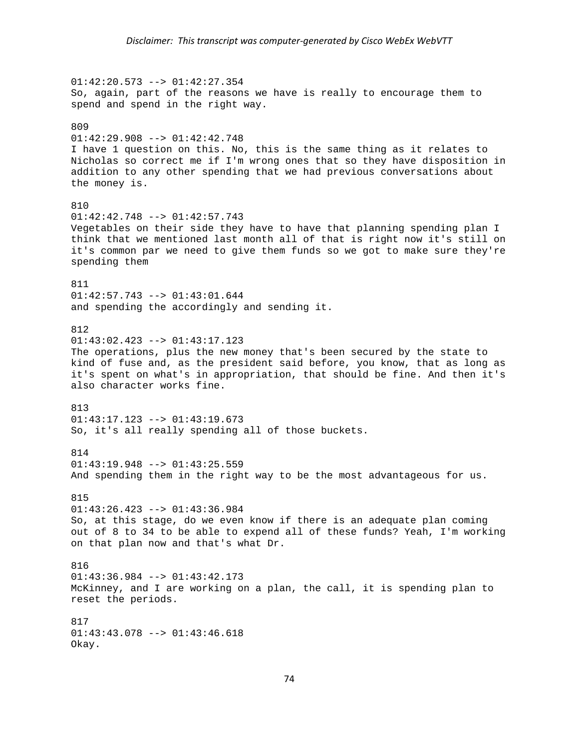01:42:20.573 --> 01:42:27.354 So, again, part of the reasons we have is really to encourage them to spend and spend in the right way. 809 01:42:29.908 --> 01:42:42.748 I have 1 question on this. No, this is the same thing as it relates to Nicholas so correct me if I'm wrong ones that so they have disposition in addition to any other spending that we had previous conversations about the money is. 810 01:42:42.748 --> 01:42:57.743 Vegetables on their side they have to have that planning spending plan I think that we mentioned last month all of that is right now it's still on it's common par we need to give them funds so we got to make sure they're spending them 811 01:42:57.743 --> 01:43:01.644 and spending the accordingly and sending it. 812 01:43:02.423 --> 01:43:17.123 The operations, plus the new money that's been secured by the state to kind of fuse and, as the president said before, you know, that as long as it's spent on what's in appropriation, that should be fine. And then it's also character works fine. 813 01:43:17.123 --> 01:43:19.673 So, it's all really spending all of those buckets. 814  $01:43:19.948$  -->  $01:43:25.559$ And spending them in the right way to be the most advantageous for us. 815 01:43:26.423 --> 01:43:36.984 So, at this stage, do we even know if there is an adequate plan coming out of 8 to 34 to be able to expend all of these funds? Yeah, I'm working on that plan now and that's what Dr. 816 01:43:36.984 --> 01:43:42.173 McKinney, and I are working on a plan, the call, it is spending plan to reset the periods. 817 01:43:43.078 --> 01:43:46.618 Okay.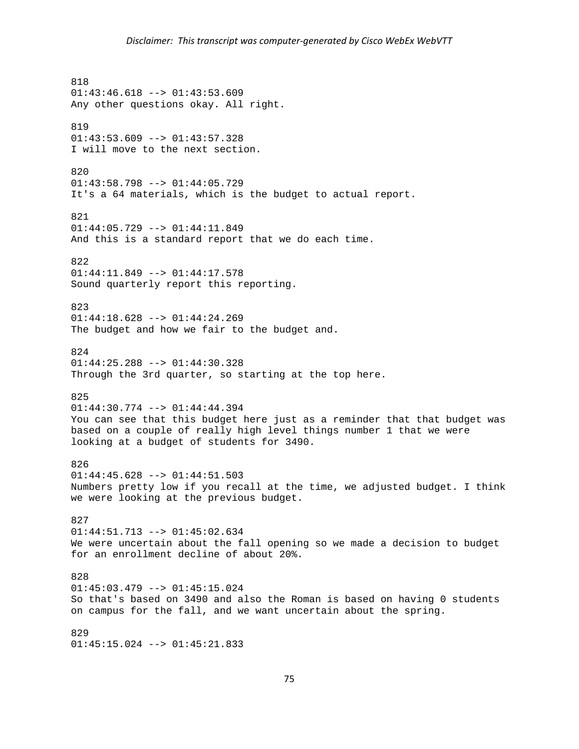818 01:43:46.618 --> 01:43:53.609 Any other questions okay. All right. 819  $01:43:53.609$  -->  $01:43:57.328$ I will move to the next section. 820 01:43:58.798 --> 01:44:05.729 It's a 64 materials, which is the budget to actual report. 821 01:44:05.729 --> 01:44:11.849 And this is a standard report that we do each time. 822 01:44:11.849 --> 01:44:17.578 Sound quarterly report this reporting. 823 01:44:18.628 --> 01:44:24.269 The budget and how we fair to the budget and. 824 01:44:25.288 --> 01:44:30.328 Through the 3rd quarter, so starting at the top here. 825 01:44:30.774 --> 01:44:44.394 You can see that this budget here just as a reminder that that budget was based on a couple of really high level things number 1 that we were looking at a budget of students for 3490. 826 01:44:45.628 --> 01:44:51.503 Numbers pretty low if you recall at the time, we adjusted budget. I think we were looking at the previous budget. 827 01:44:51.713 --> 01:45:02.634 We were uncertain about the fall opening so we made a decision to budget for an enrollment decline of about 20%. 828 01:45:03.479 --> 01:45:15.024 So that's based on 3490 and also the Roman is based on having 0 students on campus for the fall, and we want uncertain about the spring. 829 01:45:15.024 --> 01:45:21.833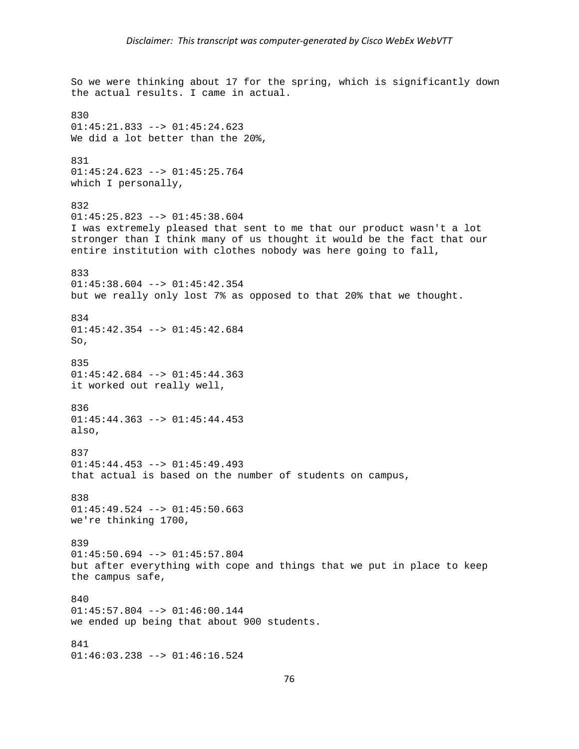So we were thinking about 17 for the spring, which is significantly down the actual results. I came in actual. 830  $01:45:21.833$  -->  $01:45:24.623$ We did a lot better than the 20%, 831 01:45:24.623 --> 01:45:25.764 which I personally, 832 01:45:25.823 --> 01:45:38.604 I was extremely pleased that sent to me that our product wasn't a lot stronger than I think many of us thought it would be the fact that our entire institution with clothes nobody was here going to fall, 833 01:45:38.604 --> 01:45:42.354 but we really only lost 7% as opposed to that 20% that we thought. 834  $01:45:42.354$  -->  $01:45:42.684$ So, 835 01:45:42.684 --> 01:45:44.363 it worked out really well, 836 01:45:44.363 --> 01:45:44.453 also, 837 01:45:44.453 --> 01:45:49.493 that actual is based on the number of students on campus, 838 01:45:49.524 --> 01:45:50.663 we're thinking 1700, 839 01:45:50.694 --> 01:45:57.804 but after everything with cope and things that we put in place to keep the campus safe, 840  $01:45:57.804$  -->  $01:46:00.144$ we ended up being that about 900 students. 841 01:46:03.238 --> 01:46:16.524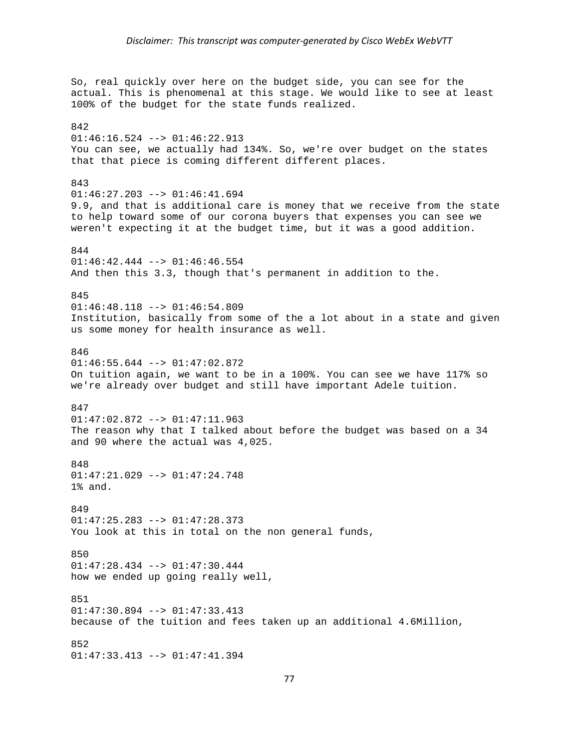So, real quickly over here on the budget side, you can see for the actual. This is phenomenal at this stage. We would like to see at least 100% of the budget for the state funds realized. 842  $01:46:16.524$  -->  $01:46:22.913$ You can see, we actually had 134%. So, we're over budget on the states that that piece is coming different different places. 843 01:46:27.203 --> 01:46:41.694 9.9, and that is additional care is money that we receive from the state to help toward some of our corona buyers that expenses you can see we weren't expecting it at the budget time, but it was a good addition. 844  $01:46:42.444$  -->  $01:46:46.554$ And then this 3.3, though that's permanent in addition to the. 845 01:46:48.118 --> 01:46:54.809 Institution, basically from some of the a lot about in a state and given us some money for health insurance as well. 846 01:46:55.644 --> 01:47:02.872 On tuition again, we want to be in a 100%. You can see we have 117% so we're already over budget and still have important Adele tuition. 847 01:47:02.872 --> 01:47:11.963 The reason why that I talked about before the budget was based on a 34 and 90 where the actual was 4,025. 848 01:47:21.029 --> 01:47:24.748 1% and. 849 01:47:25.283 --> 01:47:28.373 You look at this in total on the non general funds, 850 01:47:28.434 --> 01:47:30.444 how we ended up going really well, 851 01:47:30.894 --> 01:47:33.413 because of the tuition and fees taken up an additional 4.6Million, 852 01:47:33.413 --> 01:47:41.394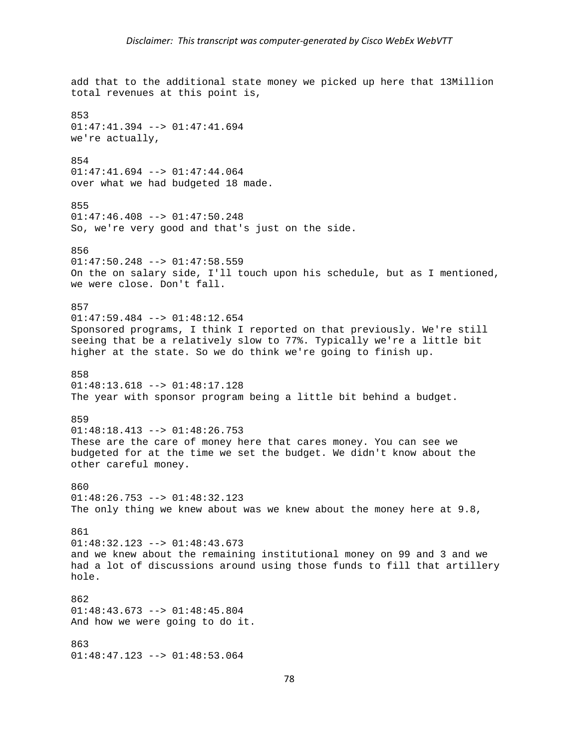add that to the additional state money we picked up here that 13Million total revenues at this point is, 853  $01:47:41.394$  -->  $01:47:41.694$ we're actually, 854 01:47:41.694 --> 01:47:44.064 over what we had budgeted 18 made. 855 01:47:46.408 --> 01:47:50.248 So, we're very good and that's just on the side. 856  $01:47:50.248$  -->  $01:47:58.559$ On the on salary side, I'll touch upon his schedule, but as I mentioned, we were close. Don't fall. 857 01:47:59.484 --> 01:48:12.654 Sponsored programs, I think I reported on that previously. We're still seeing that be a relatively slow to 77%. Typically we're a little bit higher at the state. So we do think we're going to finish up. 858 01:48:13.618 --> 01:48:17.128 The year with sponsor program being a little bit behind a budget. 859 01:48:18.413 --> 01:48:26.753 These are the care of money here that cares money. You can see we budgeted for at the time we set the budget. We didn't know about the other careful money. 860 01:48:26.753 --> 01:48:32.123 The only thing we knew about was we knew about the money here at 9.8, 861  $01:48:32.123$  -->  $01:48:43.673$ and we knew about the remaining institutional money on 99 and 3 and we had a lot of discussions around using those funds to fill that artillery hole. 862  $01:48:43.673$  -->  $01:48:45.804$ And how we were going to do it. 863 01:48:47.123 --> 01:48:53.064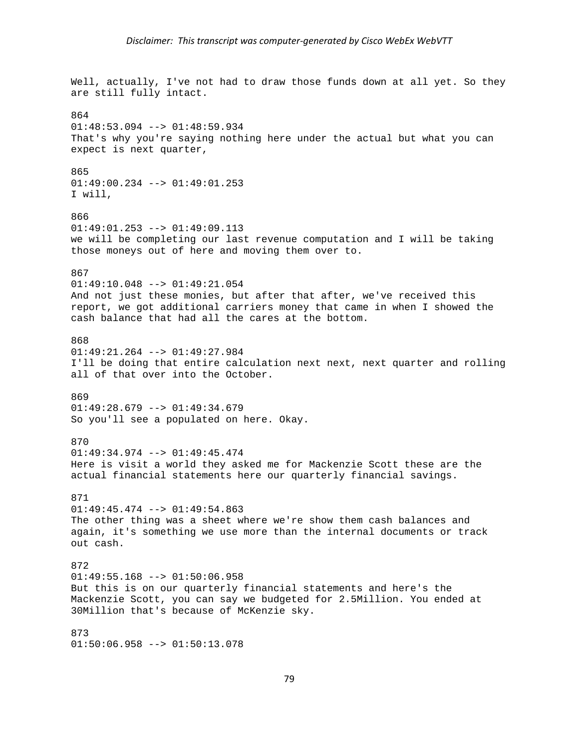Well, actually, I've not had to draw those funds down at all yet. So they are still fully intact. 864  $01:48:53.094$  -->  $01:48:59.934$ That's why you're saying nothing here under the actual but what you can expect is next quarter, 865 01:49:00.234 --> 01:49:01.253 I will, 866 01:49:01.253 --> 01:49:09.113 we will be completing our last revenue computation and I will be taking those moneys out of here and moving them over to. 867 01:49:10.048 --> 01:49:21.054 And not just these monies, but after that after, we've received this report, we got additional carriers money that came in when I showed the cash balance that had all the cares at the bottom. 868 01:49:21.264 --> 01:49:27.984 I'll be doing that entire calculation next next, next quarter and rolling all of that over into the October. 869 01:49:28.679 --> 01:49:34.679 So you'll see a populated on here. Okay. 870 01:49:34.974 --> 01:49:45.474 Here is visit a world they asked me for Mackenzie Scott these are the actual financial statements here our quarterly financial savings. 871 01:49:45.474 --> 01:49:54.863 The other thing was a sheet where we're show them cash balances and again, it's something we use more than the internal documents or track out cash. 872 01:49:55.168 --> 01:50:06.958 But this is on our quarterly financial statements and here's the Mackenzie Scott, you can say we budgeted for 2.5Million. You ended at 30Million that's because of McKenzie sky. 873 01:50:06.958 --> 01:50:13.078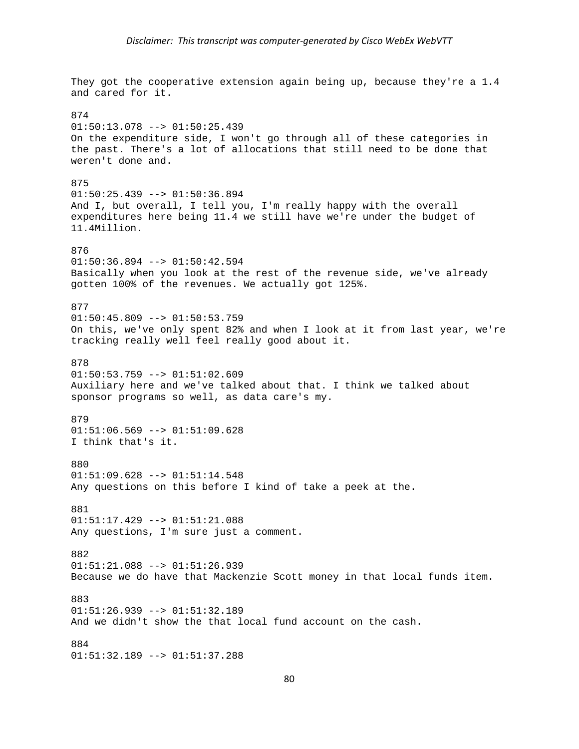They got the cooperative extension again being up, because they're a 1.4 and cared for it. 874  $01:50:13.078$  -->  $01:50:25.439$ On the expenditure side, I won't go through all of these categories in the past. There's a lot of allocations that still need to be done that weren't done and. 875  $01:50:25.439$  -->  $01:50:36.894$ And I, but overall, I tell you, I'm really happy with the overall expenditures here being 11.4 we still have we're under the budget of 11.4Million. 876  $01:50:36.894$  -->  $01:50:42.594$ Basically when you look at the rest of the revenue side, we've already gotten 100% of the revenues. We actually got 125%. 877  $01:50:45.809$  -->  $01:50:53.759$ On this, we've only spent 82% and when I look at it from last year, we're tracking really well feel really good about it. 878  $01:50:53.759$  -->  $01:51:02.609$ Auxiliary here and we've talked about that. I think we talked about sponsor programs so well, as data care's my. 879 01:51:06.569 --> 01:51:09.628 I think that's it. 880 01:51:09.628 --> 01:51:14.548 Any questions on this before I kind of take a peek at the. 881 01:51:17.429 --> 01:51:21.088 Any questions, I'm sure just a comment. 882 01:51:21.088 --> 01:51:26.939 Because we do have that Mackenzie Scott money in that local funds item. 883  $01:51:26.939$  -->  $01:51:32.189$ And we didn't show the that local fund account on the cash. 884 01:51:32.189 --> 01:51:37.288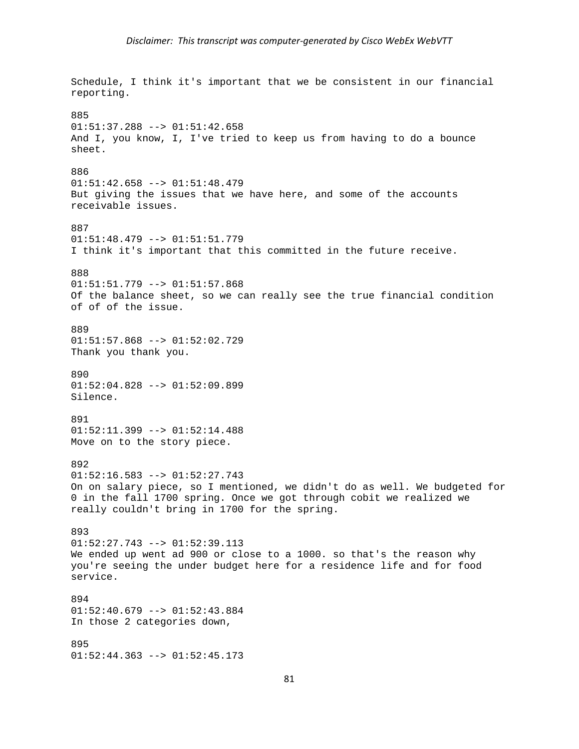Schedule, I think it's important that we be consistent in our financial reporting. 885  $01:51:37.288$  -->  $01:51:42.658$ And I, you know, I, I've tried to keep us from having to do a bounce sheet. 886 01:51:42.658 --> 01:51:48.479 But giving the issues that we have here, and some of the accounts receivable issues. 887 01:51:48.479 --> 01:51:51.779 I think it's important that this committed in the future receive. 888 01:51:51.779 --> 01:51:57.868 Of the balance sheet, so we can really see the true financial condition of of of the issue. 889 01:51:57.868 --> 01:52:02.729 Thank you thank you. 890 01:52:04.828 --> 01:52:09.899 Silence. 891 01:52:11.399 --> 01:52:14.488 Move on to the story piece. 892 01:52:16.583 --> 01:52:27.743 On on salary piece, so I mentioned, we didn't do as well. We budgeted for 0 in the fall 1700 spring. Once we got through cobit we realized we really couldn't bring in 1700 for the spring. 893  $01:52:27.743$  -->  $01:52:39.113$ We ended up went ad 900 or close to a 1000. so that's the reason why you're seeing the under budget here for a residence life and for food service. 894  $01:52:40.679$  -->  $01:52:43.884$ In those 2 categories down, 895  $01:52:44.363$  -->  $01:52:45.173$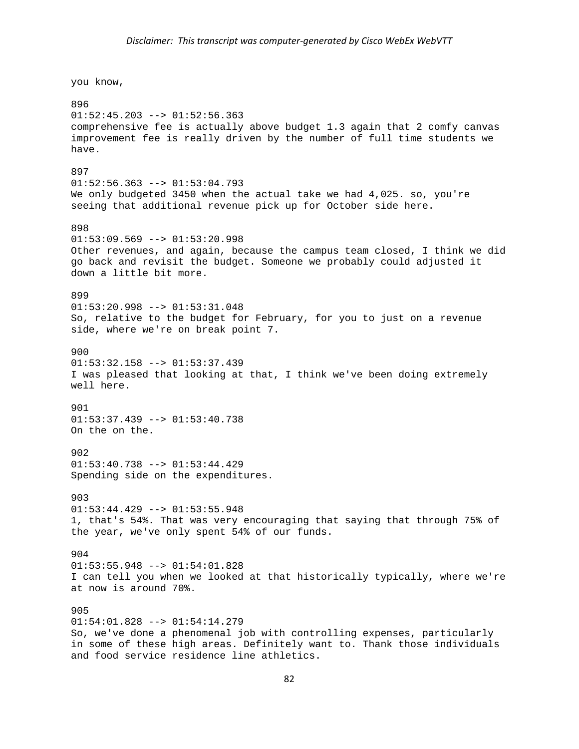you know,

896  $01:52:45.203$  -->  $01:52:56.363$ comprehensive fee is actually above budget 1.3 again that 2 comfy canvas improvement fee is really driven by the number of full time students we have. 897 01:52:56.363 --> 01:53:04.793 We only budgeted 3450 when the actual take we had 4,025. so, you're seeing that additional revenue pick up for October side here. 898  $01:53:09.569$  -->  $01:53:20.998$ Other revenues, and again, because the campus team closed, I think we did go back and revisit the budget. Someone we probably could adjusted it down a little bit more. 899 01:53:20.998 --> 01:53:31.048 So, relative to the budget for February, for you to just on a revenue side, where we're on break point 7. 900 01:53:32.158 --> 01:53:37.439 I was pleased that looking at that, I think we've been doing extremely well here. 901  $01:53:37.439$  -->  $01:53:40.738$ On the on the. 902  $01:53:40.738$  -->  $01:53:44.429$ Spending side on the expenditures. 903 01:53:44.429 --> 01:53:55.948 1, that's 54%. That was very encouraging that saying that through 75% of the year, we've only spent 54% of our funds. 904 01:53:55.948 --> 01:54:01.828 I can tell you when we looked at that historically typically, where we're at now is around 70%. 905 01:54:01.828 --> 01:54:14.279 So, we've done a phenomenal job with controlling expenses, particularly in some of these high areas. Definitely want to. Thank those individuals and food service residence line athletics.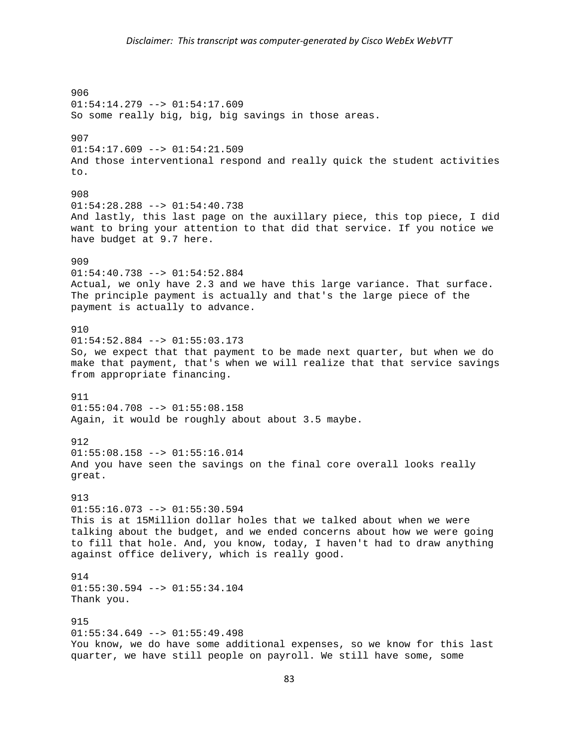906 01:54:14.279 --> 01:54:17.609 So some really big, big, big savings in those areas. 907 01:54:17.609 --> 01:54:21.509 And those interventional respond and really quick the student activities to. 908  $01:54:28.288$  -->  $01:54:40.738$ And lastly, this last page on the auxillary piece, this top piece, I did want to bring your attention to that did that service. If you notice we have budget at 9.7 here. 909 01:54:40.738 --> 01:54:52.884 Actual, we only have 2.3 and we have this large variance. That surface. The principle payment is actually and that's the large piece of the payment is actually to advance. 910 01:54:52.884 --> 01:55:03.173 So, we expect that that payment to be made next quarter, but when we do make that payment, that's when we will realize that that service savings from appropriate financing. 911  $01:55:04.708$  -->  $01:55:08.158$ Again, it would be roughly about about 3.5 maybe. 912  $01:55:08.158$  -->  $01:55:16.014$ And you have seen the savings on the final core overall looks really great. 913  $01:55:16.073$  -->  $01:55:30.594$ This is at 15Million dollar holes that we talked about when we were talking about the budget, and we ended concerns about how we were going to fill that hole. And, you know, today, I haven't had to draw anything against office delivery, which is really good. 914 01:55:30.594 --> 01:55:34.104 Thank you. 915 01:55:34.649 --> 01:55:49.498 You know, we do have some additional expenses, so we know for this last quarter, we have still people on payroll. We still have some, some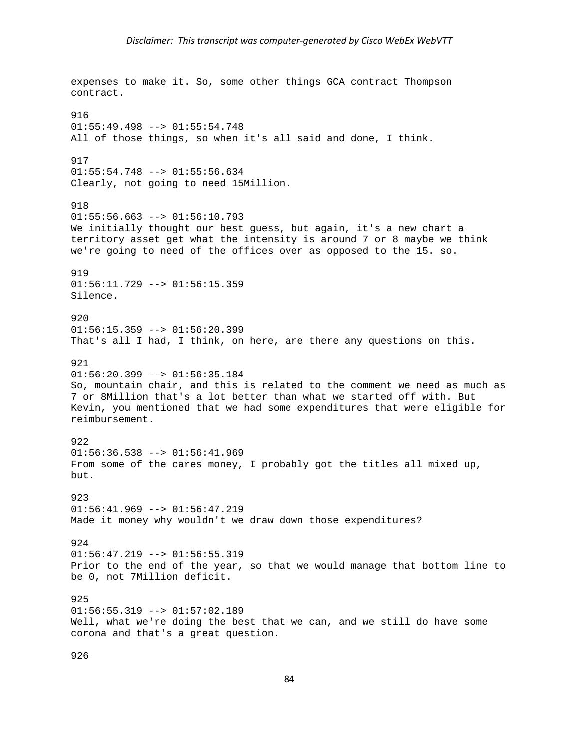expenses to make it. So, some other things GCA contract Thompson contract. 916  $01:55:49.498$  -->  $01:55:54.748$ All of those things, so when it's all said and done, I think. 917 01:55:54.748 --> 01:55:56.634 Clearly, not going to need 15Million. 918  $01:55:56.663$  -->  $01:56:10.793$ We initially thought our best guess, but again, it's a new chart a territory asset get what the intensity is around 7 or 8 maybe we think we're going to need of the offices over as opposed to the 15. so. 919  $01:56:11.729$  -->  $01:56:15.359$ Silence. 920  $01:56:15.359$  -->  $01:56:20.399$ That's all I had, I think, on here, are there any questions on this. 921  $01:56:20.399$  -->  $01:56:35.184$ So, mountain chair, and this is related to the comment we need as much as 7 or 8Million that's a lot better than what we started off with. But Kevin, you mentioned that we had some expenditures that were eligible for reimbursement. 922  $01:56:36.538$  -->  $01:56:41.969$ From some of the cares money, I probably got the titles all mixed up, but. 923 01:56:41.969 --> 01:56:47.219 Made it money why wouldn't we draw down those expenditures? 924  $01:56:47.219$  -->  $01:56:55.319$ Prior to the end of the year, so that we would manage that bottom line to be 0, not 7Million deficit. 925  $01:56:55.319$  -->  $01:57:02.189$ Well, what we're doing the best that we can, and we still do have some corona and that's a great question.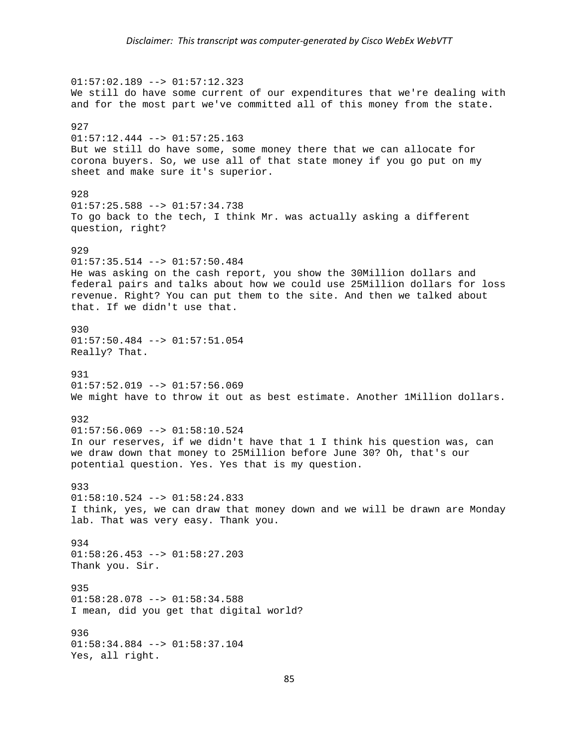$01:57:02.189$  -->  $01:57:12.323$ We still do have some current of our expenditures that we're dealing with and for the most part we've committed all of this money from the state. 927  $01:57:12.444$  -->  $01:57:25.163$ But we still do have some, some money there that we can allocate for corona buyers. So, we use all of that state money if you go put on my sheet and make sure it's superior. 928  $01:57:25.588$  -->  $01:57:34.738$ To go back to the tech, I think Mr. was actually asking a different question, right? 929  $01:57:35.514$  -->  $01:57:50.484$ He was asking on the cash report, you show the 30Million dollars and federal pairs and talks about how we could use 25Million dollars for loss revenue. Right? You can put them to the site. And then we talked about that. If we didn't use that. 930 01:57:50.484 --> 01:57:51.054 Really? That. 931  $01:57:52.019$  -->  $01:57:56.069$ We might have to throw it out as best estimate. Another 1Million dollars. 932 01:57:56.069 --> 01:58:10.524 In our reserves, if we didn't have that 1 I think his question was, can we draw down that money to 25Million before June 30? Oh, that's our potential question. Yes. Yes that is my question. 933 01:58:10.524 --> 01:58:24.833 I think, yes, we can draw that money down and we will be drawn are Monday lab. That was very easy. Thank you. 934 01:58:26.453 --> 01:58:27.203 Thank you. Sir. 935 01:58:28.078 --> 01:58:34.588 I mean, did you get that digital world? 936 01:58:34.884 --> 01:58:37.104 Yes, all right.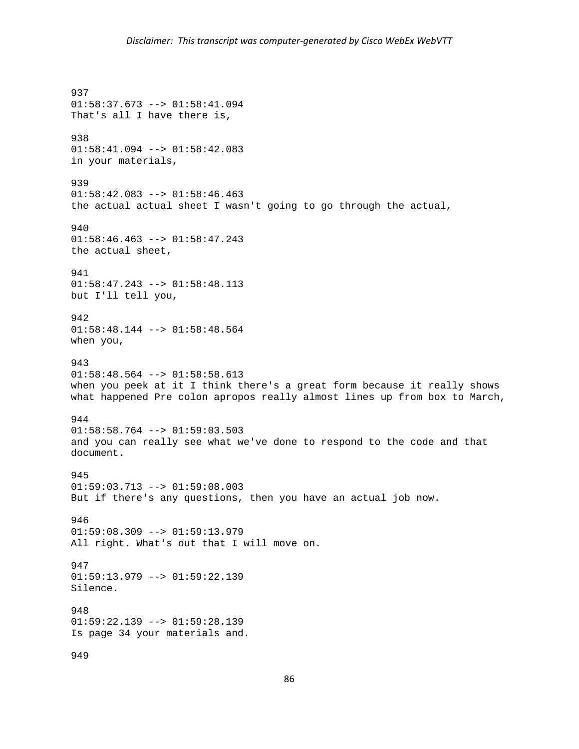937 01:58:37.673 --> 01:58:41.094 That's all I have there is, 938 01:58:41.094 --> 01:58:42.083 in your materials, 939  $01:58:42.083$  -->  $01:58:46.463$ the actual actual sheet I wasn't going to go through the actual, 940 01:58:46.463 --> 01:58:47.243 the actual sheet, 941  $01:58:47.243$  -->  $01:58:48.113$ but I'll tell you, 942 01:58:48.144 --> 01:58:48.564 when you, 943  $01:58:48.564$  -->  $01:58:58.613$ when you peek at it I think there's a great form because it really shows what happened Pre colon apropos really almost lines up from box to March, 944 01:58:58.764 --> 01:59:03.503 and you can really see what we've done to respond to the code and that document. 945  $01:59:03.713$  -->  $01:59:08.003$ But if there's any questions, then you have an actual job now. 946  $01:59:08.309$  -->  $01:59:13.979$ All right. What's out that I will move on. 947 01:59:13.979 --> 01:59:22.139 Silence. 948  $01:59:22.139$  -->  $01:59:28.139$ Is page 34 your materials and. 949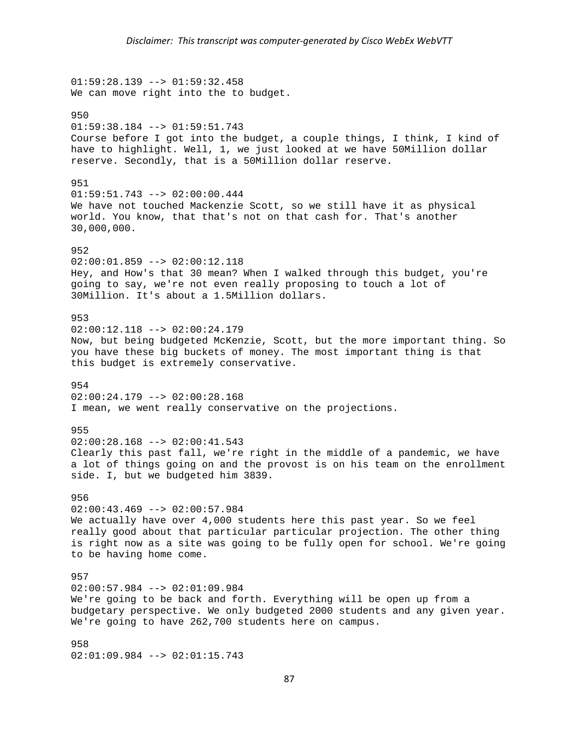01:59:28.139 --> 01:59:32.458 We can move right into the to budget. 950  $01:59:38.184$  -->  $01:59:51.743$ Course before I got into the budget, a couple things, I think, I kind of have to highlight. Well, 1, we just looked at we have 50Million dollar reserve. Secondly, that is a 50Million dollar reserve. 951 01:59:51.743 --> 02:00:00.444 We have not touched Mackenzie Scott, so we still have it as physical world. You know, that that's not on that cash for. That's another 30,000,000. 952  $02:00:01.859$  -->  $02:00:12.118$ Hey, and How's that 30 mean? When I walked through this budget, you're going to say, we're not even really proposing to touch a lot of 30Million. It's about a 1.5Million dollars. 953  $02:00:12.118$  -->  $02:00:24.179$ Now, but being budgeted McKenzie, Scott, but the more important thing. So you have these big buckets of money. The most important thing is that this budget is extremely conservative. 954  $02:00:24.179$  -->  $02:00:28.168$ I mean, we went really conservative on the projections. 955  $02:00:28.168$  -->  $02:00:41.543$ Clearly this past fall, we're right in the middle of a pandemic, we have a lot of things going on and the provost is on his team on the enrollment side. I, but we budgeted him 3839. 956  $02:00:43.469$  -->  $02:00:57.984$ We actually have over 4,000 students here this past year. So we feel really good about that particular particular projection. The other thing is right now as a site was going to be fully open for school. We're going to be having home come. 957 02:00:57.984 --> 02:01:09.984 We're going to be back and forth. Everything will be open up from a budgetary perspective. We only budgeted 2000 students and any given year. We're going to have 262,700 students here on campus. 958 02:01:09.984 --> 02:01:15.743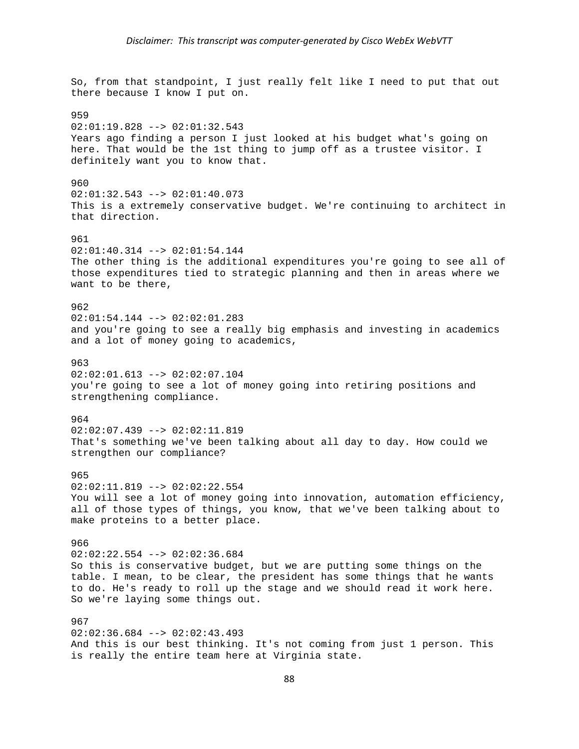So, from that standpoint, I just really felt like I need to put that out there because I know I put on. 959  $02:01:19.828$  -->  $02:01:32.543$ Years ago finding a person I just looked at his budget what's going on here. That would be the 1st thing to jump off as a trustee visitor. I definitely want you to know that. 960 02:01:32.543 --> 02:01:40.073 This is a extremely conservative budget. We're continuing to architect in that direction. 961 02:01:40.314 --> 02:01:54.144 The other thing is the additional expenditures you're going to see all of those expenditures tied to strategic planning and then in areas where we want to be there, 962 02:01:54.144 --> 02:02:01.283 and you're going to see a really big emphasis and investing in academics and a lot of money going to academics, 963 02:02:01.613 --> 02:02:07.104 you're going to see a lot of money going into retiring positions and strengthening compliance. 964 02:02:07.439 --> 02:02:11.819 That's something we've been talking about all day to day. How could we strengthen our compliance? 965  $02:02:11.819$  -->  $02:02:22.554$ You will see a lot of money going into innovation, automation efficiency, all of those types of things, you know, that we've been talking about to make proteins to a better place. 966 02:02:22.554 --> 02:02:36.684 So this is conservative budget, but we are putting some things on the table. I mean, to be clear, the president has some things that he wants to do. He's ready to roll up the stage and we should read it work here. So we're laying some things out. 967  $02:02:36.684$  -->  $02:02:43.493$ And this is our best thinking. It's not coming from just 1 person. This is really the entire team here at Virginia state.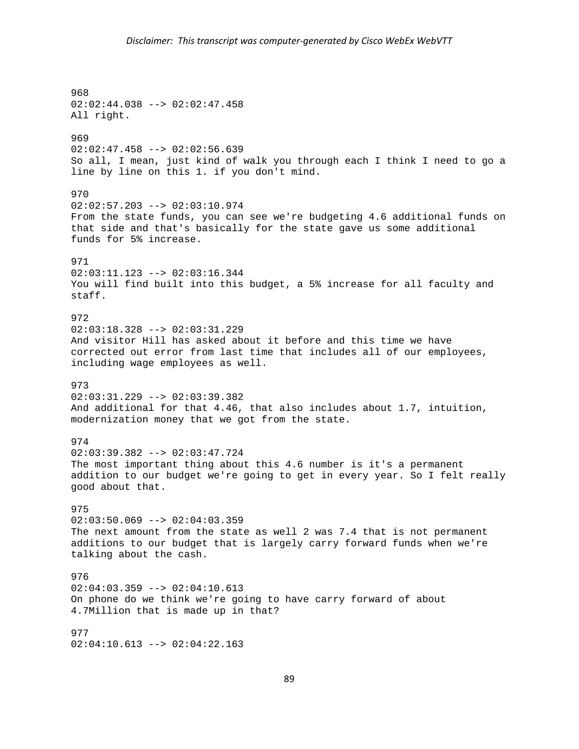968 02:02:44.038 --> 02:02:47.458 All right. 969 02:02:47.458 --> 02:02:56.639 So all, I mean, just kind of walk you through each I think I need to go a line by line on this 1. if you don't mind. 970  $02:02:57.203$  -->  $02:03:10.974$ From the state funds, you can see we're budgeting 4.6 additional funds on that side and that's basically for the state gave us some additional funds for 5% increase. 971 02:03:11.123 --> 02:03:16.344 You will find built into this budget, a 5% increase for all faculty and staff. 972 02:03:18.328 --> 02:03:31.229 And visitor Hill has asked about it before and this time we have corrected out error from last time that includes all of our employees, including wage employees as well. 973  $02:03:31.229$  -->  $02:03:39.382$ And additional for that 4.46, that also includes about 1.7, intuition, modernization money that we got from the state. 974 02:03:39.382 --> 02:03:47.724 The most important thing about this 4.6 number is it's a permanent addition to our budget we're going to get in every year. So I felt really good about that. 975  $02:03:50.069$  -->  $02:04:03.359$ The next amount from the state as well 2 was 7.4 that is not permanent additions to our budget that is largely carry forward funds when we're talking about the cash. 976 02:04:03.359 --> 02:04:10.613 On phone do we think we're going to have carry forward of about 4.7Million that is made up in that? 977 02:04:10.613 --> 02:04:22.163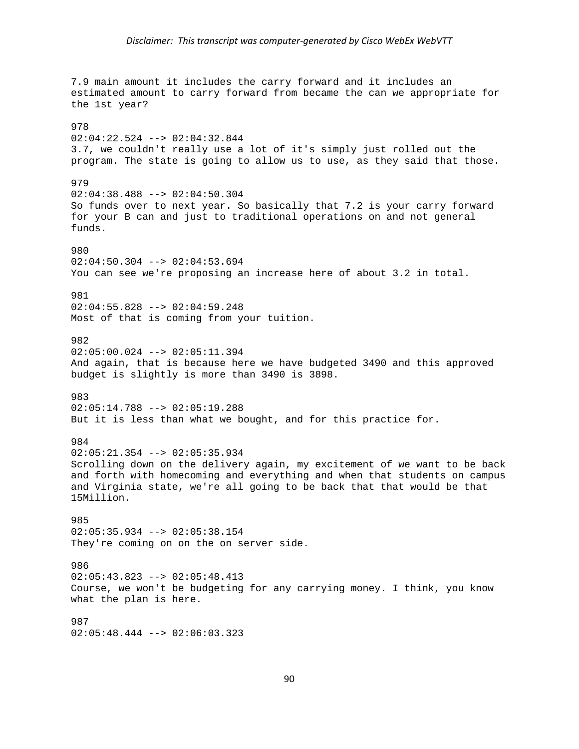7.9 main amount it includes the carry forward and it includes an estimated amount to carry forward from became the can we appropriate for the 1st year? 978 02:04:22.524 --> 02:04:32.844 3.7, we couldn't really use a lot of it's simply just rolled out the program. The state is going to allow us to use, as they said that those. 979 02:04:38.488 --> 02:04:50.304 So funds over to next year. So basically that 7.2 is your carry forward for your B can and just to traditional operations on and not general funds. 980  $02:04:50.304$  -->  $02:04:53.694$ You can see we're proposing an increase here of about 3.2 in total. 981 02:04:55.828 --> 02:04:59.248 Most of that is coming from your tuition. 982 02:05:00.024 --> 02:05:11.394 And again, that is because here we have budgeted 3490 and this approved budget is slightly is more than 3490 is 3898. 983 02:05:14.788 --> 02:05:19.288 But it is less than what we bought, and for this practice for. 984 02:05:21.354 --> 02:05:35.934 Scrolling down on the delivery again, my excitement of we want to be back and forth with homecoming and everything and when that students on campus and Virginia state, we're all going to be back that that would be that 15Million. 985 02:05:35.934 --> 02:05:38.154 They're coming on on the on server side. 986 02:05:43.823 --> 02:05:48.413 Course, we won't be budgeting for any carrying money. I think, you know what the plan is here. 987

02:05:48.444 --> 02:06:03.323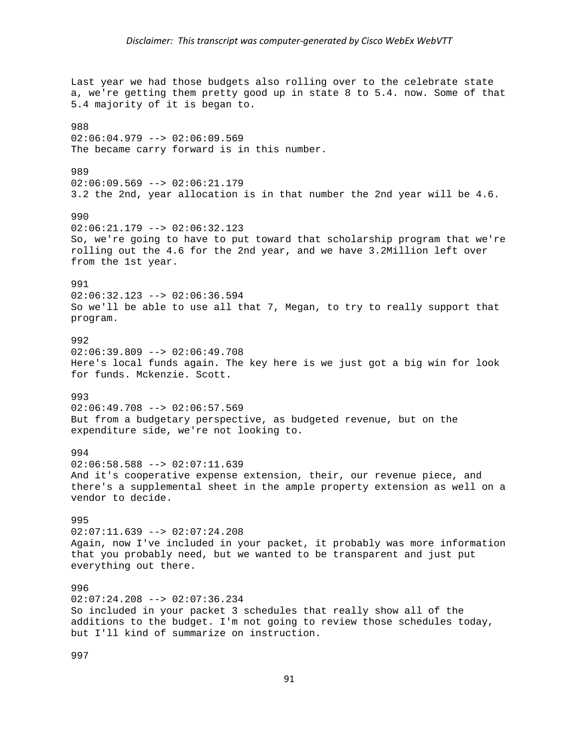Last year we had those budgets also rolling over to the celebrate state a, we're getting them pretty good up in state 8 to 5.4. now. Some of that 5.4 majority of it is began to. 988  $02:06:04.979$  -->  $02:06:09.569$ The became carry forward is in this number. 989 02:06:09.569 --> 02:06:21.179 3.2 the 2nd, year allocation is in that number the 2nd year will be 4.6. 990 02:06:21.179 --> 02:06:32.123 So, we're going to have to put toward that scholarship program that we're rolling out the 4.6 for the 2nd year, and we have 3.2Million left over from the 1st year. 991 02:06:32.123 --> 02:06:36.594 So we'll be able to use all that 7, Megan, to try to really support that program. 992  $02:06:39.809$  -->  $02:06:49.708$ Here's local funds again. The key here is we just got a big win for look for funds. Mckenzie. Scott. 993 02:06:49.708 --> 02:06:57.569 But from a budgetary perspective, as budgeted revenue, but on the expenditure side, we're not looking to. 994  $02:06:58.588$  -->  $02:07:11.639$ And it's cooperative expense extension, their, our revenue piece, and there's a supplemental sheet in the ample property extension as well on a vendor to decide. 995  $02:07:11.639$  -->  $02:07:24.208$ Again, now I've included in your packet, it probably was more information that you probably need, but we wanted to be transparent and just put everything out there. 996  $02:07:24.208$  -->  $02:07:36.234$ So included in your packet 3 schedules that really show all of the additions to the budget. I'm not going to review those schedules today, but I'll kind of summarize on instruction.

997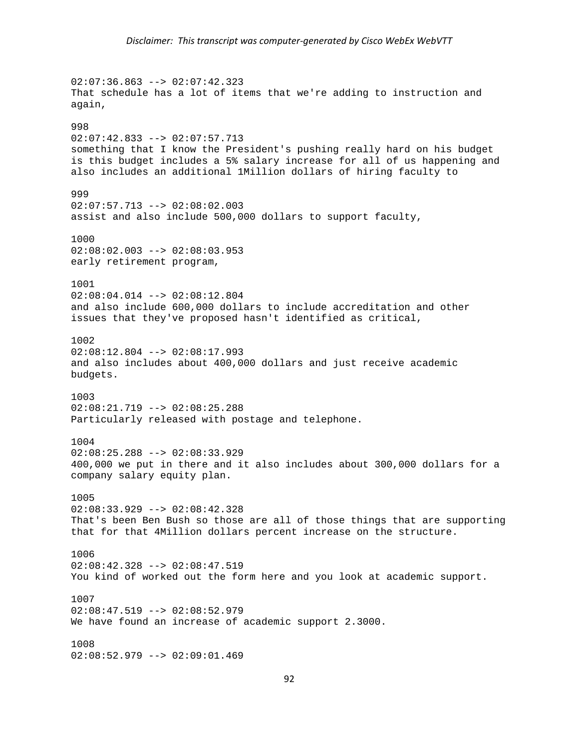$02:07:36.863$  -->  $02:07:42.323$ That schedule has a lot of items that we're adding to instruction and again, 998 02:07:42.833 --> 02:07:57.713 something that I know the President's pushing really hard on his budget is this budget includes a 5% salary increase for all of us happening and also includes an additional 1Million dollars of hiring faculty to 999  $02:07:57.713$  -->  $02:08:02.003$ assist and also include 500,000 dollars to support faculty, 1000 02:08:02.003 --> 02:08:03.953 early retirement program, 1001 02:08:04.014 --> 02:08:12.804 and also include 600,000 dollars to include accreditation and other issues that they've proposed hasn't identified as critical, 1002  $02:08:12.804$  -->  $02:08:17.993$ and also includes about 400,000 dollars and just receive academic budgets. 1003 02:08:21.719 --> 02:08:25.288 Particularly released with postage and telephone. 1004 02:08:25.288 --> 02:08:33.929 400,000 we put in there and it also includes about 300,000 dollars for a company salary equity plan. 1005 02:08:33.929 --> 02:08:42.328 That's been Ben Bush so those are all of those things that are supporting that for that 4Million dollars percent increase on the structure. 1006 02:08:42.328 --> 02:08:47.519 You kind of worked out the form here and you look at academic support. 1007  $02:08:47.519$  -->  $02:08:52.979$ We have found an increase of academic support 2.3000. 1008 02:08:52.979 --> 02:09:01.469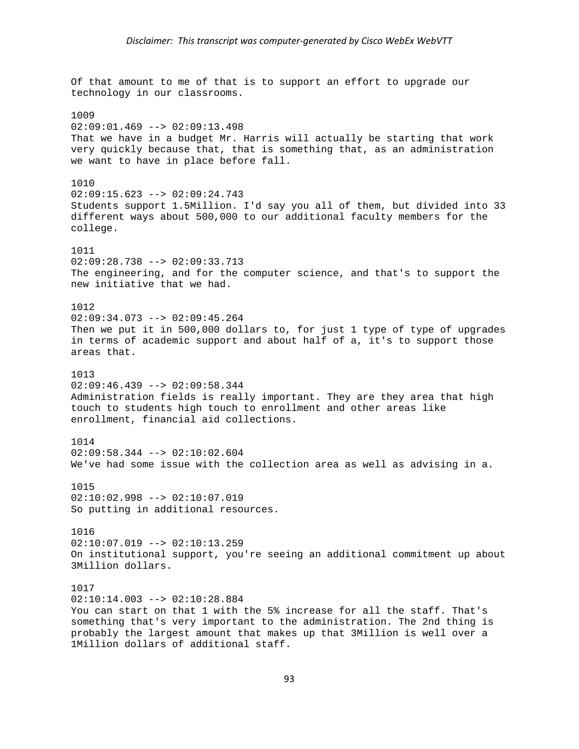Of that amount to me of that is to support an effort to upgrade our technology in our classrooms. 1009  $02:09:01.469$  -->  $02:09:13.498$ That we have in a budget Mr. Harris will actually be starting that work very quickly because that, that is something that, as an administration we want to have in place before fall. 1010  $02:09:15.623$  -->  $02:09:24.743$ Students support 1.5Million. I'd say you all of them, but divided into 33 different ways about 500,000 to our additional faculty members for the college. 1011  $02:09:28.738$  -->  $02:09:33.713$ The engineering, and for the computer science, and that's to support the new initiative that we had. 1012 02:09:34.073 --> 02:09:45.264 Then we put it in 500,000 dollars to, for just 1 type of type of upgrades in terms of academic support and about half of a, it's to support those areas that. 1013 02:09:46.439 --> 02:09:58.344 Administration fields is really important. They are they area that high touch to students high touch to enrollment and other areas like enrollment, financial aid collections. 1014 02:09:58.344 --> 02:10:02.604 We've had some issue with the collection area as well as advising in a. 1015 02:10:02.998 --> 02:10:07.019 So putting in additional resources. 1016 02:10:07.019 --> 02:10:13.259 On institutional support, you're seeing an additional commitment up about 3Million dollars. 1017  $02:10:14.003$  -->  $02:10:28.884$ You can start on that 1 with the 5% increase for all the staff. That's something that's very important to the administration. The 2nd thing is probably the largest amount that makes up that 3Million is well over a 1Million dollars of additional staff.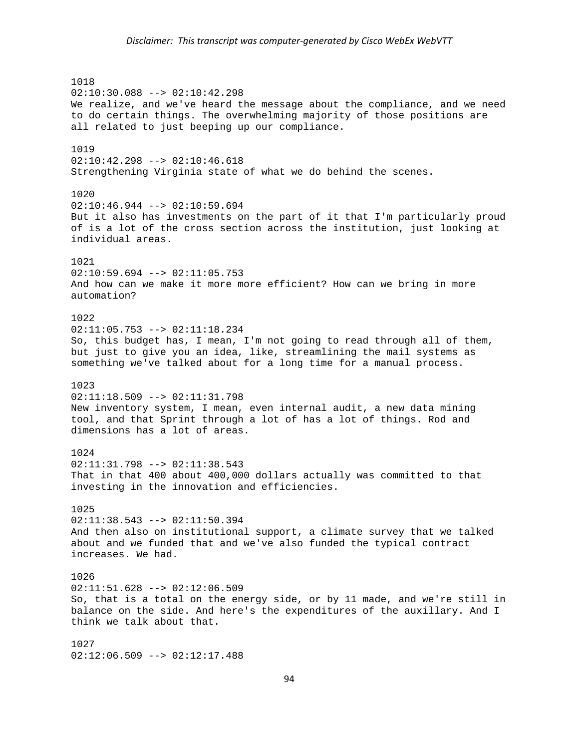1018 02:10:30.088 --> 02:10:42.298 We realize, and we've heard the message about the compliance, and we need to do certain things. The overwhelming majority of those positions are all related to just beeping up our compliance. 1019 02:10:42.298 --> 02:10:46.618 Strengthening Virginia state of what we do behind the scenes. 1020  $02:10:46.944$  -->  $02:10:59.694$ But it also has investments on the part of it that I'm particularly proud of is a lot of the cross section across the institution, just looking at individual areas. 1021  $02:10:59.694$  -->  $02:11:05.753$ And how can we make it more more efficient? How can we bring in more automation? 1022  $02:11:05.753$  -->  $02:11:18.234$ So, this budget has, I mean, I'm not going to read through all of them, but just to give you an idea, like, streamlining the mail systems as something we've talked about for a long time for a manual process. 1023  $02:11:18.509$  -->  $02:11:31.798$ New inventory system, I mean, even internal audit, a new data mining tool, and that Sprint through a lot of has a lot of things. Rod and dimensions has a lot of areas. 1024 02:11:31.798 --> 02:11:38.543 That in that 400 about 400,000 dollars actually was committed to that investing in the innovation and efficiencies. 1025 02:11:38.543 --> 02:11:50.394 And then also on institutional support, a climate survey that we talked about and we funded that and we've also funded the typical contract increases. We had. 1026 02:11:51.628 --> 02:12:06.509 So, that is a total on the energy side, or by 11 made, and we're still in balance on the side. And here's the expenditures of the auxillary. And I think we talk about that. 1027 02:12:06.509 --> 02:12:17.488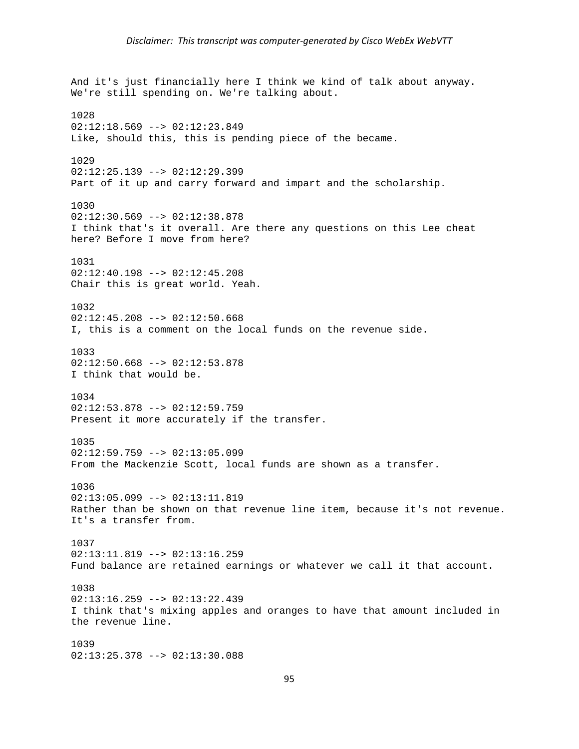And it's just financially here I think we kind of talk about anyway. We're still spending on. We're talking about. 1028  $02:12:18.569$  -->  $02:12:23.849$ Like, should this, this is pending piece of the became. 1029 02:12:25.139 --> 02:12:29.399 Part of it up and carry forward and impart and the scholarship. 1030  $02:12:30.569$  -->  $02:12:38.878$ I think that's it overall. Are there any questions on this Lee cheat here? Before I move from here? 1031 02:12:40.198 --> 02:12:45.208 Chair this is great world. Yeah. 1032  $02:12:45.208$  -->  $02:12:50.668$ I, this is a comment on the local funds on the revenue side. 1033  $02:12:50.668$  -->  $02:12:53.878$ I think that would be. 1034 02:12:53.878 --> 02:12:59.759 Present it more accurately if the transfer. 1035  $02:12:59.759 --> 02:13:05.099$ From the Mackenzie Scott, local funds are shown as a transfer. 1036 02:13:05.099 --> 02:13:11.819 Rather than be shown on that revenue line item, because it's not revenue. It's a transfer from. 1037  $02:13:11.819$  -->  $02:13:16.259$ Fund balance are retained earnings or whatever we call it that account. 1038  $02:13:16.259$  -->  $02:13:22.439$ I think that's mixing apples and oranges to have that amount included in the revenue line. 1039 02:13:25.378 --> 02:13:30.088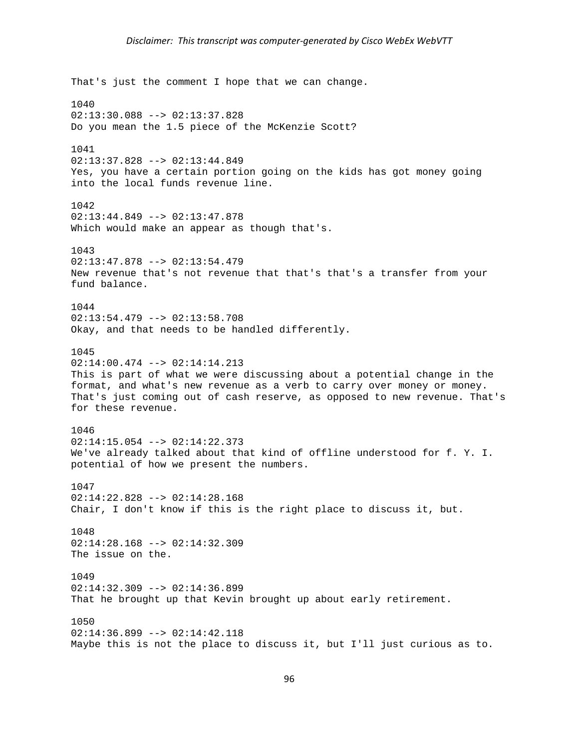That's just the comment I hope that we can change. 1040 02:13:30.088 --> 02:13:37.828 Do you mean the 1.5 piece of the McKenzie Scott? 1041 02:13:37.828 --> 02:13:44.849 Yes, you have a certain portion going on the kids has got money going into the local funds revenue line. 1042 02:13:44.849 --> 02:13:47.878 Which would make an appear as though that's. 1043  $02:13:47.878$  -->  $02:13:54.479$ New revenue that's not revenue that that's that's a transfer from your fund balance. 1044 02:13:54.479 --> 02:13:58.708 Okay, and that needs to be handled differently. 1045 02:14:00.474 --> 02:14:14.213 This is part of what we were discussing about a potential change in the format, and what's new revenue as a verb to carry over money or money. That's just coming out of cash reserve, as opposed to new revenue. That's for these revenue. 1046  $02:14:15.054$  -->  $02:14:22.373$ We've already talked about that kind of offline understood for f. Y. I. potential of how we present the numbers. 1047 02:14:22.828 --> 02:14:28.168 Chair, I don't know if this is the right place to discuss it, but. 1048 02:14:28.168 --> 02:14:32.309 The issue on the. 1049 02:14:32.309 --> 02:14:36.899 That he brought up that Kevin brought up about early retirement. 1050 02:14:36.899 --> 02:14:42.118 Maybe this is not the place to discuss it, but I'll just curious as to.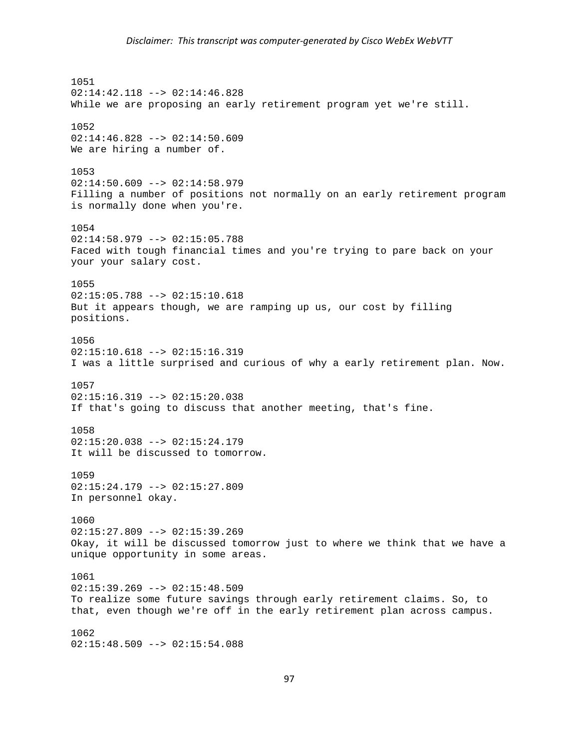1051 02:14:42.118 --> 02:14:46.828 While we are proposing an early retirement program yet we're still. 1052 02:14:46.828 --> 02:14:50.609 We are hiring a number of. 1053 02:14:50.609 --> 02:14:58.979 Filling a number of positions not normally on an early retirement program is normally done when you're. 1054 02:14:58.979 --> 02:15:05.788 Faced with tough financial times and you're trying to pare back on your your your salary cost. 1055  $02:15:05.788$  -->  $02:15:10.618$ But it appears though, we are ramping up us, our cost by filling positions. 1056 02:15:10.618 --> 02:15:16.319 I was a little surprised and curious of why a early retirement plan. Now. 1057  $02:15:16.319$  -->  $02:15:20.038$ If that's going to discuss that another meeting, that's fine. 1058  $02:15:20.038$  -->  $02:15:24.179$ It will be discussed to tomorrow. 1059  $02:15:24.179$  -->  $02:15:27.809$ In personnel okay. 1060  $02:15:27.809$  -->  $02:15:39.269$ Okay, it will be discussed tomorrow just to where we think that we have a unique opportunity in some areas. 1061 02:15:39.269 --> 02:15:48.509 To realize some future savings through early retirement claims. So, to that, even though we're off in the early retirement plan across campus. 1062  $02:15:48.509$  -->  $02:15:54.088$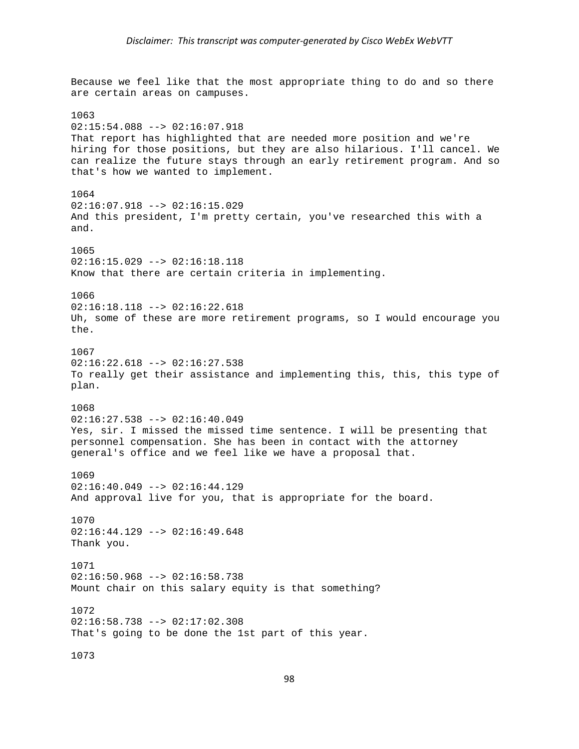Because we feel like that the most appropriate thing to do and so there are certain areas on campuses. 1063  $02:15:54.088$  -->  $02:16:07.918$ That report has highlighted that are needed more position and we're hiring for those positions, but they are also hilarious. I'll cancel. We can realize the future stays through an early retirement program. And so that's how we wanted to implement. 1064  $02:16:07.918$  -->  $02:16:15.029$ And this president, I'm pretty certain, you've researched this with a and. 1065  $02:16:15.029$  -->  $02:16:18.118$ Know that there are certain criteria in implementing. 1066 02:16:18.118 --> 02:16:22.618 Uh, some of these are more retirement programs, so I would encourage you the. 1067  $02:16:22.618$  -->  $02:16:27.538$ To really get their assistance and implementing this, this, this type of plan. 1068  $02:16:27.538$  -->  $02:16:40.049$ Yes, sir. I missed the missed time sentence. I will be presenting that personnel compensation. She has been in contact with the attorney general's office and we feel like we have a proposal that. 1069  $02:16:40.049$  -->  $02:16:44.129$ And approval live for you, that is appropriate for the board. 1070  $02:16:44.129$  -->  $02:16:49.648$ Thank you. 1071  $02:16:50.968$  -->  $02:16:58.738$ Mount chair on this salary equity is that something? 1072  $02:16:58.738$  -->  $02:17:02.308$ That's going to be done the 1st part of this year. 1073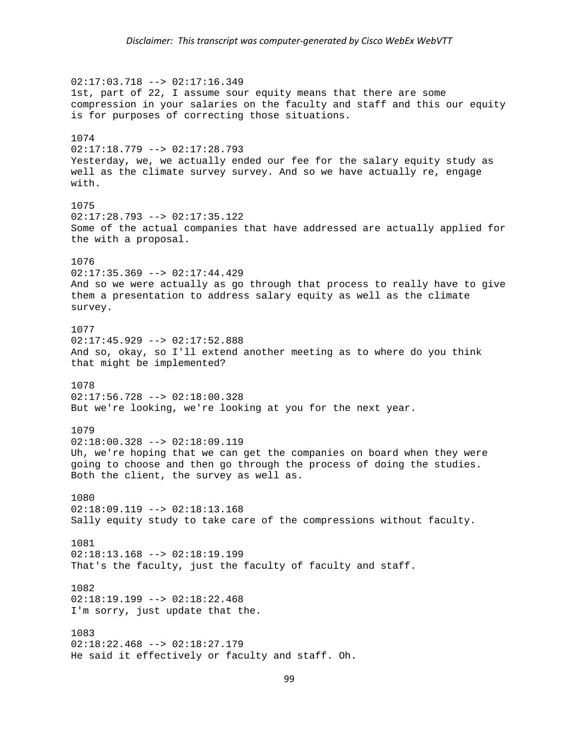02:17:03.718 --> 02:17:16.349 1st, part of 22, I assume sour equity means that there are some compression in your salaries on the faculty and staff and this our equity is for purposes of correcting those situations. 1074  $02:17:18.779$  -->  $02:17:28.793$ Yesterday, we, we actually ended our fee for the salary equity study as well as the climate survey survey. And so we have actually re, engage with. 1075 02:17:28.793 --> 02:17:35.122 Some of the actual companies that have addressed are actually applied for the with a proposal. 1076 02:17:35.369 --> 02:17:44.429 And so we were actually as go through that process to really have to give them a presentation to address salary equity as well as the climate survey. 1077 02:17:45.929 --> 02:17:52.888 And so, okay, so I'll extend another meeting as to where do you think that might be implemented? 1078  $02:17:56.728$  -->  $02:18:00.328$ But we're looking, we're looking at you for the next year. 1079  $02:18:00.328$  -->  $02:18:09.119$ Uh, we're hoping that we can get the companies on board when they were going to choose and then go through the process of doing the studies. Both the client, the survey as well as. 1080  $02:18:09.119$  -->  $02:18:13.168$ Sally equity study to take care of the compressions without faculty. 1081  $02:18:13.168$  -->  $02:18:19.199$ That's the faculty, just the faculty of faculty and staff. 1082  $02:18:19.199$  -->  $02:18:22.468$ I'm sorry, just update that the. 1083  $02:18:22.468$  -->  $02:18:27.179$ He said it effectively or faculty and staff. Oh.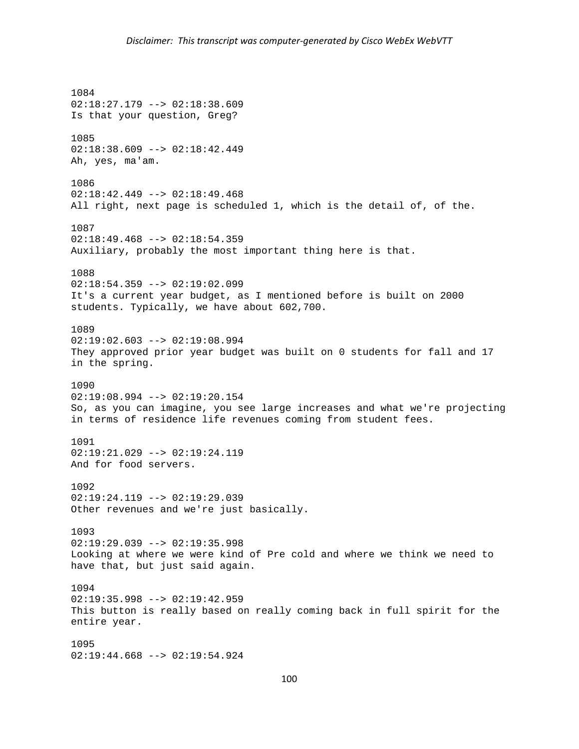1084 02:18:27.179 --> 02:18:38.609 Is that your question, Greg? 1085  $02:18:38.609$  -->  $02:18:42.449$ Ah, yes, ma'am. 1086  $02:18:42.449$  -->  $02:18:49.468$ All right, next page is scheduled 1, which is the detail of, of the. 1087 02:18:49.468 --> 02:18:54.359 Auxiliary, probably the most important thing here is that. 1088  $02:18:54.359$  -->  $02:19:02.099$ It's a current year budget, as I mentioned before is built on 2000 students. Typically, we have about 602,700. 1089 02:19:02.603 --> 02:19:08.994 They approved prior year budget was built on 0 students for fall and 17 in the spring. 1090  $02:19:08.994$  -->  $02:19:20.154$ So, as you can imagine, you see large increases and what we're projecting in terms of residence life revenues coming from student fees. 1091  $02:19:21.029$  -->  $02:19:24.119$ And for food servers. 1092 02:19:24.119 --> 02:19:29.039 Other revenues and we're just basically. 1093  $02:19:29.039$  -->  $02:19:35.998$ Looking at where we were kind of Pre cold and where we think we need to have that, but just said again. 1094 02:19:35.998 --> 02:19:42.959 This button is really based on really coming back in full spirit for the entire year. 1095 02:19:44.668 --> 02:19:54.924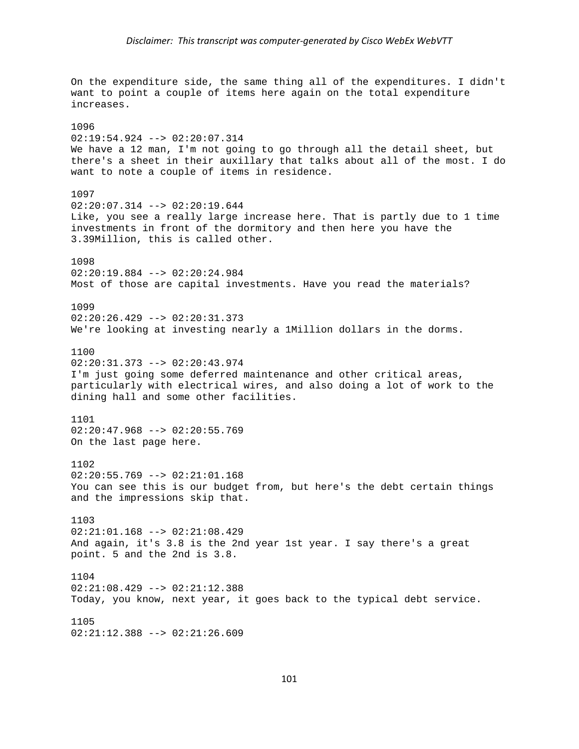On the expenditure side, the same thing all of the expenditures. I didn't want to point a couple of items here again on the total expenditure increases. 1096 02:19:54.924 --> 02:20:07.314 We have a 12 man, I'm not going to go through all the detail sheet, but there's a sheet in their auxillary that talks about all of the most. I do want to note a couple of items in residence. 1097  $02:20:07.314$  -->  $02:20:19.644$ Like, you see a really large increase here. That is partly due to 1 time investments in front of the dormitory and then here you have the 3.39Million, this is called other. 1098 02:20:19.884 --> 02:20:24.984 Most of those are capital investments. Have you read the materials? 1099 02:20:26.429 --> 02:20:31.373 We're looking at investing nearly a 1Million dollars in the dorms. 1100 02:20:31.373 --> 02:20:43.974 I'm just going some deferred maintenance and other critical areas, particularly with electrical wires, and also doing a lot of work to the dining hall and some other facilities. 1101 02:20:47.968 --> 02:20:55.769 On the last page here. 1102 02:20:55.769 --> 02:21:01.168 You can see this is our budget from, but here's the debt certain things and the impressions skip that. 1103  $02:21:01.168$  -->  $02:21:08.429$ And again, it's 3.8 is the 2nd year 1st year. I say there's a great point. 5 and the 2nd is 3.8. 1104 02:21:08.429 --> 02:21:12.388 Today, you know, next year, it goes back to the typical debt service. 1105 02:21:12.388 --> 02:21:26.609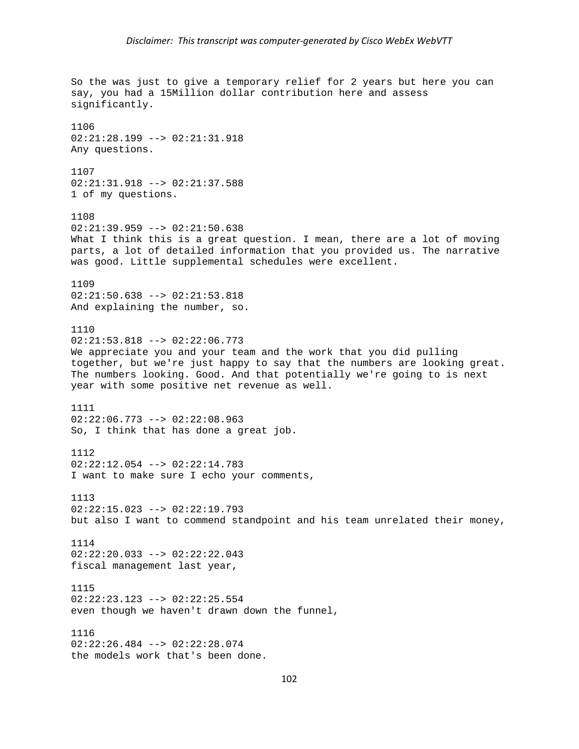```
So the was just to give a temporary relief for 2 years but here you can 
say, you had a 15Million dollar contribution here and assess 
significantly. 
1106 
02:21:28.199 --> 02:21:31.918 
Any questions. 
1107 
02:21:31.918 --> 02:21:37.588 
1 of my questions. 
1108 
02:21:39.959 --> 02:21:50.638 
What I think this is a great question. I mean, there are a lot of moving
parts, a lot of detailed information that you provided us. The narrative 
was good. Little supplemental schedules were excellent. 
1109 
02:21:50.638 --> 02:21:53.818 
And explaining the number, so. 
1110 
02:21:53.818 --> 02:22:06.773 
We appreciate you and your team and the work that you did pulling 
together, but we're just happy to say that the numbers are looking great. 
The numbers looking. Good. And that potentially we're going to is next 
year with some positive net revenue as well. 
1111 
02:22:06.773 --> 02:22:08.963 
So, I think that has done a great job. 
1112 
02:22:12.054 --> 02:22:14.783 
I want to make sure I echo your comments, 
1113 
02:22:15.023 --> 02:22:19.793 
but also I want to commend standpoint and his team unrelated their money, 
1114 
02:22:20.033 --> 02:22:22.043 
fiscal management last year, 
1115 
02:22:23.123 --> 02:22:25.554 
even though we haven't drawn down the funnel, 
1116 
02:22:26.484 --> 02:22:28.074 
the models work that's been done.
```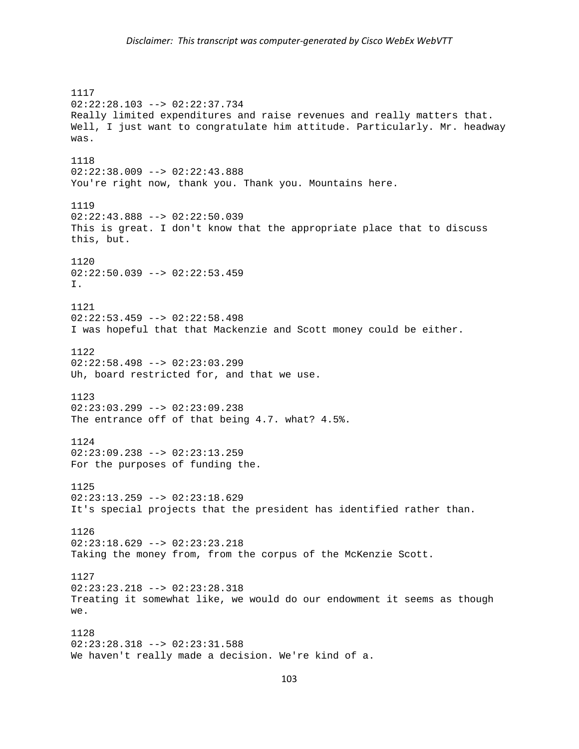1117 02:22:28.103 --> 02:22:37.734 Really limited expenditures and raise revenues and really matters that. Well, I just want to congratulate him attitude. Particularly. Mr. headway was. 1118 02:22:38.009 --> 02:22:43.888 You're right now, thank you. Thank you. Mountains here. 1119 02:22:43.888 --> 02:22:50.039 This is great. I don't know that the appropriate place that to discuss this, but. 1120 02:22:50.039 --> 02:22:53.459 I. 1121 02:22:53.459 --> 02:22:58.498 I was hopeful that that Mackenzie and Scott money could be either. 1122  $02:22:58.498$  -->  $02:23:03.299$ Uh, board restricted for, and that we use. 1123 02:23:03.299 --> 02:23:09.238 The entrance off of that being 4.7. what? 4.5%. 1124 02:23:09.238 --> 02:23:13.259 For the purposes of funding the. 1125 02:23:13.259 --> 02:23:18.629 It's special projects that the president has identified rather than. 1126  $02:23:18.629$  -->  $02:23:23.218$ Taking the money from, from the corpus of the McKenzie Scott. 1127 02:23:23.218 --> 02:23:28.318 Treating it somewhat like, we would do our endowment it seems as though we. 1128 02:23:28.318 --> 02:23:31.588 We haven't really made a decision. We're kind of a.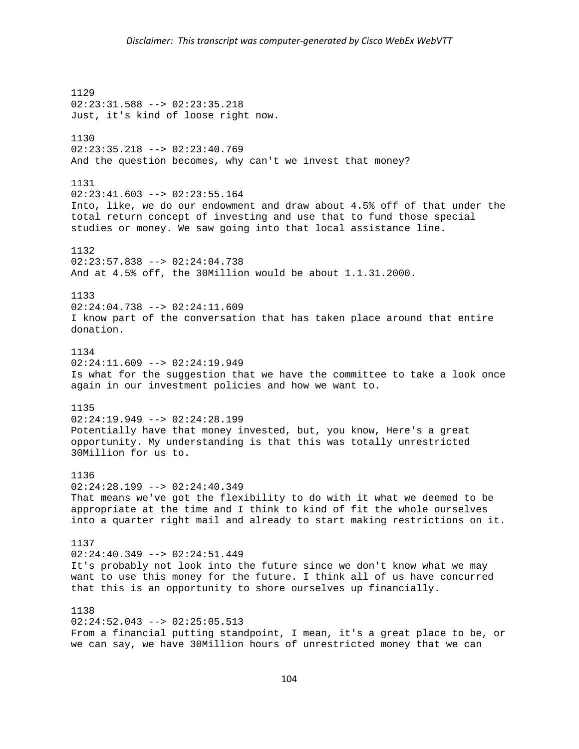1129 02:23:31.588 --> 02:23:35.218 Just, it's kind of loose right now. 1130 02:23:35.218 --> 02:23:40.769 And the question becomes, why can't we invest that money? 1131  $02:23:41.603$  -->  $02:23:55.164$ Into, like, we do our endowment and draw about 4.5% off of that under the total return concept of investing and use that to fund those special studies or money. We saw going into that local assistance line. 1132  $02:23:57.838$  -->  $02:24:04.738$ And at 4.5% off, the 30Million would be about 1.1.31.2000. 1133 02:24:04.738 --> 02:24:11.609 I know part of the conversation that has taken place around that entire donation. 1134  $02:24:11.609$  -->  $02:24:19.949$ Is what for the suggestion that we have the committee to take a look once again in our investment policies and how we want to. 1135  $02:24:19.949$  -->  $02:24:28.199$ Potentially have that money invested, but, you know, Here's a great opportunity. My understanding is that this was totally unrestricted 30Million for us to. 1136  $02:24:28.199$  -->  $02:24:40.349$ That means we've got the flexibility to do with it what we deemed to be appropriate at the time and I think to kind of fit the whole ourselves into a quarter right mail and already to start making restrictions on it. 1137  $02:24:40.349$  -->  $02:24:51.449$ It's probably not look into the future since we don't know what we may want to use this money for the future. I think all of us have concurred that this is an opportunity to shore ourselves up financially. 1138  $02:24:52.043$  -->  $02:25:05.513$ From a financial putting standpoint, I mean, it's a great place to be, or we can say, we have 30Million hours of unrestricted money that we can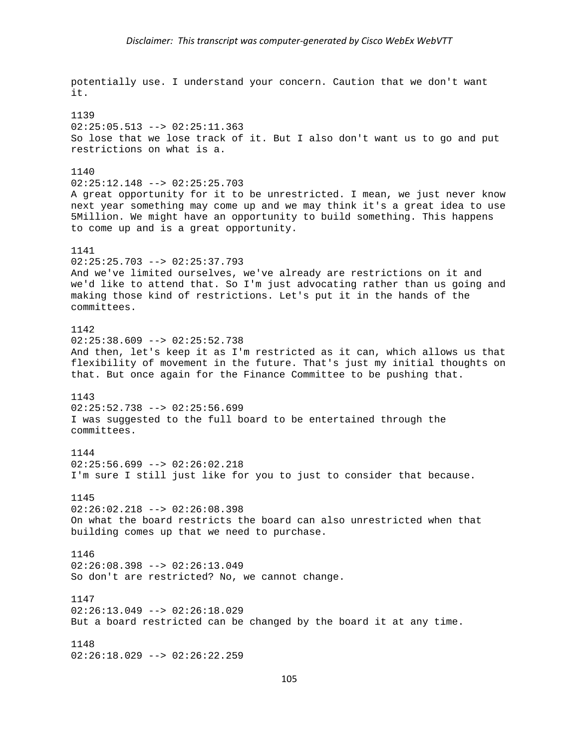potentially use. I understand your concern. Caution that we don't want it. 1139  $02:25:05.513$  -->  $02:25:11.363$ So lose that we lose track of it. But I also don't want us to go and put restrictions on what is a. 1140 02:25:12.148 --> 02:25:25.703 A great opportunity for it to be unrestricted. I mean, we just never know next year something may come up and we may think it's a great idea to use 5Million. We might have an opportunity to build something. This happens to come up and is a great opportunity. 1141  $02:25:25.703$  -->  $02:25:37.793$ And we've limited ourselves, we've already are restrictions on it and we'd like to attend that. So I'm just advocating rather than us going and making those kind of restrictions. Let's put it in the hands of the committees. 1142 02:25:38.609 --> 02:25:52.738 And then, let's keep it as I'm restricted as it can, which allows us that flexibility of movement in the future. That's just my initial thoughts on that. But once again for the Finance Committee to be pushing that. 1143  $02:25:52.738$  -->  $02:25:56.699$ I was suggested to the full board to be entertained through the committees. 1144 02:25:56.699 --> 02:26:02.218 I'm sure I still just like for you to just to consider that because. 1145  $02:26:02.218$  -->  $02:26:08.398$ On what the board restricts the board can also unrestricted when that building comes up that we need to purchase. 1146 02:26:08.398 --> 02:26:13.049 So don't are restricted? No, we cannot change. 1147  $02:26:13.049$  -->  $02:26:18.029$ But a board restricted can be changed by the board it at any time. 1148 02:26:18.029 --> 02:26:22.259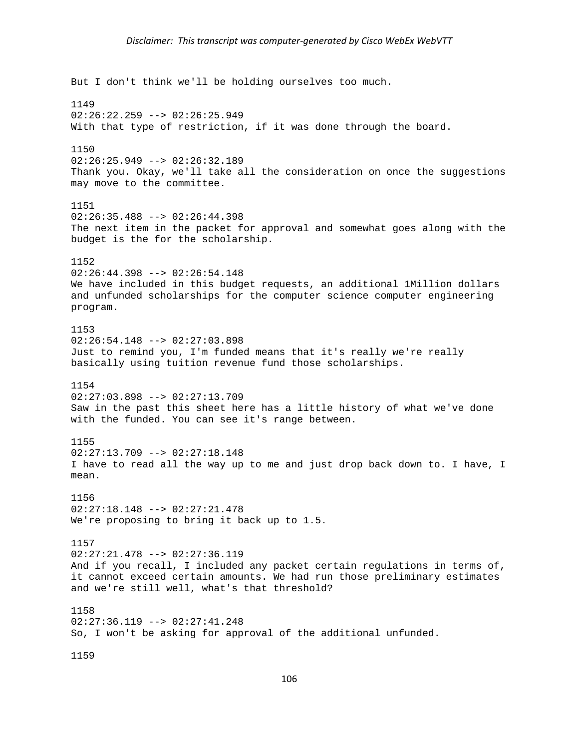But I don't think we'll be holding ourselves too much. 1149  $02:26:22.259$  -->  $02:26:25.949$ With that type of restriction, if it was done through the board. 1150 02:26:25.949 --> 02:26:32.189 Thank you. Okay, we'll take all the consideration on once the suggestions may move to the committee. 1151  $02:26:35.488$  -->  $02:26:44.398$ The next item in the packet for approval and somewhat goes along with the budget is the for the scholarship. 1152 02:26:44.398 --> 02:26:54.148 We have included in this budget requests, an additional 1Million dollars and unfunded scholarships for the computer science computer engineering program. 1153 02:26:54.148 --> 02:27:03.898 Just to remind you, I'm funded means that it's really we're really basically using tuition revenue fund those scholarships. 1154  $02:27:03.898$  -->  $02:27:13.709$ Saw in the past this sheet here has a little history of what we've done with the funded. You can see it's range between. 1155 02:27:13.709 --> 02:27:18.148 I have to read all the way up to me and just drop back down to. I have, I mean. 1156 02:27:18.148 --> 02:27:21.478 We're proposing to bring it back up to 1.5. 1157 02:27:21.478 --> 02:27:36.119 And if you recall, I included any packet certain regulations in terms of, it cannot exceed certain amounts. We had run those preliminary estimates and we're still well, what's that threshold? 1158  $02:27:36.119$  -->  $02:27:41.248$ So, I won't be asking for approval of the additional unfunded.

1159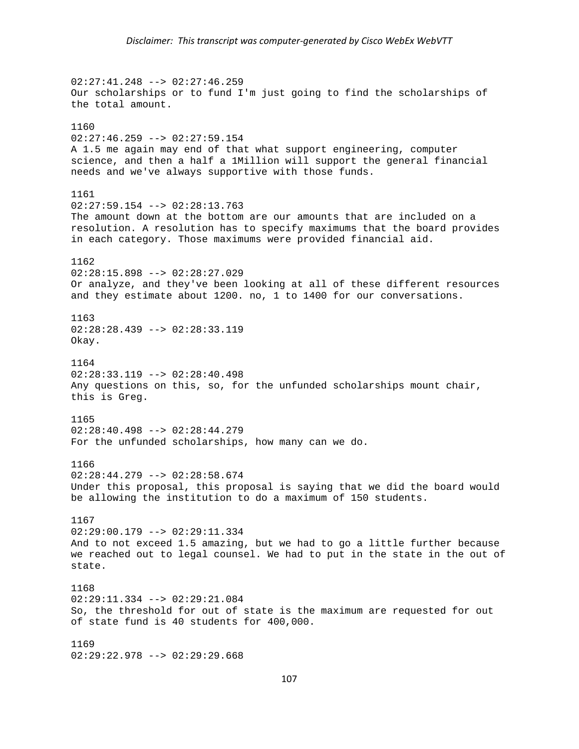$02:27:41.248$  -->  $02:27:46.259$ Our scholarships or to fund I'm just going to find the scholarships of the total amount. 1160  $02:27:46.259$  -->  $02:27:59.154$ A 1.5 me again may end of that what support engineering, computer science, and then a half a 1Million will support the general financial needs and we've always supportive with those funds. 1161  $02:27:59.154$  -->  $02:28:13.763$ The amount down at the bottom are our amounts that are included on a resolution. A resolution has to specify maximums that the board provides in each category. Those maximums were provided financial aid. 1162 02:28:15.898 --> 02:28:27.029 Or analyze, and they've been looking at all of these different resources and they estimate about 1200. no, 1 to 1400 for our conversations. 1163  $02:28:28.439$  -->  $02:28:33.119$ Okay. 1164 02:28:33.119 --> 02:28:40.498 Any questions on this, so, for the unfunded scholarships mount chair, this is Greg. 1165 02:28:40.498 --> 02:28:44.279 For the unfunded scholarships, how many can we do. 1166 02:28:44.279 --> 02:28:58.674 Under this proposal, this proposal is saying that we did the board would be allowing the institution to do a maximum of 150 students. 1167 02:29:00.179 --> 02:29:11.334 And to not exceed 1.5 amazing, but we had to go a little further because we reached out to legal counsel. We had to put in the state in the out of state. 1168 02:29:11.334 --> 02:29:21.084 So, the threshold for out of state is the maximum are requested for out of state fund is 40 students for 400,000. 1169 02:29:22.978 --> 02:29:29.668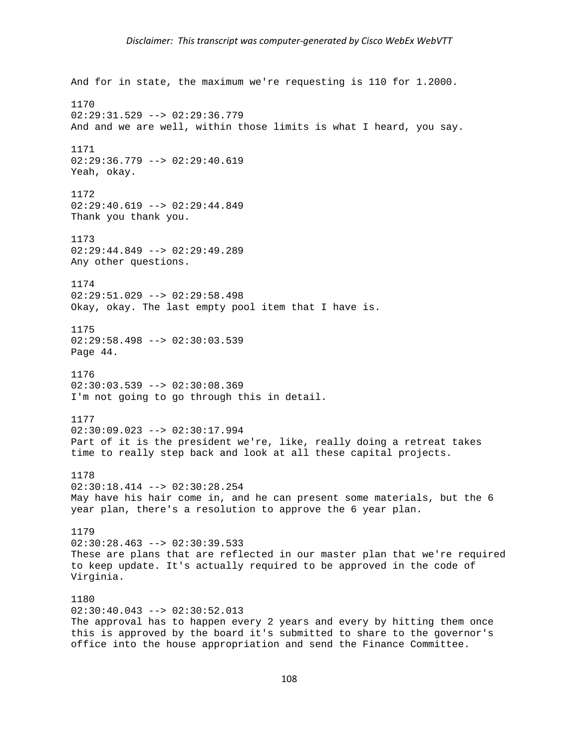```
And for in state, the maximum we're requesting is 110 for 1.2000. 
1170 
02:29:31.529 --> 02:29:36.779 
And and we are well, within those limits is what I heard, you say. 
1171 
02:29:36.779 --> 02:29:40.619 
Yeah, okay. 
1172 
02:29:40.619 --> 02:29:44.849Thank you thank you. 
1173 
02:29:44.849 --> 02:29:49.289 
Any other questions. 
1174 
02:29:51.029 --> 02:29:58.498 
Okay, okay. The last empty pool item that I have is. 
1175 
02:29:58.498 --> 02:30:03.539 
Page 44. 
1176 
02:30:03.539 --> 02:30:08.369 
I'm not going to go through this in detail. 
1177 
02:30:09.023 --> 02:30:17.994 
Part of it is the president we're, like, really doing a retreat takes 
time to really step back and look at all these capital projects. 
1178 
02:30:18.414 --> 02:30:28.254May have his hair come in, and he can present some materials, but the 6 
year plan, there's a resolution to approve the 6 year plan. 
1179 
02:30:28.463 --> 02:30:39.533These are plans that are reflected in our master plan that we're required 
to keep update. It's actually required to be approved in the code of 
Virginia. 
1180 
02:30:40.043 --> 02:30:52.013 
The approval has to happen every 2 years and every by hitting them once 
this is approved by the board it's submitted to share to the governor's
```
office into the house appropriation and send the Finance Committee.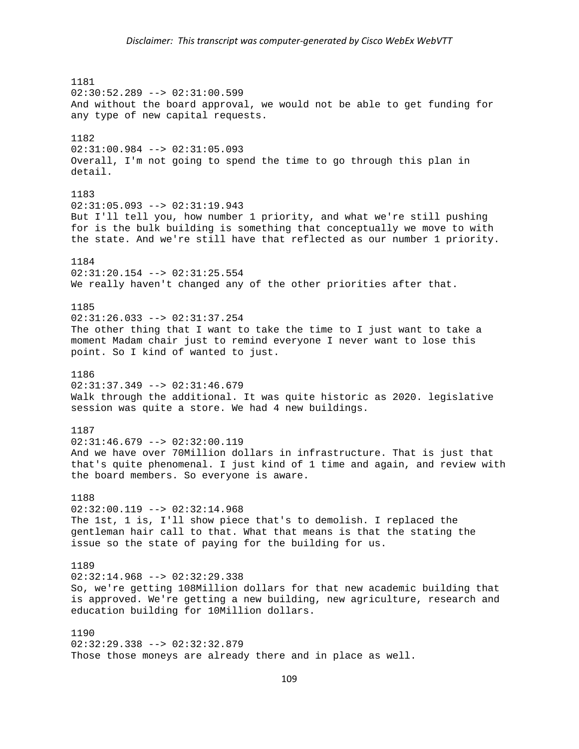## *Disclaimer: This transcript was computer‐generated by Cisco WebEx WebVTT*

1181 02:30:52.289 --> 02:31:00.599 And without the board approval, we would not be able to get funding for any type of new capital requests. 1182 02:31:00.984 --> 02:31:05.093 Overall, I'm not going to spend the time to go through this plan in detail. 1183  $02:31:05.093$  -->  $02:31:19.943$ But I'll tell you, how number 1 priority, and what we're still pushing for is the bulk building is something that conceptually we move to with the state. And we're still have that reflected as our number 1 priority. 1184 02:31:20.154 --> 02:31:25.554 We really haven't changed any of the other priorities after that. 1185 02:31:26.033 --> 02:31:37.254 The other thing that I want to take the time to I just want to take a moment Madam chair just to remind everyone I never want to lose this point. So I kind of wanted to just. 1186 02:31:37.349 --> 02:31:46.679 Walk through the additional. It was quite historic as 2020. legislative session was quite a store. We had 4 new buildings. 1187  $02:31:46.679$  -->  $02:32:00.119$ And we have over 70Million dollars in infrastructure. That is just that that's quite phenomenal. I just kind of 1 time and again, and review with the board members. So everyone is aware. 1188  $02:32:00.119$  -->  $02:32:14.968$ The 1st, 1 is, I'll show piece that's to demolish. I replaced the gentleman hair call to that. What that means is that the stating the issue so the state of paying for the building for us. 1189 02:32:14.968 --> 02:32:29.338 So, we're getting 108Million dollars for that new academic building that is approved. We're getting a new building, new agriculture, research and education building for 10Million dollars. 1190 02:32:29.338 --> 02:32:32.879 Those those moneys are already there and in place as well.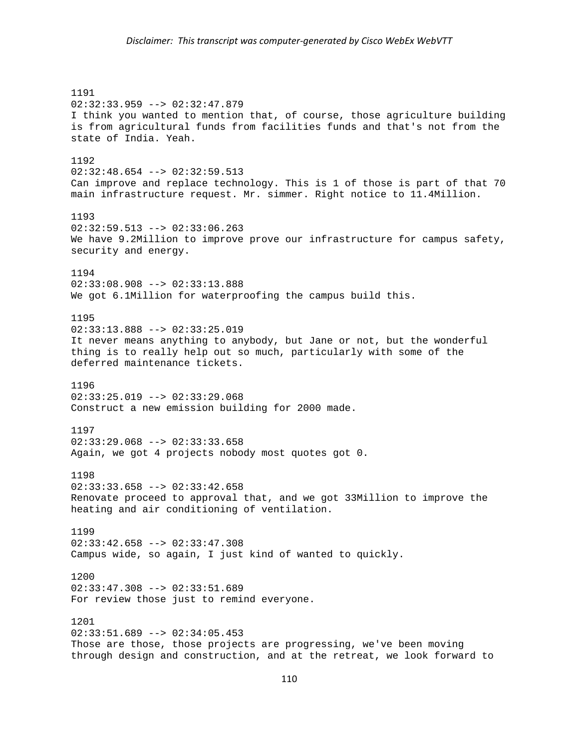## *Disclaimer: This transcript was computer‐generated by Cisco WebEx WebVTT*

1191 02:32:33.959 --> 02:32:47.879 I think you wanted to mention that, of course, those agriculture building is from agricultural funds from facilities funds and that's not from the state of India. Yeah. 1192 02:32:48.654 --> 02:32:59.513 Can improve and replace technology. This is 1 of those is part of that 70 main infrastructure request. Mr. simmer. Right notice to 11.4Million. 1193 02:32:59.513 --> 02:33:06.263 We have 9.2Million to improve prove our infrastructure for campus safety, security and energy. 1194 02:33:08.908 --> 02:33:13.888 We got 6.1Million for waterproofing the campus build this. 1195  $02:33:13.888$  -->  $02:33:25.019$ It never means anything to anybody, but Jane or not, but the wonderful thing is to really help out so much, particularly with some of the deferred maintenance tickets. 1196  $02:33:25.019$  -->  $02:33:29.068$ Construct a new emission building for 2000 made. 1197  $02:33:29.068$  -->  $02:33:33.658$ Again, we got 4 projects nobody most quotes got 0. 1198  $02:33:33.658$  -->  $02:33:42.658$ Renovate proceed to approval that, and we got 33Million to improve the heating and air conditioning of ventilation. 1199 02:33:42.658 --> 02:33:47.308 Campus wide, so again, I just kind of wanted to quickly. 1200 02:33:47.308 --> 02:33:51.689 For review those just to remind everyone. 1201 02:33:51.689 --> 02:34:05.453 Those are those, those projects are progressing, we've been moving through design and construction, and at the retreat, we look forward to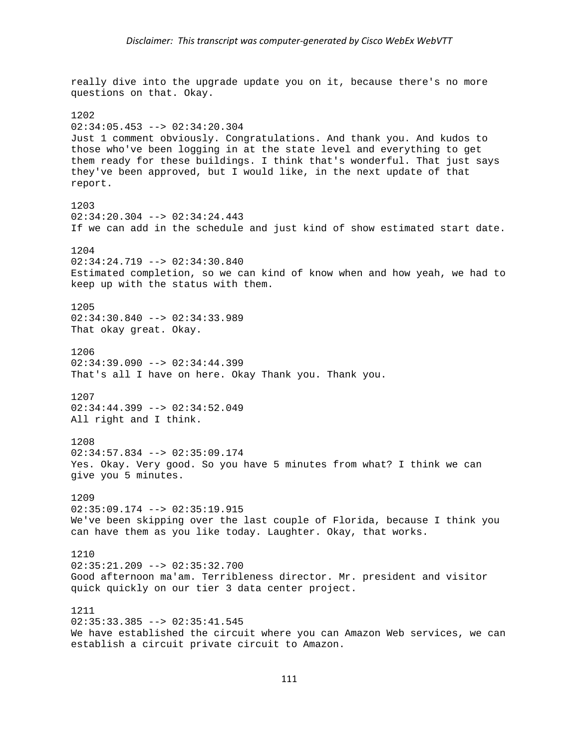really dive into the upgrade update you on it, because there's no more questions on that. Okay. 1202  $02:34:05.453$  -->  $02:34:20.304$ Just 1 comment obviously. Congratulations. And thank you. And kudos to those who've been logging in at the state level and everything to get them ready for these buildings. I think that's wonderful. That just says they've been approved, but I would like, in the next update of that report. 1203 02:34:20.304 --> 02:34:24.443 If we can add in the schedule and just kind of show estimated start date. 1204  $02:34:24.719$  -->  $02:34:30.840$ Estimated completion, so we can kind of know when and how yeah, we had to keep up with the status with them. 1205 02:34:30.840 --> 02:34:33.989 That okay great. Okay. 1206  $02:34:39.090$  -->  $02:34:44.399$ That's all I have on here. Okay Thank you. Thank you. 1207 02:34:44.399 --> 02:34:52.049 All right and I think. 1208 02:34:57.834 --> 02:35:09.174 Yes. Okay. Very good. So you have 5 minutes from what? I think we can give you 5 minutes. 1209 02:35:09.174 --> 02:35:19.915 We've been skipping over the last couple of Florida, because I think you can have them as you like today. Laughter. Okay, that works. 1210 02:35:21.209 --> 02:35:32.700 Good afternoon ma'am. Terribleness director. Mr. president and visitor quick quickly on our tier 3 data center project. 1211  $02:35:33.385$  -->  $02:35:41.545$ We have established the circuit where you can Amazon Web services, we can

establish a circuit private circuit to Amazon.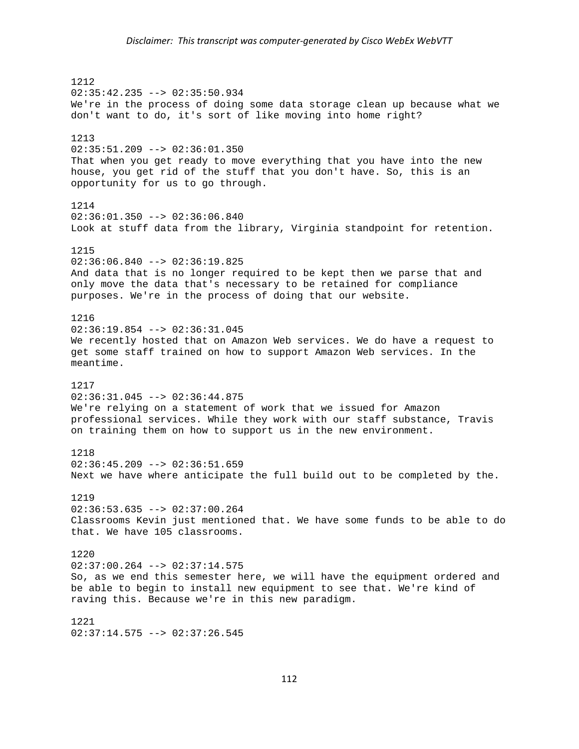1212 02:35:42.235 --> 02:35:50.934 We're in the process of doing some data storage clean up because what we don't want to do, it's sort of like moving into home right? 1213 02:35:51.209 --> 02:36:01.350 That when you get ready to move everything that you have into the new house, you get rid of the stuff that you don't have. So, this is an opportunity for us to go through. 1214 02:36:01.350 --> 02:36:06.840 Look at stuff data from the library, Virginia standpoint for retention. 1215  $02:36:06.840$  -->  $02:36:19.825$ And data that is no longer required to be kept then we parse that and only move the data that's necessary to be retained for compliance purposes. We're in the process of doing that our website. 1216  $02:36:19.854$  -->  $02:36:31.045$ We recently hosted that on Amazon Web services. We do have a request to get some staff trained on how to support Amazon Web services. In the meantime. 1217  $02:36:31.045$  -->  $02:36:44.875$ We're relying on a statement of work that we issued for Amazon professional services. While they work with our staff substance, Travis on training them on how to support us in the new environment. 1218 02:36:45.209 --> 02:36:51.659 Next we have where anticipate the full build out to be completed by the. 1219 02:36:53.635 --> 02:37:00.264 Classrooms Kevin just mentioned that. We have some funds to be able to do that. We have 105 classrooms. 1220 02:37:00.264 --> 02:37:14.575 So, as we end this semester here, we will have the equipment ordered and be able to begin to install new equipment to see that. We're kind of raving this. Because we're in this new paradigm. 1221 02:37:14.575 --> 02:37:26.545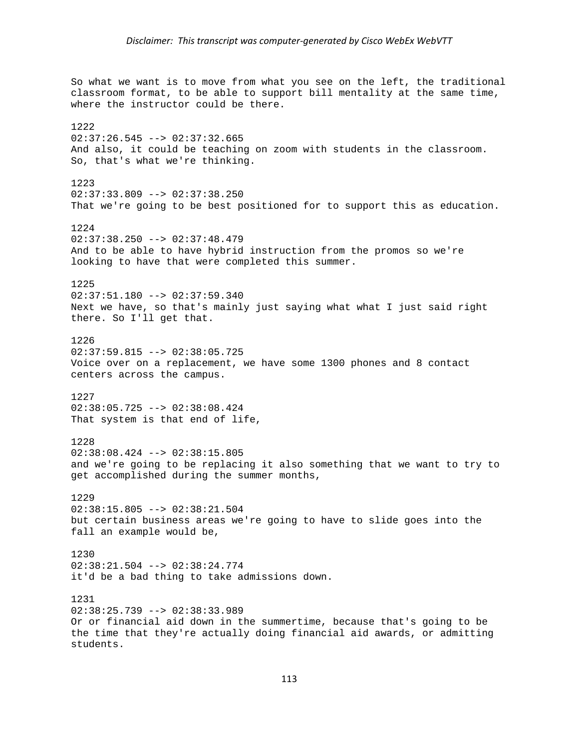So what we want is to move from what you see on the left, the traditional classroom format, to be able to support bill mentality at the same time, where the instructor could be there. 1222  $02:37:26.545$  -->  $02:37:32.665$ And also, it could be teaching on zoom with students in the classroom. So, that's what we're thinking. 1223  $02:37:33.809$  -->  $02:37:38.250$ That we're going to be best positioned for to support this as education. 1224 02:37:38.250 --> 02:37:48.479 And to be able to have hybrid instruction from the promos so we're looking to have that were completed this summer. 1225 02:37:51.180 --> 02:37:59.340 Next we have, so that's mainly just saying what what I just said right there. So I'll get that. 1226 02:37:59.815 --> 02:38:05.725 Voice over on a replacement, we have some 1300 phones and 8 contact centers across the campus. 1227 02:38:05.725 --> 02:38:08.424 That system is that end of life, 1228 02:38:08.424 --> 02:38:15.805 and we're going to be replacing it also something that we want to try to get accomplished during the summer months, 1229 02:38:15.805 --> 02:38:21.504 but certain business areas we're going to have to slide goes into the fall an example would be, 1230 02:38:21.504 --> 02:38:24.774 it'd be a bad thing to take admissions down. 1231 02:38:25.739 --> 02:38:33.989 Or or financial aid down in the summertime, because that's going to be the time that they're actually doing financial aid awards, or admitting students.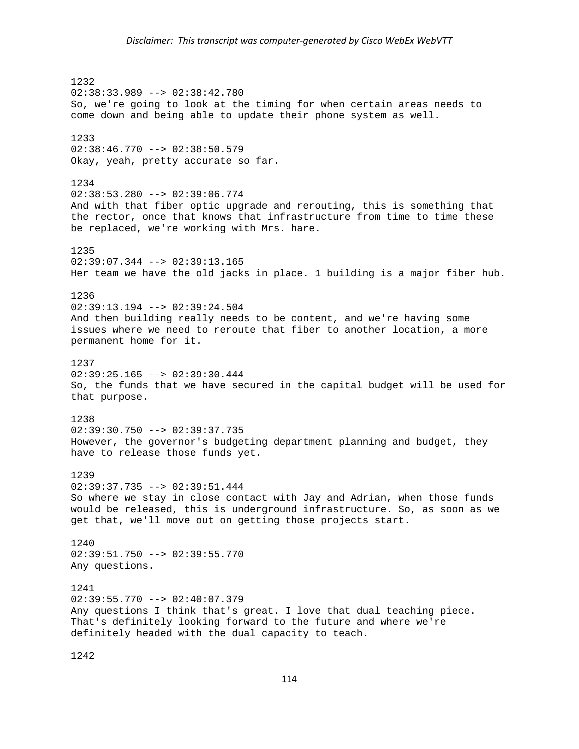1232 02:38:33.989 --> 02:38:42.780 So, we're going to look at the timing for when certain areas needs to come down and being able to update their phone system as well. 1233 02:38:46.770 --> 02:38:50.579 Okay, yeah, pretty accurate so far. 1234 02:38:53.280 --> 02:39:06.774 And with that fiber optic upgrade and rerouting, this is something that the rector, once that knows that infrastructure from time to time these be replaced, we're working with Mrs. hare. 1235  $02:39:07.344$  -->  $02:39:13.165$ Her team we have the old jacks in place. 1 building is a major fiber hub. 1236 02:39:13.194 --> 02:39:24.504 And then building really needs to be content, and we're having some issues where we need to reroute that fiber to another location, a more permanent home for it. 1237 02:39:25.165 --> 02:39:30.444 So, the funds that we have secured in the capital budget will be used for that purpose. 1238 02:39:30.750 --> 02:39:37.735 However, the governor's budgeting department planning and budget, they have to release those funds yet. 1239  $02:39:37.735$  -->  $02:39:51.444$ So where we stay in close contact with Jay and Adrian, when those funds would be released, this is underground infrastructure. So, as soon as we get that, we'll move out on getting those projects start. 1240 02:39:51.750 --> 02:39:55.770 Any questions. 1241 02:39:55.770 --> 02:40:07.379 Any questions I think that's great. I love that dual teaching piece. That's definitely looking forward to the future and where we're definitely headed with the dual capacity to teach.

1242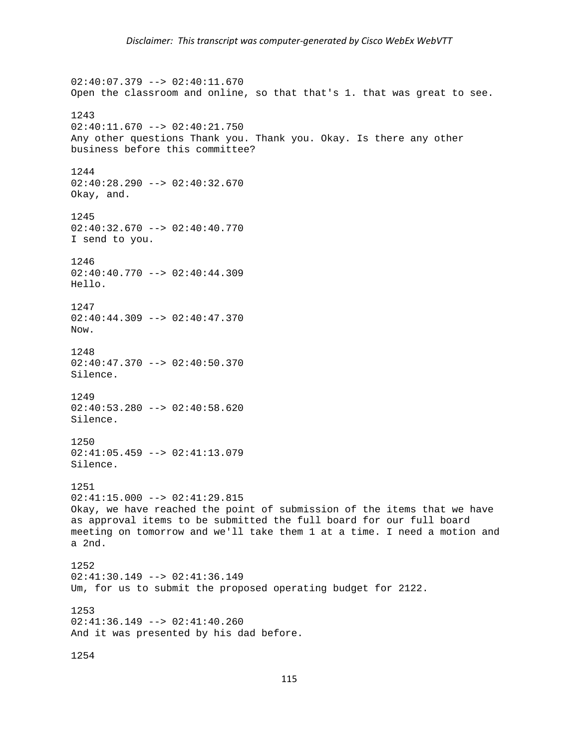02:40:07.379 --> 02:40:11.670 Open the classroom and online, so that that's 1. that was great to see. 1243  $02:40:11.670$  -->  $02:40:21.750$ Any other questions Thank you. Thank you. Okay. Is there any other business before this committee? 1244 02:40:28.290 --> 02:40:32.670 Okay, and. 1245 02:40:32.670 --> 02:40:40.770 I send to you. 1246 02:40:40.770 --> 02:40:44.309 Hello. 1247 02:40:44.309 --> 02:40:47.370 Now. 1248 02:40:47.370 --> 02:40:50.370 Silence. 1249 02:40:53.280 --> 02:40:58.620 Silence. 1250 02:41:05.459 --> 02:41:13.079 Silence. 1251  $02:41:15.000$  -->  $02:41:29.815$ Okay, we have reached the point of submission of the items that we have as approval items to be submitted the full board for our full board meeting on tomorrow and we'll take them 1 at a time. I need a motion and a 2nd. 1252 02:41:30.149 --> 02:41:36.149 Um, for us to submit the proposed operating budget for 2122. 1253  $02:41:36.149$  -->  $02:41:40.260$ And it was presented by his dad before. 1254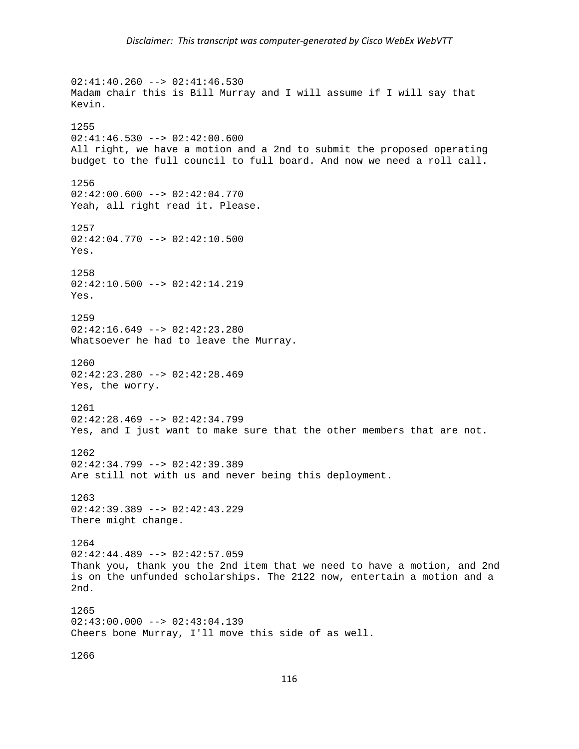$02:41:40.260$  -->  $02:41:46.530$ Madam chair this is Bill Murray and I will assume if I will say that Kevin. 1255  $02:41:46.530$  -->  $02:42:00.600$ All right, we have a motion and a 2nd to submit the proposed operating budget to the full council to full board. And now we need a roll call. 1256  $02:42:00.600$  -->  $02:42:04.770$ Yeah, all right read it. Please. 1257 02:42:04.770 --> 02:42:10.500 Yes. 1258 02:42:10.500 --> 02:42:14.219 Yes. 1259  $02:42:16.649$  -->  $02:42:23.280$ Whatsoever he had to leave the Murray. 1260  $02:42:23.280$  -->  $02:42:28.469$ Yes, the worry. 1261 02:42:28.469 --> 02:42:34.799 Yes, and I just want to make sure that the other members that are not. 1262 02:42:34.799 --> 02:42:39.389 Are still not with us and never being this deployment. 1263 02:42:39.389 --> 02:42:43.229 There might change. 1264  $02:42:44.489$  -->  $02:42:57.059$ Thank you, thank you the 2nd item that we need to have a motion, and 2nd is on the unfunded scholarships. The 2122 now, entertain a motion and a 2nd. 1265  $02:43:00.000$  -->  $02:43:04.139$ Cheers bone Murray, I'll move this side of as well. 1266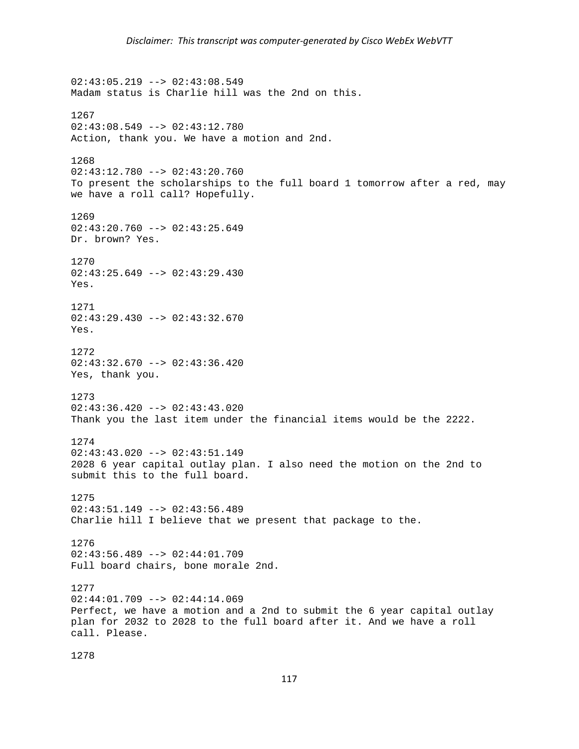02:43:05.219 --> 02:43:08.549 Madam status is Charlie hill was the 2nd on this. 1267  $02:43:08.549$  -->  $02:43:12.780$ Action, thank you. We have a motion and 2nd. 1268 02:43:12.780 --> 02:43:20.760 To present the scholarships to the full board 1 tomorrow after a red, may we have a roll call? Hopefully. 1269  $02:43:20.760$  -->  $02:43:25.649$ Dr. brown? Yes. 1270 02:43:25.649 --> 02:43:29.430 Yes. 1271 02:43:29.430 --> 02:43:32.670 Yes. 1272 02:43:32.670 --> 02:43:36.420 Yes, thank you. 1273 02:43:36.420 --> 02:43:43.020 Thank you the last item under the financial items would be the 2222. 1274 02:43:43.020 --> 02:43:51.149 2028 6 year capital outlay plan. I also need the motion on the 2nd to submit this to the full board. 1275 02:43:51.149 --> 02:43:56.489 Charlie hill I believe that we present that package to the. 1276  $02:43:56.489$  -->  $02:44:01.709$ Full board chairs, bone morale 2nd. 1277  $02:44:01.709$  -->  $02:44:14.069$ Perfect, we have a motion and a 2nd to submit the 6 year capital outlay plan for 2032 to 2028 to the full board after it. And we have a roll call. Please.

1278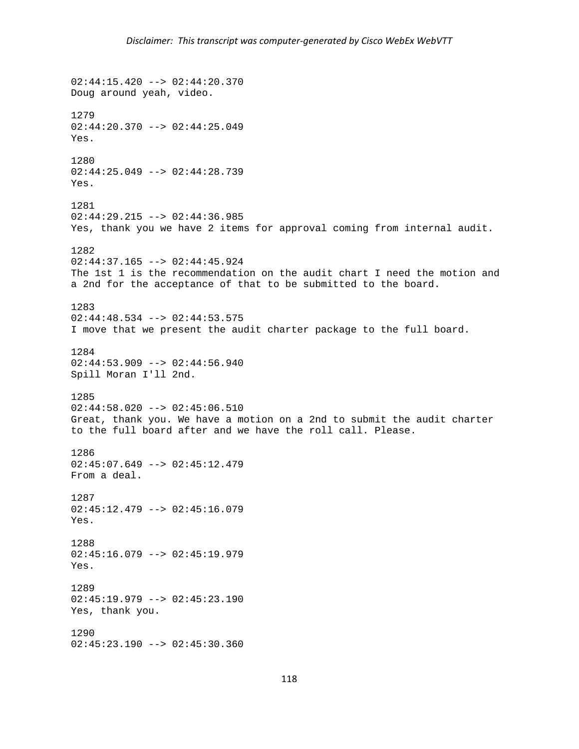02:44:15.420 --> 02:44:20.370 Doug around yeah, video. 1279  $02:44:20.370$  -->  $02:44:25.049$ Yes. 1280 02:44:25.049 --> 02:44:28.739 Yes. 1281  $02:44:29.215$  -->  $02:44:36.985$ Yes, thank you we have 2 items for approval coming from internal audit. 1282  $02:44:37.165$  -->  $02:44:45.924$ The 1st 1 is the recommendation on the audit chart I need the motion and a 2nd for the acceptance of that to be submitted to the board. 1283 02:44:48.534 --> 02:44:53.575 I move that we present the audit charter package to the full board. 1284 02:44:53.909 --> 02:44:56.940 Spill Moran I'll 2nd. 1285 02:44:58.020 --> 02:45:06.510 Great, thank you. We have a motion on a 2nd to submit the audit charter to the full board after and we have the roll call. Please. 1286  $02:45:07.649$  -->  $02:45:12.479$ From a deal. 1287 02:45:12.479 --> 02:45:16.079 Yes. 1288  $02:45:16.079$  -->  $02:45:19.979$ Yes. 1289 02:45:19.979 --> 02:45:23.190 Yes, thank you. 1290 02:45:23.190 --> 02:45:30.360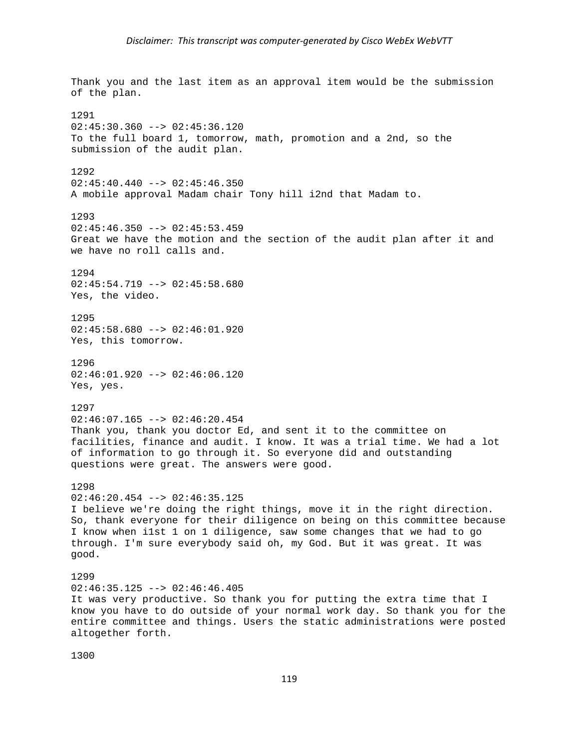Thank you and the last item as an approval item would be the submission of the plan. 1291  $02:45:30.360$  -->  $02:45:36.120$ To the full board 1, tomorrow, math, promotion and a 2nd, so the submission of the audit plan. 1292 02:45:40.440 --> 02:45:46.350 A mobile approval Madam chair Tony hill i2nd that Madam to. 1293  $02:45:46.350$  -->  $02:45:53.459$ Great we have the motion and the section of the audit plan after it and we have no roll calls and. 1294 02:45:54.719 --> 02:45:58.680 Yes, the video. 1295  $02:45:58.680$  -->  $02:46:01.920$ Yes, this tomorrow. 1296 02:46:01.920 --> 02:46:06.120 Yes, yes. 1297 02:46:07.165 --> 02:46:20.454 Thank you, thank you doctor Ed, and sent it to the committee on facilities, finance and audit. I know. It was a trial time. We had a lot of information to go through it. So everyone did and outstanding questions were great. The answers were good. 1298 02:46:20.454 --> 02:46:35.125 I believe we're doing the right things, move it in the right direction. So, thank everyone for their diligence on being on this committee because I know when i1st 1 on 1 diligence, saw some changes that we had to go through. I'm sure everybody said oh, my God. But it was great. It was good. 1299 02:46:35.125 --> 02:46:46.405 It was very productive. So thank you for putting the extra time that I know you have to do outside of your normal work day. So thank you for the entire committee and things. Users the static administrations were posted altogether forth.

1300